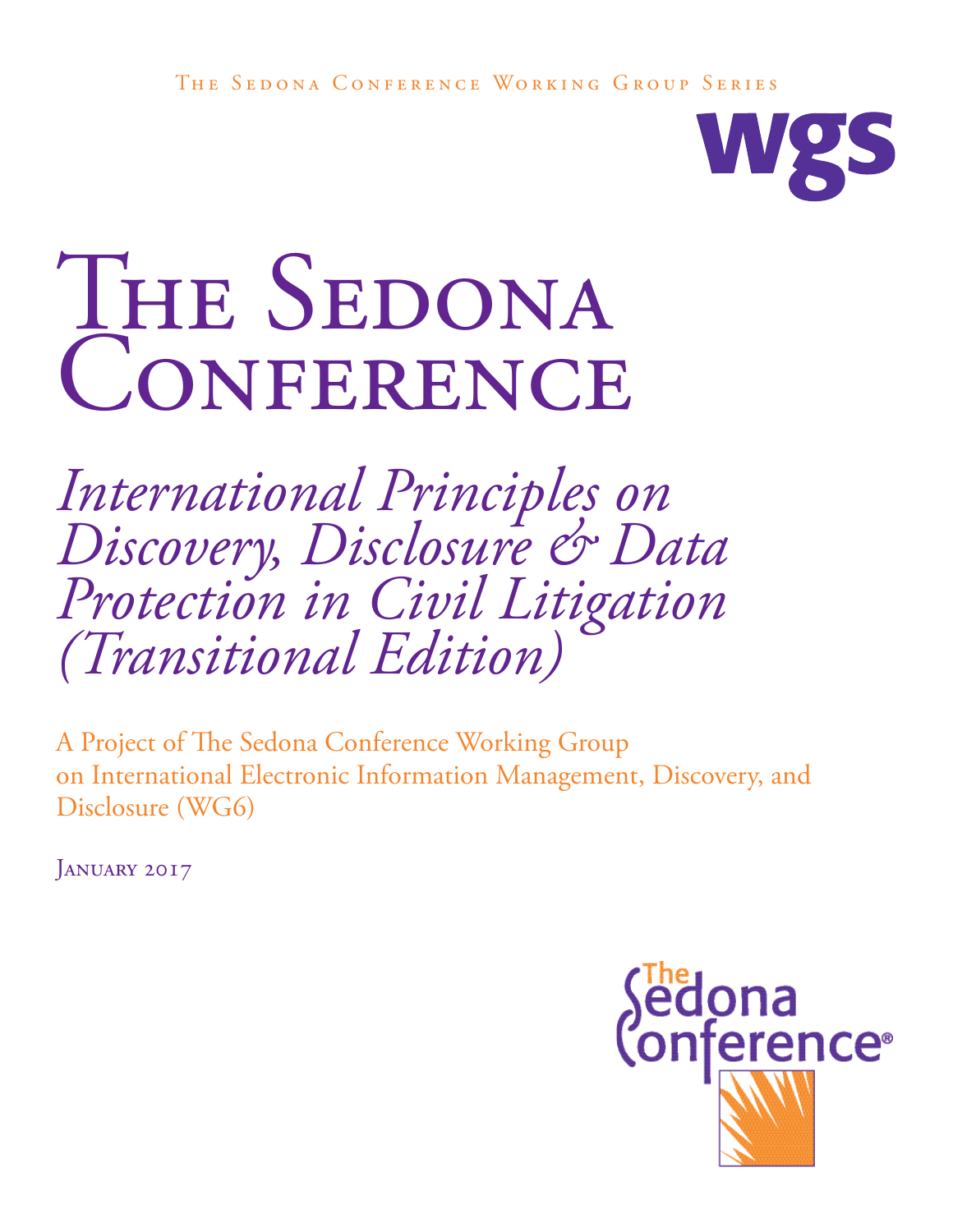The Sedona Conference Working Group Series



# THE SEDONA **CONFERENCE**

*International Principles on Discovery, Disclosure & Data Protection in Civil Litigation (Transitional Edition)*

A Project of The Sedona Conference Working Group on International Electronic Information Management, Discovery, and Disclosure (WG6)

JANUARY 2017

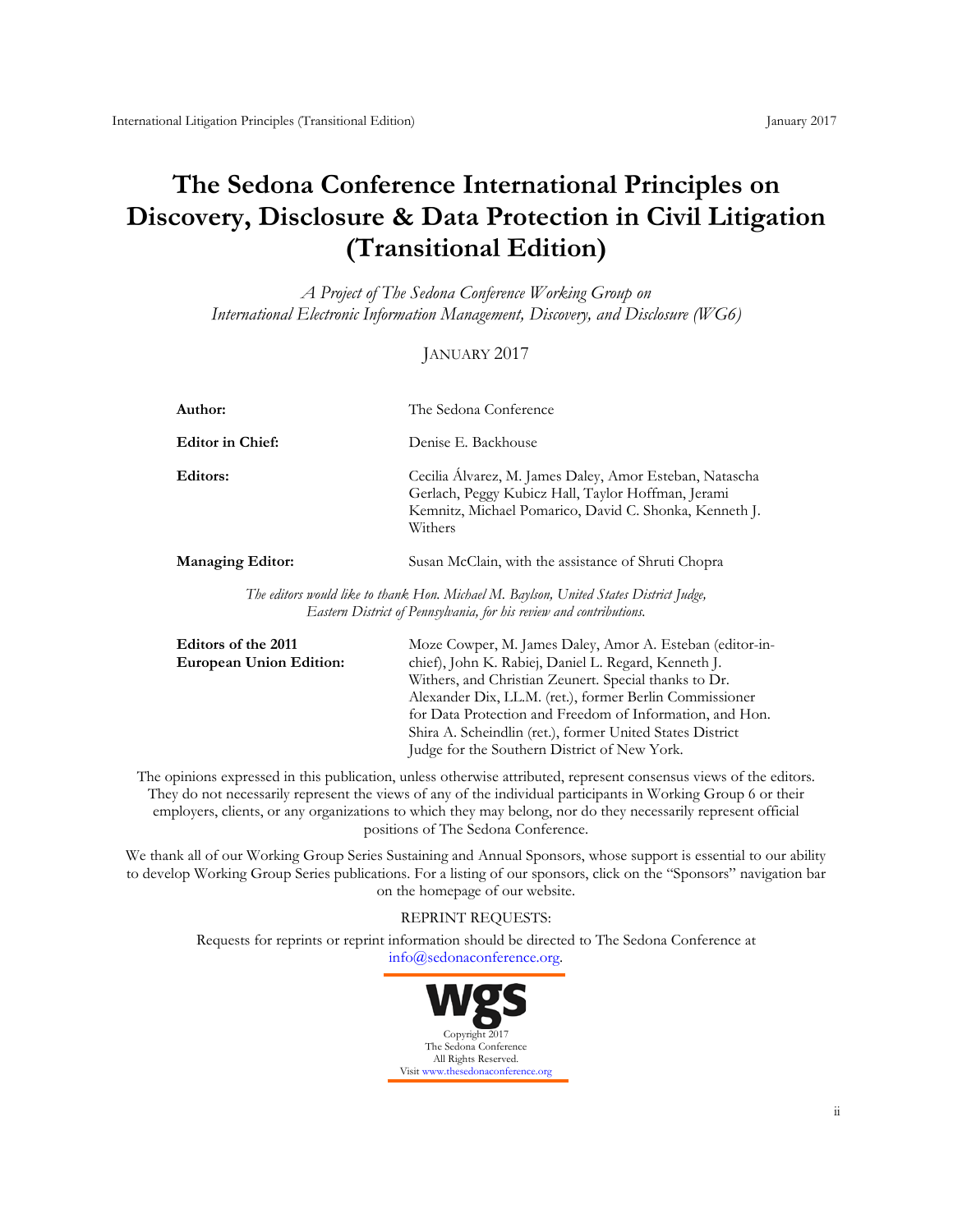# **The Sedona Conference International Principles on Discovery, Disclosure & Data Protection in Civil Litigation (Transitional Edition)**

*A Project of The Sedona Conference Working Group on International Electronic Information Management, Discovery, and Disclosure (WG6)*

#### JANUARY 2017

| Author:                                                                                                                                                       | The Sedona Conference                                                                                                                                                              |  |
|---------------------------------------------------------------------------------------------------------------------------------------------------------------|------------------------------------------------------------------------------------------------------------------------------------------------------------------------------------|--|
| <b>Editor in Chief:</b>                                                                                                                                       | Denise E. Backhouse                                                                                                                                                                |  |
| Editors:                                                                                                                                                      | Cecilia Álvarez, M. James Daley, Amor Esteban, Natascha<br>Gerlach, Peggy Kubicz Hall, Taylor Hoffman, Jerami<br>Kemnitz, Michael Pomarico, David C. Shonka, Kenneth J.<br>Withers |  |
| <b>Managing Editor:</b>                                                                                                                                       | Susan McClain, with the assistance of Shruti Chopra                                                                                                                                |  |
| The editors would like to thank Hon. Michael M. Baylson, United States District Judge,<br>Eastern District of Pennsylvania, for his review and contributions. |                                                                                                                                                                                    |  |

| Editors of the 2011            | Moze Cowper, M. James Daley, Amor A. Esteban (editor-in-  |
|--------------------------------|-----------------------------------------------------------|
| <b>European Union Edition:</b> | chief), John K. Rabiej, Daniel L. Regard, Kenneth J.      |
|                                | Withers, and Christian Zeunert. Special thanks to Dr.     |
|                                | Alexander Dix, LL.M. (ret.), former Berlin Commissioner   |
|                                | for Data Protection and Freedom of Information, and Hon.  |
|                                | Shira A. Scheindlin (ret.), former United States District |
|                                | Judge for the Southern District of New York.              |
|                                |                                                           |

The opinions expressed in this publication, unless otherwise attributed, represent consensus views of the editors. They do not necessarily represent the views of any of the individual participants in Working Group 6 or their employers, clients, or any organizations to which they may belong, nor do they necessarily represent official positions of The Sedona Conference.

We thank all of our Working Group Series Sustaining and Annual Sponsors, whose support is essential to our ability to develop Working Group Series publications. For a listing of our sponsors, click on the "Sponsors" navigation bar on the homepage of our website.

#### REPRINT REQUESTS:

Requests for reprints or reprint information should be directed to The Sedona Conference at [info@sedonaconference.org.](mailto:info@sedonaconference.org)

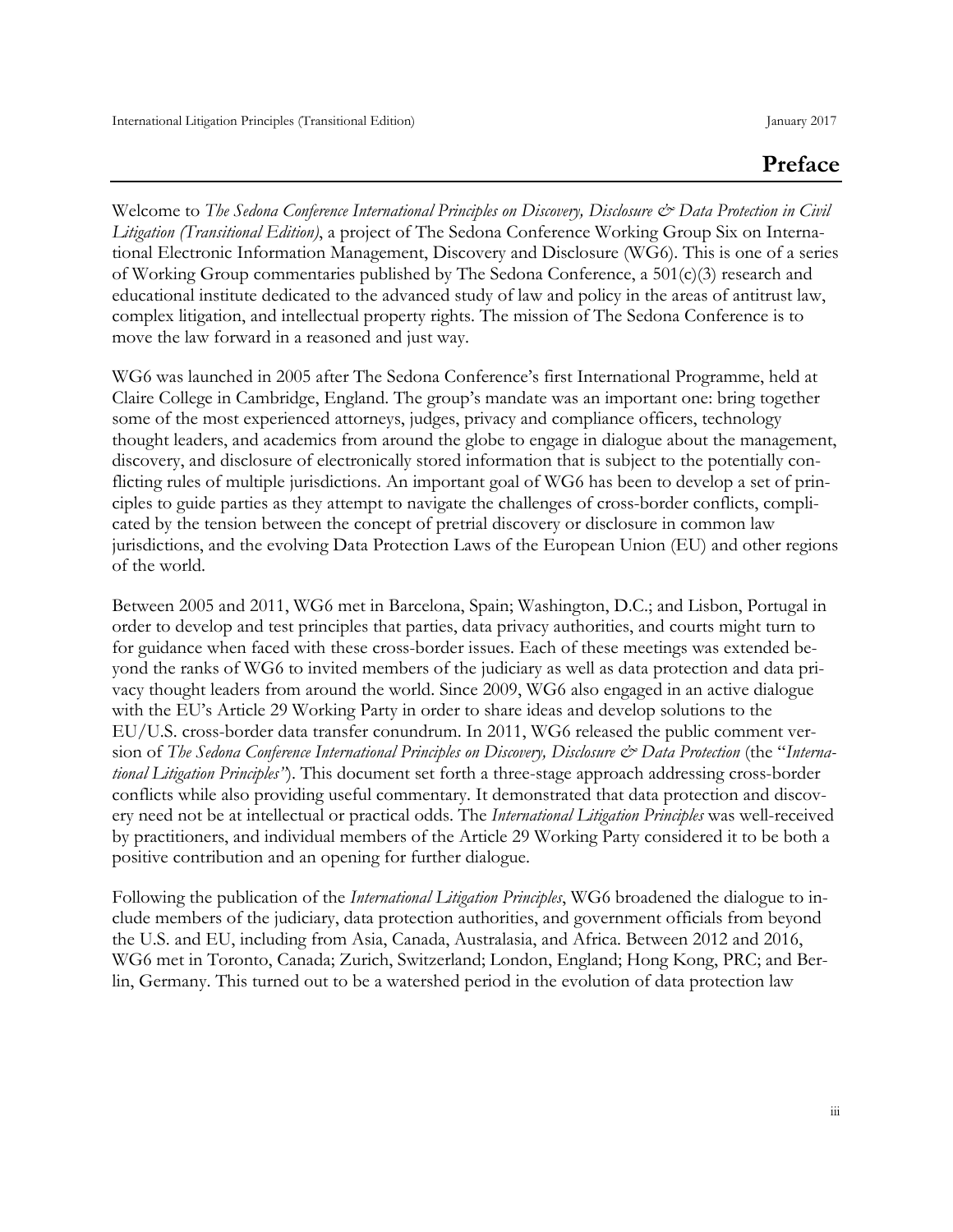# **Preface**

Welcome to *The Sedona Conference International Principles on Discovery, Disclosure & Data Protection in Civil Litigation (Transitional Edition)*, a project of The Sedona Conference Working Group Six on International Electronic Information Management, Discovery and Disclosure (WG6). This is one of a series of Working Group commentaries published by The Sedona Conference, a 501(c)(3) research and educational institute dedicated to the advanced study of law and policy in the areas of antitrust law, complex litigation, and intellectual property rights. The mission of The Sedona Conference is to move the law forward in a reasoned and just way.

WG6 was launched in 2005 after The Sedona Conference's first International Programme, held at Claire College in Cambridge, England. The group's mandate was an important one: bring together some of the most experienced attorneys, judges, privacy and compliance officers, technology thought leaders, and academics from around the globe to engage in dialogue about the management, discovery, and disclosure of electronically stored information that is subject to the potentially conflicting rules of multiple jurisdictions. An important goal of WG6 has been to develop a set of principles to guide parties as they attempt to navigate the challenges of cross-border conflicts, complicated by the tension between the concept of pretrial discovery or disclosure in common law jurisdictions, and the evolving Data Protection Laws of the European Union (EU) and other regions of the world.

Between 2005 and 2011, WG6 met in Barcelona, Spain; Washington, D.C.; and Lisbon, Portugal in order to develop and test principles that parties, data privacy authorities, and courts might turn to for guidance when faced with these cross-border issues. Each of these meetings was extended beyond the ranks of WG6 to invited members of the judiciary as well as data protection and data privacy thought leaders from around the world. Since 2009, WG6 also engaged in an active dialogue with the EU's Article 29 Working Party in order to share ideas and develop solutions to the EU/U.S. cross-border data transfer conundrum. In 2011, WG6 released the public comment version of *The Sedona Conference International Principles on Discovery, Disclosure & Data Protection* (the "Interna*tional Litigation Principles"*). This document set forth a three-stage approach addressing cross-border conflicts while also providing useful commentary. It demonstrated that data protection and discovery need not be at intellectual or practical odds. The *International Litigation Principles* was well-received by practitioners, and individual members of the Article 29 Working Party considered it to be both a positive contribution and an opening for further dialogue.

Following the publication of the *International Litigation Principles*, WG6 broadened the dialogue to include members of the judiciary, data protection authorities, and government officials from beyond the U.S. and EU, including from Asia, Canada, Australasia, and Africa. Between 2012 and 2016, WG6 met in Toronto, Canada; Zurich, Switzerland; London, England; Hong Kong, PRC; and Berlin, Germany. This turned out to be a watershed period in the evolution of data protection law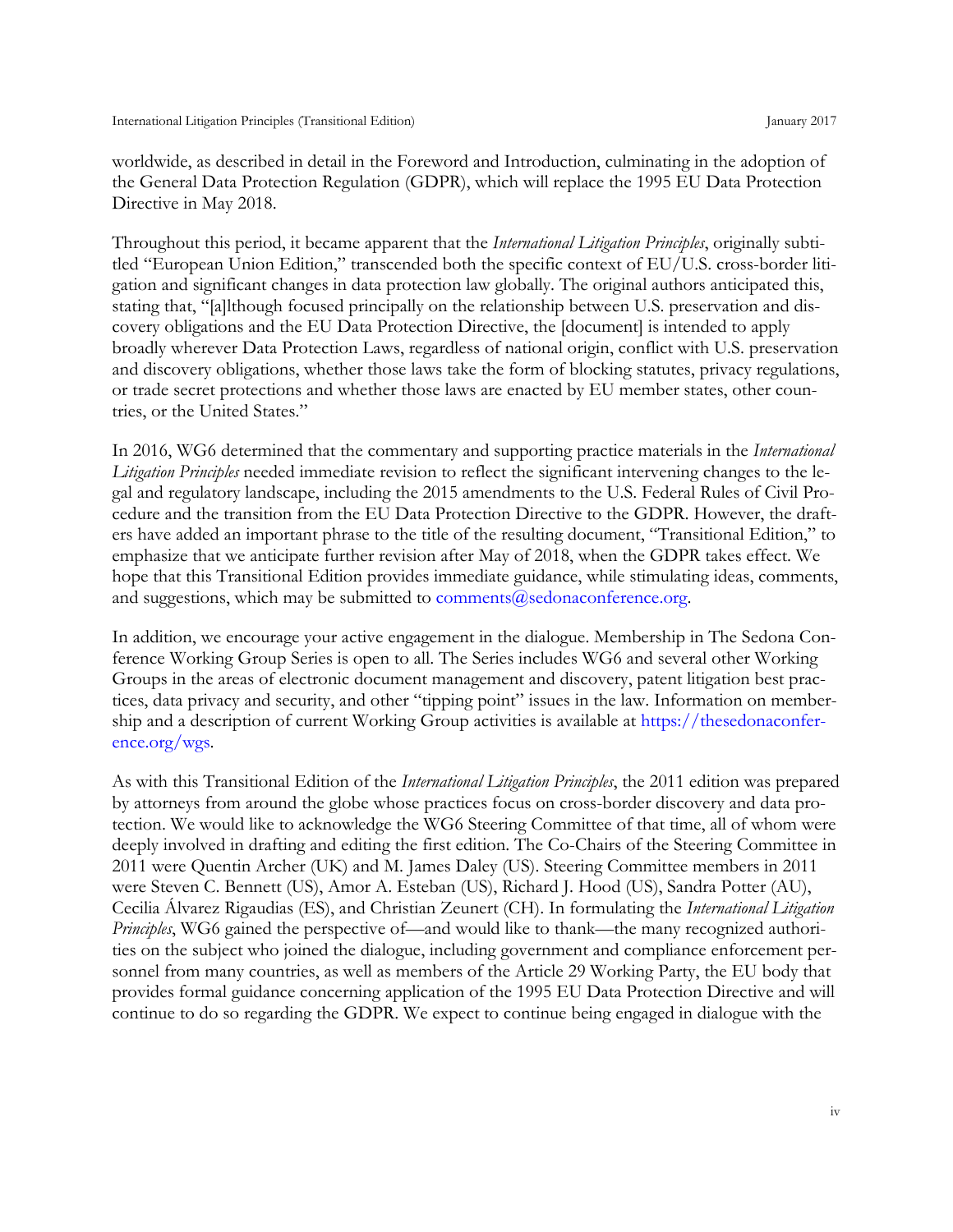worldwide, as described in detail in the Foreword and Introduction, culminating in the adoption of the General Data Protection Regulation (GDPR), which will replace the 1995 EU Data Protection Directive in May 2018.

Throughout this period, it became apparent that the *International Litigation Principles*, originally subtitled "European Union Edition," transcended both the specific context of EU/U.S. cross-border litigation and significant changes in data protection law globally. The original authors anticipated this, stating that, "[a]lthough focused principally on the relationship between U.S. preservation and discovery obligations and the EU Data Protection Directive, the [document] is intended to apply broadly wherever Data Protection Laws, regardless of national origin, conflict with U.S. preservation and discovery obligations, whether those laws take the form of blocking statutes, privacy regulations, or trade secret protections and whether those laws are enacted by EU member states, other countries, or the United States."

In 2016, WG6 determined that the commentary and supporting practice materials in the *International Litigation Principles* needed immediate revision to reflect the significant intervening changes to the legal and regulatory landscape, including the 2015 amendments to the U.S. Federal Rules of Civil Procedure and the transition from the EU Data Protection Directive to the GDPR. However, the drafters have added an important phrase to the title of the resulting document, "Transitional Edition," to emphasize that we anticipate further revision after May of 2018, when the GDPR takes effect. We hope that this Transitional Edition provides immediate guidance, while stimulating ideas, comments, and suggestions, which may be submitted to comments $@$ sedonaconference.org.

In addition, we encourage your active engagement in the dialogue. Membership in The Sedona Conference Working Group Series is open to all. The Series includes WG6 and several other Working Groups in the areas of electronic document management and discovery, patent litigation best practices, data privacy and security, and other "tipping point" issues in the law. Information on membership and a description of current Working Group activities is available at [https://thesedonaconfer](https://thesedonaconference.org/wgs)[ence.org/wgs.](https://thesedonaconference.org/wgs)

As with this Transitional Edition of the *International Litigation Principles*, the 2011 edition was prepared by attorneys from around the globe whose practices focus on cross-border discovery and data protection. We would like to acknowledge the WG6 Steering Committee of that time, all of whom were deeply involved in drafting and editing the first edition. The Co-Chairs of the Steering Committee in 2011 were Quentin Archer (UK) and M. James Daley (US). Steering Committee members in 2011 were Steven C. Bennett (US), Amor A. Esteban (US), Richard J. Hood (US), Sandra Potter (AU), Cecilia Álvarez Rigaudias (ES), and Christian Zeunert (CH). In formulating the *International Litigation Principles*, WG6 gained the perspective of—and would like to thank—the many recognized authorities on the subject who joined the dialogue, including government and compliance enforcement personnel from many countries, as well as members of the Article 29 Working Party, the EU body that provides formal guidance concerning application of the 1995 EU Data Protection Directive and will continue to do so regarding the GDPR. We expect to continue being engaged in dialogue with the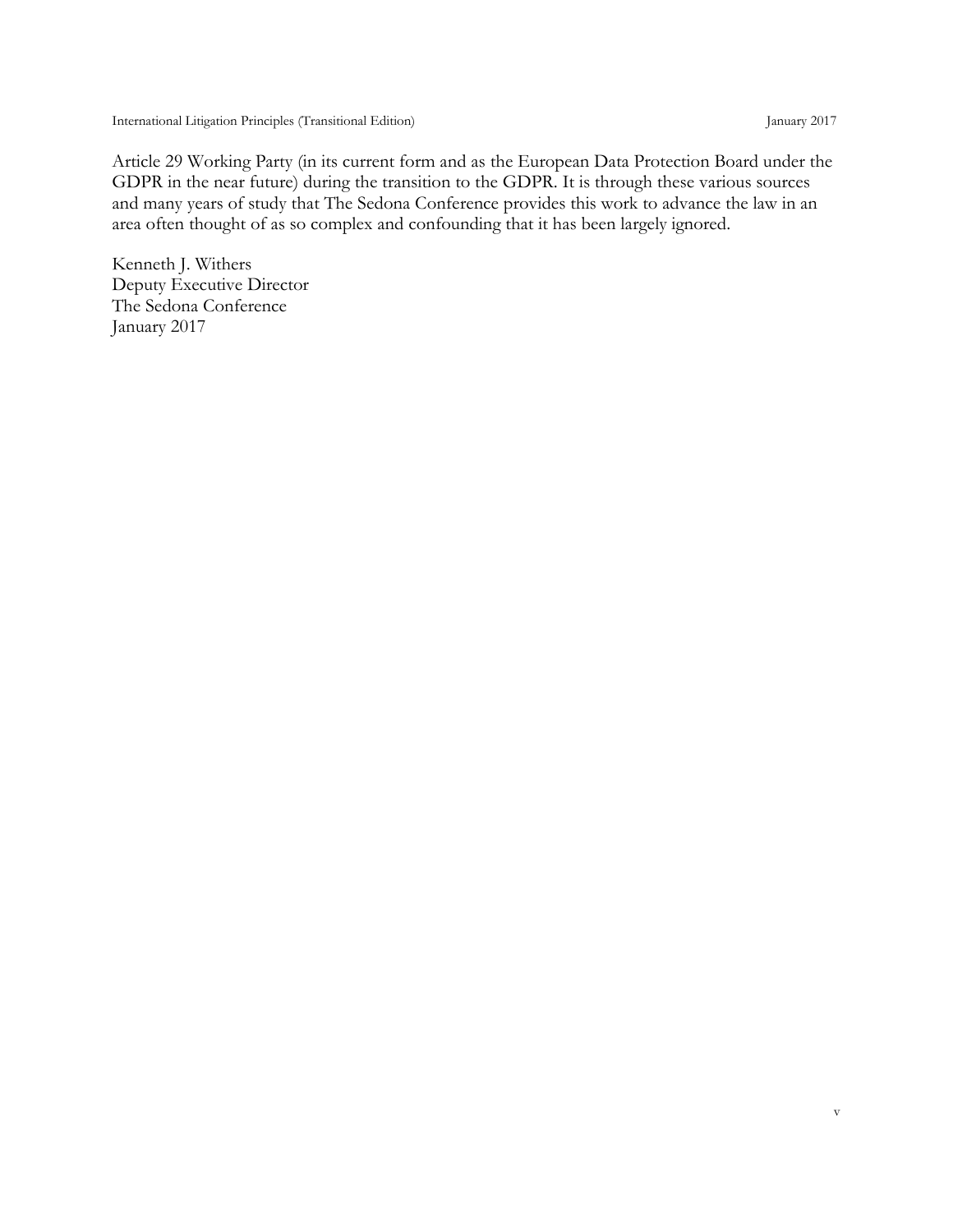International Litigation Principles (Transitional Edition) January 2017

Article 29 Working Party (in its current form and as the European Data Protection Board under the GDPR in the near future) during the transition to the GDPR. It is through these various sources and many years of study that The Sedona Conference provides this work to advance the law in an area often thought of as so complex and confounding that it has been largely ignored.

Kenneth J. Withers Deputy Executive Director The Sedona Conference January 2017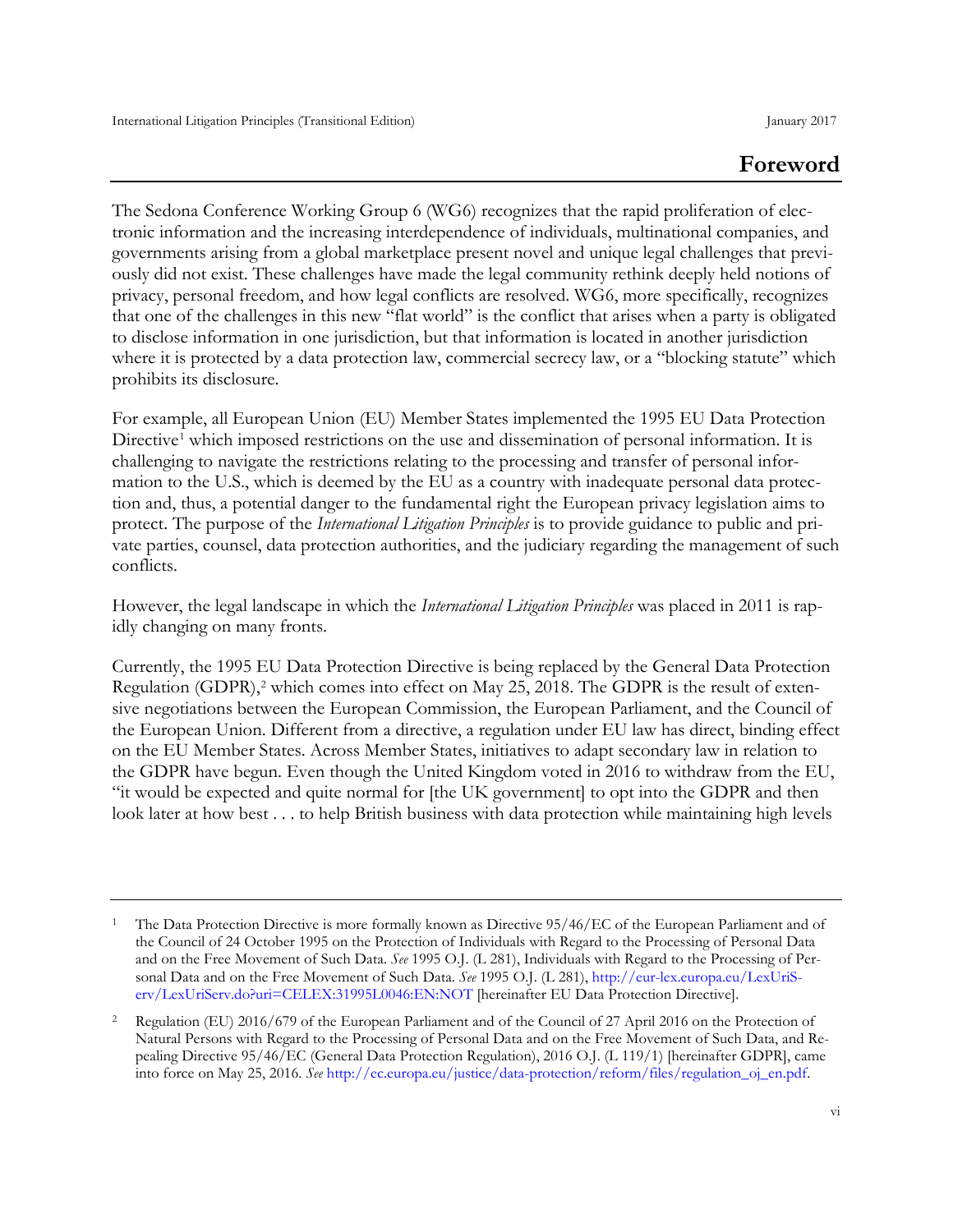# **Foreword**

The Sedona Conference Working Group 6 (WG6) recognizes that the rapid proliferation of electronic information and the increasing interdependence of individuals, multinational companies, and governments arising from a global marketplace present novel and unique legal challenges that previously did not exist. These challenges have made the legal community rethink deeply held notions of privacy, personal freedom, and how legal conflicts are resolved. WG6, more specifically, recognizes that one of the challenges in this new "flat world" is the conflict that arises when a party is obligated to disclose information in one jurisdiction, but that information is located in another jurisdiction where it is protected by a data protection law, commercial secrecy law, or a "blocking statute" which prohibits its disclosure.

For example, all European Union (EU) Member States implemented the 1995 EU Data Protection Directive<sup>[1](#page-5-0)</sup> which imposed restrictions on the use and dissemination of personal information. It is challenging to navigate the restrictions relating to the processing and transfer of personal information to the U.S., which is deemed by the EU as a country with inadequate personal data protection and, thus, a potential danger to the fundamental right the European privacy legislation aims to protect. The purpose of the *International Litigation Principles* is to provide guidance to public and private parties, counsel, data protection authorities, and the judiciary regarding the management of such conflicts.

However, the legal landscape in which the *International Litigation Principles* was placed in 2011 is rapidly changing on many fronts.

Currently, the 1995 EU Data Protection Directive is being replaced by the General Data Protection Regulation (GDPR),<sup>[2](#page-5-1)</sup> which comes into effect on May 25, 2018. The GDPR is the result of extensive negotiations between the European Commission, the European Parliament, and the Council of the European Union. Different from a directive, a regulation under EU law has direct, binding effect on the EU Member States. Across Member States, initiatives to adapt secondary law in relation to the GDPR have begun. Even though the United Kingdom voted in 2016 to withdraw from the EU, "it would be expected and quite normal for [the UK government] to opt into the GDPR and then look later at how best . . . to help British business with data protection while maintaining high levels

<span id="page-5-0"></span><sup>1</sup> The Data Protection Directive is more formally known as Directive 95/46/EC of the European Parliament and of the Council of 24 October 1995 on the Protection of Individuals with Regard to the Processing of Personal Data and on the Free Movement of Such Data. *See* 1995 O.J. (L 281), Individuals with Regard to the Processing of Personal Data and on the Free Movement of Such Data. *See* 1995 O.J. (L 281), [http://eur-lex.europa.eu/LexUriS](http://eur-lex.europa.eu/LexUriServ/LexUriServ.do?uri=CELEX:31995L0046:EN:NOT)[erv/LexUriServ.do?uri=CELEX:31995L0046:EN:NOT](http://eur-lex.europa.eu/LexUriServ/LexUriServ.do?uri=CELEX:31995L0046:EN:NOT) [hereinafter EU Data Protection Directive].

<span id="page-5-1"></span><sup>&</sup>lt;sup>2</sup> Regulation (EU) 2016/679 of the European Parliament and of the Council of 27 April 2016 on the Protection of Natural Persons with Regard to the Processing of Personal Data and on the Free Movement of Such Data, and Repealing Directive 95/46/EC (General Data Protection Regulation), 2016 O.J. (L 119/1) [hereinafter GDPR], came into force on May 25, 2016. *See* [http://ec.europa.eu/justice/data-protection/reform/files/regulation\\_oj\\_en.pdf.](http://ec.europa.eu/justice/data-protection/reform/files/regulation_oj_en.pdf)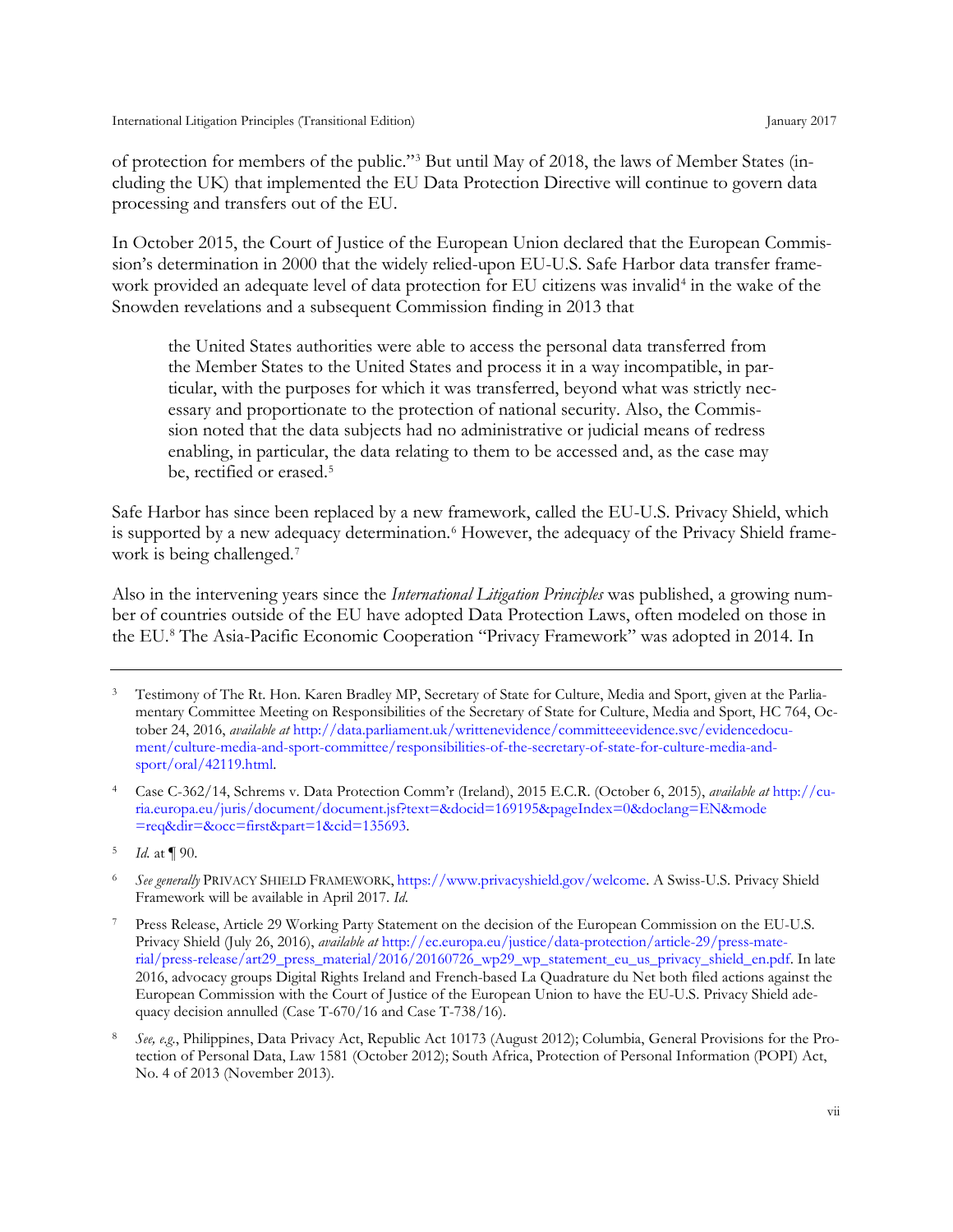of protection for members of the public."[3](#page-6-0) But until May of 2018, the laws of Member States (including the UK) that implemented the EU Data Protection Directive will continue to govern data processing and transfers out of the EU.

In October 2015, the Court of Justice of the European Union declared that the European Commission's determination in 2000 that the widely relied-upon EU-U.S. Safe Harbor data transfer frame-work provided an adequate level of data protection for EU citizens was invalid<sup>[4](#page-6-1)</sup> in the wake of the Snowden revelations and a subsequent Commission finding in 2013 that

the United States authorities were able to access the personal data transferred from the Member States to the United States and process it in a way incompatible, in particular, with the purposes for which it was transferred, beyond what was strictly necessary and proportionate to the protection of national security. Also, the Commission noted that the data subjects had no administrative or judicial means of redress enabling, in particular, the data relating to them to be accessed and, as the case may be, rectified or erased.<sup>[5](#page-6-2)</sup>

Safe Harbor has since been replaced by a new framework, called the EU-U.S. Privacy Shield, which is supported by a new adequacy determination.<sup>[6](#page-6-3)</sup> However, the adequacy of the Privacy Shield frame-work is being challenged.<sup>[7](#page-6-4)</sup>

Also in the intervening years since the *International Litigation Principles* was published, a growing number of countries outside of the EU have adopted Data Protection Laws, often modeled on those in the EU.[8](#page-6-5) The Asia-Pacific Economic Cooperation "Privacy Framework" was adopted in 2014. In

<span id="page-6-0"></span><sup>3</sup> Testimony of The Rt. Hon. Karen Bradley MP, Secretary of State for Culture, Media and Sport, given at the Parliamentary Committee Meeting on Responsibilities of the Secretary of State for Culture, Media and Sport, HC 764, October 24, 2016, *available at* [http://data.parliament.uk/writtenevidence/committeeevidence.svc/evidencedocu](http://data.parliament.uk/writtenevidence/committeeevidence.svc/evidencedocument/culture-media-and-sport-committee/responsibilities-of-the-secretary-of-state-for-culture-media-and-sport/oral/42119.html)[ment/culture-media-and-sport-committee/responsibilities-of-the-secretary-of-state-for-culture-media-and](http://data.parliament.uk/writtenevidence/committeeevidence.svc/evidencedocument/culture-media-and-sport-committee/responsibilities-of-the-secretary-of-state-for-culture-media-and-sport/oral/42119.html)[sport/oral/42119.html.](http://data.parliament.uk/writtenevidence/committeeevidence.svc/evidencedocument/culture-media-and-sport-committee/responsibilities-of-the-secretary-of-state-for-culture-media-and-sport/oral/42119.html)

<span id="page-6-1"></span><sup>4</sup> Case C-362/14, Schrems v. Data Protection Comm'r (Ireland), 2015 E.C.R. (October 6, 2015), *available at* [http://cu](http://curia.europa.eu/juris/document/document.jsf?text=&docid=169195&pageIndex=0&doclang=EN&mode=req&dir=&occ=first&part=1&cid=135693)[ria.europa.eu/juris/document/document.jsf?text=&docid=169195&pageIndex=0&doclang=EN&mode](http://curia.europa.eu/juris/document/document.jsf?text=&docid=169195&pageIndex=0&doclang=EN&mode=req&dir=&occ=first&part=1&cid=135693) [=req&dir=&occ=first&part=1&cid=135693.](http://curia.europa.eu/juris/document/document.jsf?text=&docid=169195&pageIndex=0&doclang=EN&mode=req&dir=&occ=first&part=1&cid=135693)

<span id="page-6-2"></span><sup>5</sup> *Id.* at ¶ 90.

<span id="page-6-3"></span><sup>6</sup> *See generally* PRIVACY SHIELD FRAMEWORK, [https://www.privacyshield.gov/welcome.](https://www.privacyshield.gov/welcome) A Swiss-U.S. Privacy Shield Framework will be available in April 2017. *Id*.

<span id="page-6-4"></span><sup>7</sup> Press Release, Article 29 Working Party Statement on the decision of the European Commission on the EU-U.S. Privacy Shield (July 26, 2016), *available at* [http://ec.europa.eu/justice/data-protection/article-29/press-mate](http://ec.europa.eu/justice/data-protection/article-29/press-material/press-release/art29_press_material/2016/20160726_wp29_wp_statement_eu_us_privacy_shield_en.pdf)[rial/press-release/art29\\_press\\_material/2016/20160726\\_wp29\\_wp\\_statement\\_eu\\_us\\_privacy\\_shield\\_en.pdf.](http://ec.europa.eu/justice/data-protection/article-29/press-material/press-release/art29_press_material/2016/20160726_wp29_wp_statement_eu_us_privacy_shield_en.pdf) In late 2016, advocacy groups Digital Rights Ireland and French-based La Quadrature du Net both filed actions against the European Commission with the Court of Justice of the European Union to have the EU-U.S. Privacy Shield adequacy decision annulled (Case T-670/16 and Case T-738/16).

<span id="page-6-5"></span><sup>8</sup> *See, e.g.*, Philippines, Data Privacy Act, Republic Act 10173 (August 2012); Columbia, General Provisions for the Protection of Personal Data, Law 1581 (October 2012); South Africa, Protection of Personal Information (POPI) Act, No. 4 of 2013 (November 2013).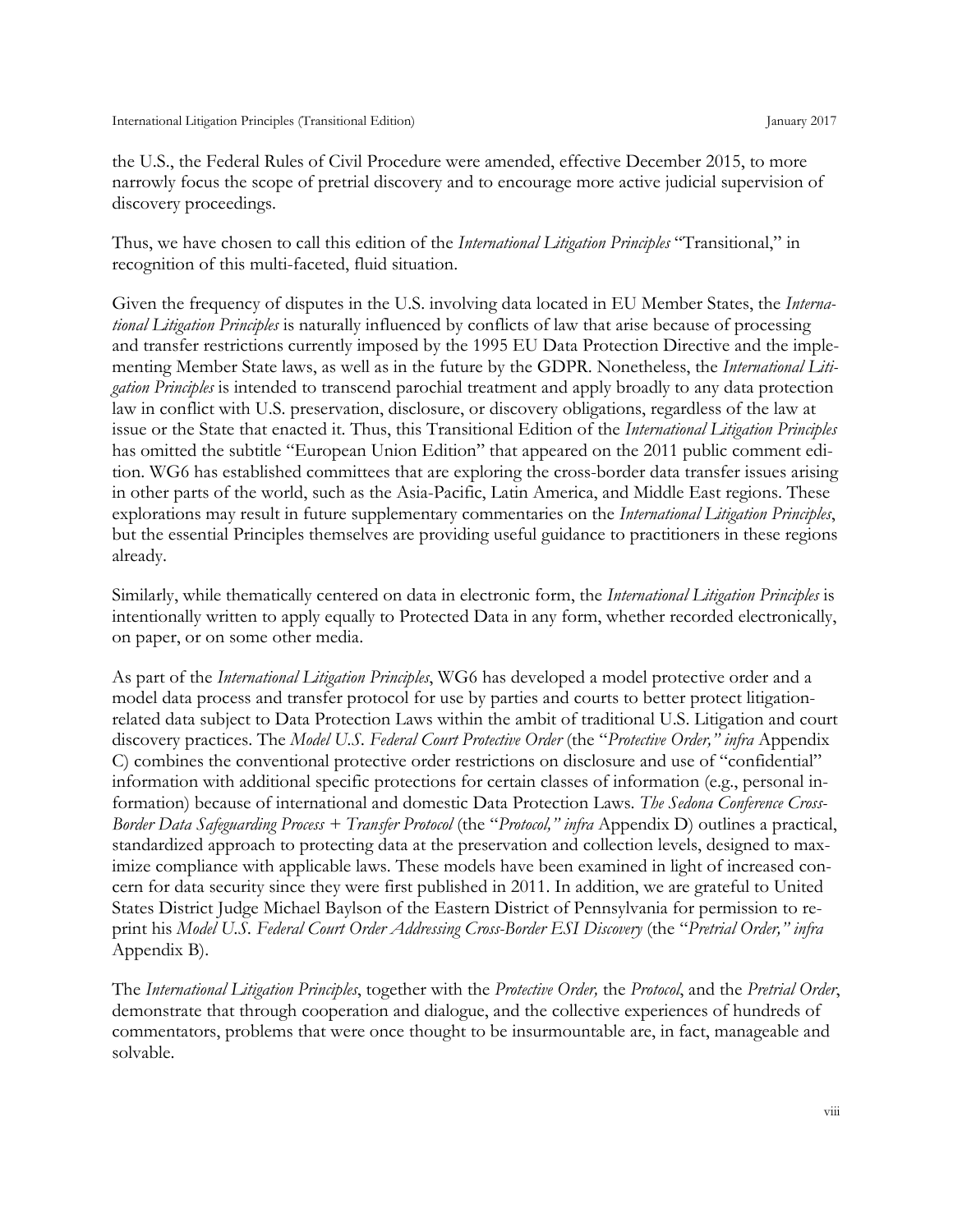the U.S., the Federal Rules of Civil Procedure were amended, effective December 2015, to more narrowly focus the scope of pretrial discovery and to encourage more active judicial supervision of discovery proceedings.

Thus, we have chosen to call this edition of the *International Litigation Principles* "Transitional," in recognition of this multi-faceted, fluid situation.

Given the frequency of disputes in the U.S. involving data located in EU Member States, the *International Litigation Principles* is naturally influenced by conflicts of law that arise because of processing and transfer restrictions currently imposed by the 1995 EU Data Protection Directive and the implementing Member State laws, as well as in the future by the GDPR. Nonetheless, the *International Litigation Principles* is intended to transcend parochial treatment and apply broadly to any data protection law in conflict with U.S. preservation, disclosure, or discovery obligations, regardless of the law at issue or the State that enacted it. Thus, this Transitional Edition of the *International Litigation Principles* has omitted the subtitle "European Union Edition" that appeared on the 2011 public comment edition. WG6 has established committees that are exploring the cross-border data transfer issues arising in other parts of the world, such as the Asia-Pacific, Latin America, and Middle East regions. These explorations may result in future supplementary commentaries on the *International Litigation Principles*, but the essential Principles themselves are providing useful guidance to practitioners in these regions already.

Similarly, while thematically centered on data in electronic form, the *International Litigation Principles* is intentionally written to apply equally to Protected Data in any form, whether recorded electronically, on paper, or on some other media.

As part of the *International Litigation Principles*, WG6 has developed a model protective order and a model data process and transfer protocol for use by parties and courts to better protect litigationrelated data subject to Data Protection Laws within the ambit of traditional U.S. Litigation and court discovery practices. The *Model U.S. Federal Court Protective Order* (the "*Protective Order," infra* Appendix C) combines the conventional protective order restrictions on disclosure and use of "confidential" information with additional specific protections for certain classes of information (e.g., personal information) because of international and domestic Data Protection Laws. *The Sedona Conference Cross-Border Data Safeguarding Process + Transfer Protocol* (the "*Protocol," infra* Appendix D) outlines a practical, standardized approach to protecting data at the preservation and collection levels, designed to maximize compliance with applicable laws. These models have been examined in light of increased concern for data security since they were first published in 2011. In addition, we are grateful to United States District Judge Michael Baylson of the Eastern District of Pennsylvania for permission to reprint his *Model U.S. Federal Court Order Addressing Cross-Border ESI Discovery* (the "*Pretrial Order," infra*  Appendix B).

The *International Litigation Principles*, together with the *Protective Order,* the *Protocol*, and the *Pretrial Order*, demonstrate that through cooperation and dialogue, and the collective experiences of hundreds of commentators, problems that were once thought to be insurmountable are, in fact, manageable and solvable.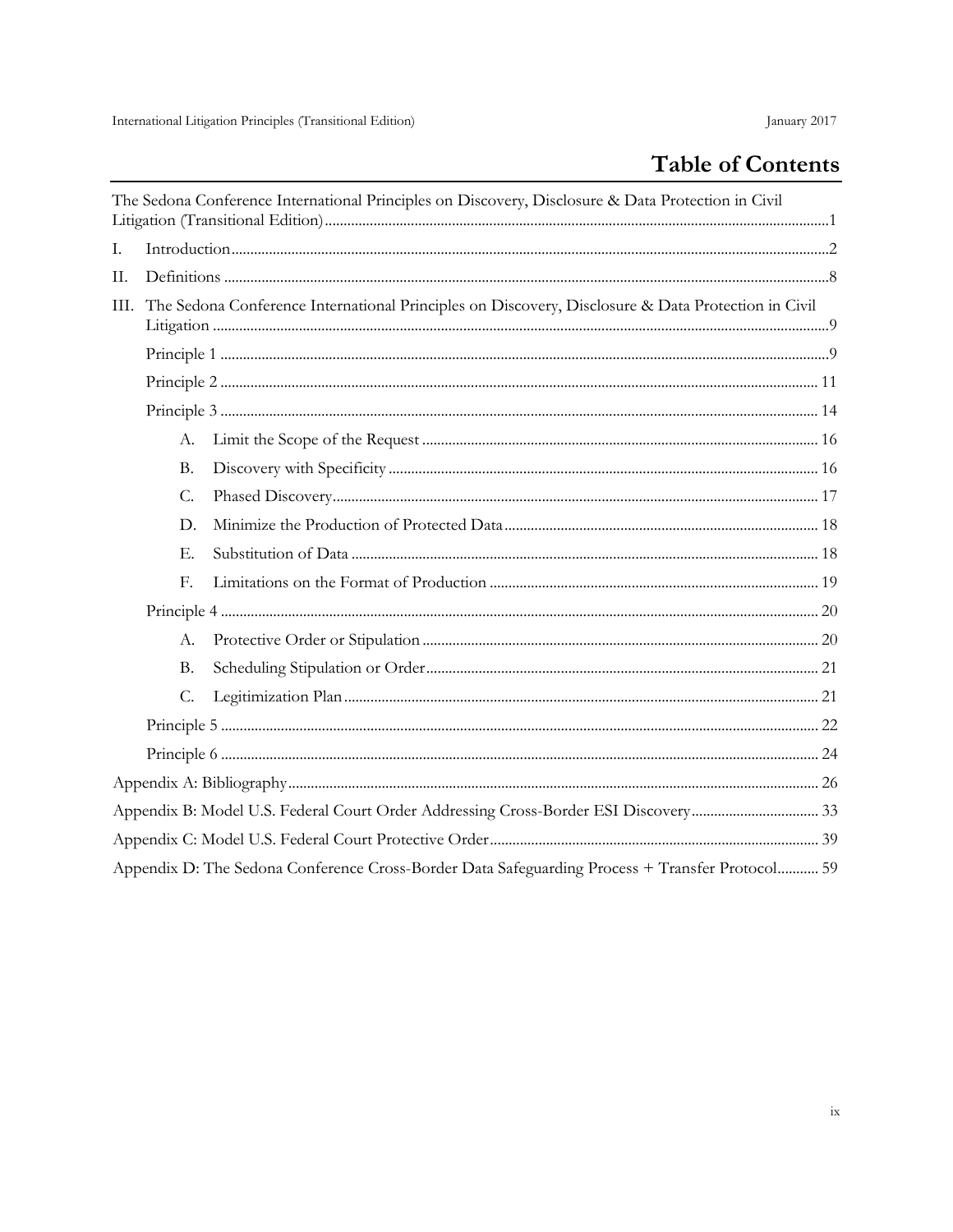# Table of Contents

|      |           | The Sedona Conference International Principles on Discovery, Disclosure & Data Protection in Civil |  |
|------|-----------|----------------------------------------------------------------------------------------------------|--|
| I.   |           |                                                                                                    |  |
| П.   |           |                                                                                                    |  |
| III. |           | The Sedona Conference International Principles on Discovery, Disclosure & Data Protection in Civil |  |
|      |           |                                                                                                    |  |
|      |           |                                                                                                    |  |
|      |           |                                                                                                    |  |
|      | A.        |                                                                                                    |  |
|      | <b>B.</b> |                                                                                                    |  |
|      | C.        |                                                                                                    |  |
|      | D.        |                                                                                                    |  |
|      | Е.        |                                                                                                    |  |
|      | F.        |                                                                                                    |  |
|      |           |                                                                                                    |  |
|      | A.        |                                                                                                    |  |
|      | <b>B.</b> |                                                                                                    |  |
|      | C.        |                                                                                                    |  |
|      |           |                                                                                                    |  |
|      |           |                                                                                                    |  |
|      |           |                                                                                                    |  |
|      |           |                                                                                                    |  |
|      |           |                                                                                                    |  |
|      |           | Appendix D: The Sedona Conference Cross-Border Data Safeguarding Process + Transfer Protocol 59    |  |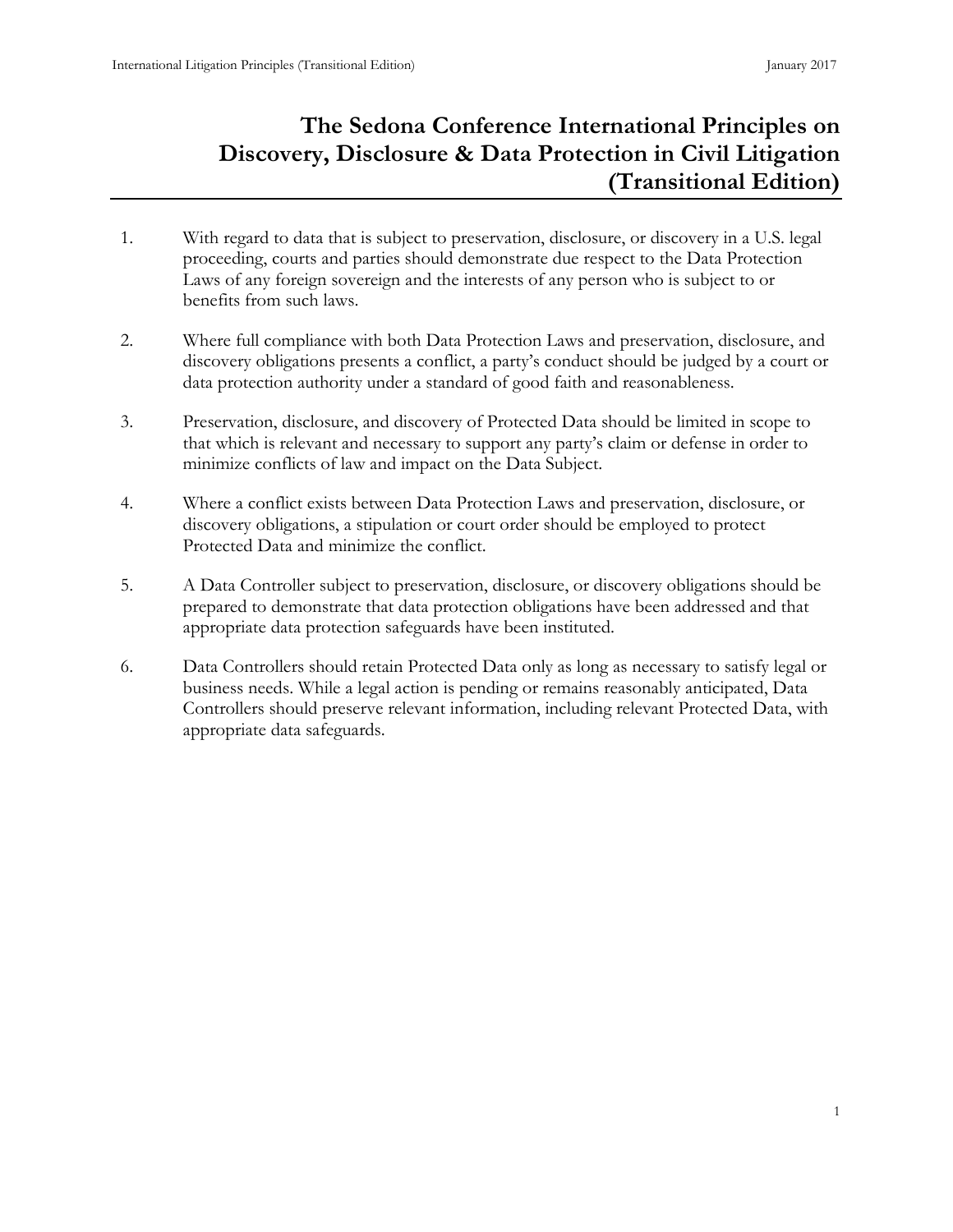# <span id="page-9-0"></span>**The Sedona Conference International Principles on Discovery, Disclosure & Data Protection in Civil Litigation (Transitional Edition)**

- 1. With regard to data that is subject to preservation, disclosure, or discovery in a U.S. legal proceeding, courts and parties should demonstrate due respect to the Data Protection Laws of any foreign sovereign and the interests of any person who is subject to or benefits from such laws.
- 2. Where full compliance with both Data Protection Laws and preservation, disclosure, and discovery obligations presents a conflict, a party's conduct should be judged by a court or data protection authority under a standard of good faith and reasonableness.
- 3. Preservation, disclosure, and discovery of Protected Data should be limited in scope to that which is relevant and necessary to support any party's claim or defense in order to minimize conflicts of law and impact on the Data Subject.
- 4. Where a conflict exists between Data Protection Laws and preservation, disclosure, or discovery obligations, a stipulation or court order should be employed to protect Protected Data and minimize the conflict.
- 5. A Data Controller subject to preservation, disclosure, or discovery obligations should be prepared to demonstrate that data protection obligations have been addressed and that appropriate data protection safeguards have been instituted.
- 6. Data Controllers should retain Protected Data only as long as necessary to satisfy legal or business needs. While a legal action is pending or remains reasonably anticipated, Data Controllers should preserve relevant information, including relevant Protected Data, with appropriate data safeguards.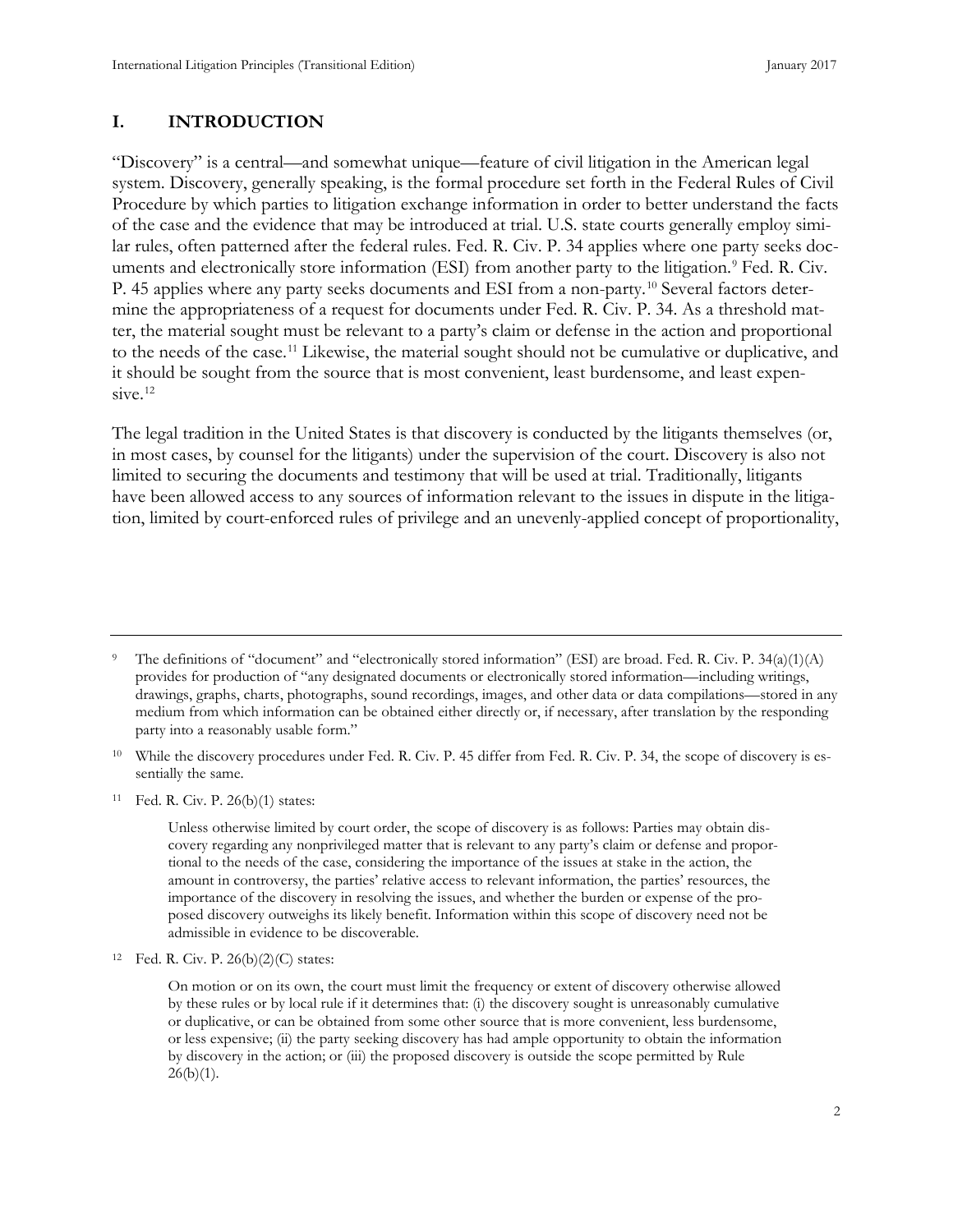#### **I. INTRODUCTION**

"Discovery" is a central—and somewhat unique—feature of civil litigation in the American legal system. Discovery, generally speaking, is the formal procedure set forth in the Federal Rules of Civil Procedure by which parties to litigation exchange information in order to better understand the facts of the case and the evidence that may be introduced at trial. U.S. state courts generally employ similar rules, often patterned after the federal rules. Fed. R. Civ. P. 34 applies where one party seeks doc-uments and electronically store information (ESI) from another party to the litigation.<sup>[9](#page-10-0)</sup> Fed. R. Civ. P. 45 applies where any party seeks documents and ESI from a non-party.[10](#page-10-1) Several factors determine the appropriateness of a request for documents under Fed. R. Civ. P. 34. As a threshold matter, the material sought must be relevant to a party's claim or defense in the action and proportional to the needs of the case.[11](#page-10-2) Likewise, the material sought should not be cumulative or duplicative, and it should be sought from the source that is most convenient, least burdensome, and least expen-sive.<sup>[12](#page-10-3)</sup>

The legal tradition in the United States is that discovery is conducted by the litigants themselves (or, in most cases, by counsel for the litigants) under the supervision of the court. Discovery is also not limited to securing the documents and testimony that will be used at trial. Traditionally, litigants have been allowed access to any sources of information relevant to the issues in dispute in the litigation, limited by court-enforced rules of privilege and an unevenly-applied concept of proportionality,

<span id="page-10-0"></span>The definitions of "document" and "electronically stored information" (ESI) are broad. Fed. R. Civ. P. 34(a)(1)(A) provides for production of "any designated documents or electronically stored information—including writings, drawings, graphs, charts, photographs, sound recordings, images, and other data or data compilations—stored in any medium from which information can be obtained either directly or, if necessary, after translation by the responding party into a reasonably usable form."

<span id="page-10-1"></span><sup>&</sup>lt;sup>10</sup> While the discovery procedures under Fed. R. Civ. P. 45 differ from Fed. R. Civ. P. 34, the scope of discovery is essentially the same.

<span id="page-10-2"></span><sup>11</sup> Fed. R. Civ. P. 26(b)(1) states:

Unless otherwise limited by court order, the scope of discovery is as follows: Parties may obtain discovery regarding any nonprivileged matter that is relevant to any party's claim or defense and proportional to the needs of the case, considering the importance of the issues at stake in the action, the amount in controversy, the parties' relative access to relevant information, the parties' resources, the importance of the discovery in resolving the issues, and whether the burden or expense of the proposed discovery outweighs its likely benefit. Information within this scope of discovery need not be admissible in evidence to be discoverable.

<span id="page-10-3"></span><sup>12</sup> Fed. R. Civ. P.  $26(b)(2)(C)$  states:

On motion or on its own, the court must limit the frequency or extent of discovery otherwise allowed by these rules or by local rule if it determines that: (i) the discovery sought is unreasonably cumulative or duplicative, or can be obtained from some other source that is more convenient, less burdensome, or less expensive; (ii) the party seeking discovery has had ample opportunity to obtain the information by discovery in the action; or (iii) the proposed discovery is outside the scope permitted by Rule  $26(b)(1)$ .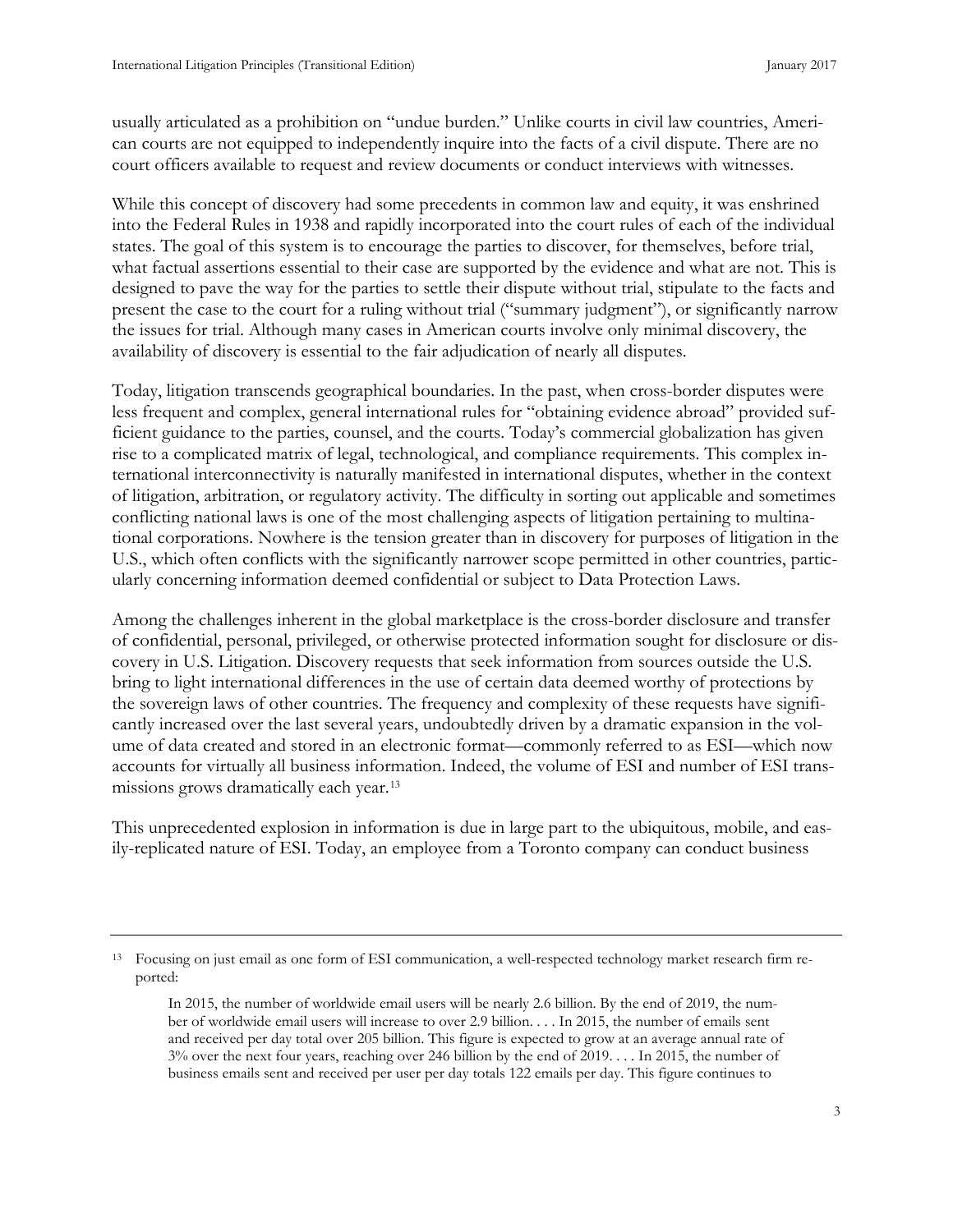usually articulated as a prohibition on "undue burden." Unlike courts in civil law countries, American courts are not equipped to independently inquire into the facts of a civil dispute. There are no court officers available to request and review documents or conduct interviews with witnesses.

While this concept of discovery had some precedents in common law and equity, it was enshrined into the Federal Rules in 1938 and rapidly incorporated into the court rules of each of the individual states. The goal of this system is to encourage the parties to discover, for themselves, before trial, what factual assertions essential to their case are supported by the evidence and what are not. This is designed to pave the way for the parties to settle their dispute without trial, stipulate to the facts and present the case to the court for a ruling without trial ("summary judgment"), or significantly narrow the issues for trial. Although many cases in American courts involve only minimal discovery, the availability of discovery is essential to the fair adjudication of nearly all disputes.

Today, litigation transcends geographical boundaries. In the past, when cross-border disputes were less frequent and complex, general international rules for "obtaining evidence abroad" provided sufficient guidance to the parties, counsel, and the courts. Today's commercial globalization has given rise to a complicated matrix of legal, technological, and compliance requirements. This complex international interconnectivity is naturally manifested in international disputes, whether in the context of litigation, arbitration, or regulatory activity. The difficulty in sorting out applicable and sometimes conflicting national laws is one of the most challenging aspects of litigation pertaining to multinational corporations. Nowhere is the tension greater than in discovery for purposes of litigation in the U.S., which often conflicts with the significantly narrower scope permitted in other countries, particularly concerning information deemed confidential or subject to Data Protection Laws.

Among the challenges inherent in the global marketplace is the cross-border disclosure and transfer of confidential, personal, privileged, or otherwise protected information sought for disclosure or discovery in U.S. Litigation. Discovery requests that seek information from sources outside the U.S. bring to light international differences in the use of certain data deemed worthy of protections by the sovereign laws of other countries. The frequency and complexity of these requests have significantly increased over the last several years, undoubtedly driven by a dramatic expansion in the volume of data created and stored in an electronic format—commonly referred to as ESI—which now accounts for virtually all business information. Indeed, the volume of ESI and number of ESI transmissions grows dramatically each year.[13](#page-11-0)

This unprecedented explosion in information is due in large part to the ubiquitous, mobile, and easily-replicated nature of ESI. Today, an employee from a Toronto company can conduct business

<span id="page-11-0"></span><sup>13</sup> Focusing on just email as one form of ESI communication, a well-respected technology market research firm reported:

In 2015, the number of worldwide email users will be nearly 2.6 billion. By the end of 2019, the number of worldwide email users will increase to over 2.9 billion. . . . In 2015, the number of emails sent and received per day total over 205 billion. This figure is expected to grow at an average annual rate of 3% over the next four years, reaching over 246 billion by the end of 2019. . . . In 2015, the number of business emails sent and received per user per day totals 122 emails per day. This figure continues to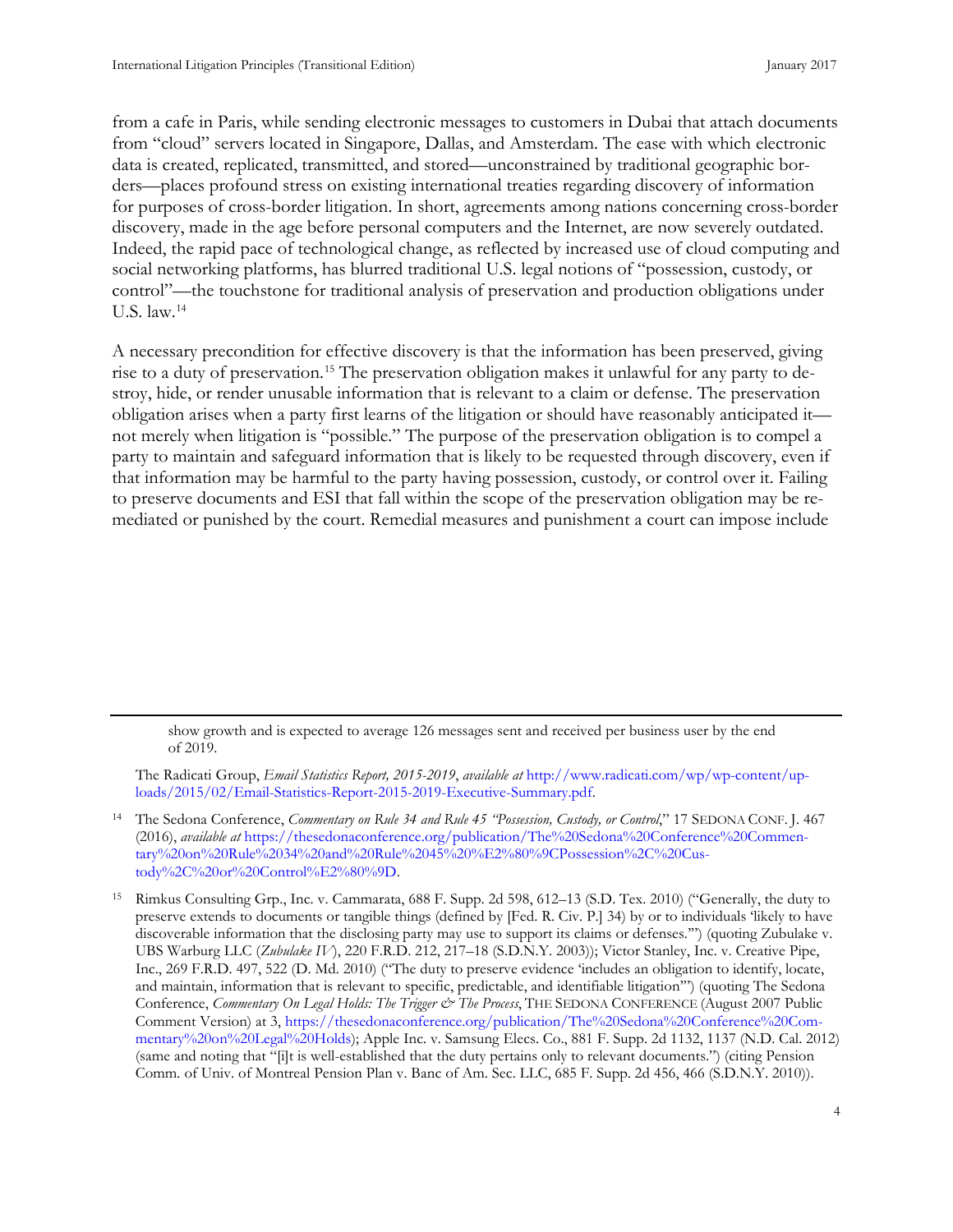from a cafe in Paris, while sending electronic messages to customers in Dubai that attach documents from "cloud" servers located in Singapore, Dallas, and Amsterdam. The ease with which electronic data is created, replicated, transmitted, and stored—unconstrained by traditional geographic borders—places profound stress on existing international treaties regarding discovery of information for purposes of cross-border litigation. In short, agreements among nations concerning cross-border discovery, made in the age before personal computers and the Internet, are now severely outdated. Indeed, the rapid pace of technological change, as reflected by increased use of cloud computing and social networking platforms, has blurred traditional U.S. legal notions of "possession, custody, or control"—the touchstone for traditional analysis of preservation and production obligations under U.S. law.[14](#page-12-0)

A necessary precondition for effective discovery is that the information has been preserved, giving rise to a duty of preservation.[15](#page-12-1) The preservation obligation makes it unlawful for any party to destroy, hide, or render unusable information that is relevant to a claim or defense. The preservation obligation arises when a party first learns of the litigation or should have reasonably anticipated it not merely when litigation is "possible." The purpose of the preservation obligation is to compel a party to maintain and safeguard information that is likely to be requested through discovery, even if that information may be harmful to the party having possession, custody, or control over it. Failing to preserve documents and ESI that fall within the scope of the preservation obligation may be remediated or punished by the court. Remedial measures and punishment a court can impose include

show growth and is expected to average 126 messages sent and received per business user by the end of 2019.

The Radicati Group, *Email Statistics Report, 2015-2019*, *available at* [http://www.radicati.com/wp/wp-content/up](http://www.radicati.com/wp/wp-content/uploads/2015/02/Email-Statistics-Report-2015-2019-Executive-Summary.pdf)[loads/2015/02/Email-Statistics-Report-2015-2019-Executive-Summary.pdf.](http://www.radicati.com/wp/wp-content/uploads/2015/02/Email-Statistics-Report-2015-2019-Executive-Summary.pdf) 

<span id="page-12-0"></span><sup>14</sup> The Sedona Conference, *Commentary on Rule 34 and Rule 45 "Possession, Custody, or Control*," 17 SEDONA CONF. J. 467 (2016), *available at* [https://thesedonaconference.org/publication/The%20Sedona%20Conference%20Commen](https://thesedonaconference.org/publication/The%20Sedona%20Conference%20Commentary%20on%20Rule%2034%20and%20Rule%2045%20%E2%80%9CPossession%2C%20Custody%2C%20or%20Control%E2%80%9D)[tary%20on%20Rule%2034%20and%20Rule%2045%20%E2%80%9CPossession%2C%20Cus](https://thesedonaconference.org/publication/The%20Sedona%20Conference%20Commentary%20on%20Rule%2034%20and%20Rule%2045%20%E2%80%9CPossession%2C%20Custody%2C%20or%20Control%E2%80%9D)[tody%2C%20or%20Control%E2%80%9D.](https://thesedonaconference.org/publication/The%20Sedona%20Conference%20Commentary%20on%20Rule%2034%20and%20Rule%2045%20%E2%80%9CPossession%2C%20Custody%2C%20or%20Control%E2%80%9D)

<span id="page-12-1"></span><sup>15</sup> Rimkus Consulting Grp., Inc. v. Cammarata, 688 F. Supp. 2d 598, 612–13 (S.D. Tex. 2010) ("Generally, the duty to preserve extends to documents or tangible things (defined by [Fed. R. Civ. P.] 34) by or to individuals 'likely to have discoverable information that the disclosing party may use to support its claims or defenses.'") (quoting Zubulake v. UBS Warburg LLC (*Zubulake IV*), 220 F.R.D. 212, 217–18 (S.D.N.Y. 2003)); Victor Stanley, Inc. v. Creative Pipe, Inc., 269 F.R.D. 497, 522 (D. Md. 2010) ("The duty to preserve evidence 'includes an obligation to identify, locate, and maintain, information that is relevant to specific, predictable, and identifiable litigation'") (quoting The Sedona Conference, *Commentary On Legal Holds: The Trigger & The Process*, THE SEDONA CONFERENCE (August 2007 Public Comment Version) at 3, [https://thesedonaconference.org/publication/The%20Sedona%20Conference%20Com](https://thesedonaconference.org/publication/The%20Sedona%20Conference%20Commentary%20on%20Legal%20Holds)[mentary%20on%20Legal%20Holds\)](https://thesedonaconference.org/publication/The%20Sedona%20Conference%20Commentary%20on%20Legal%20Holds); Apple Inc. v. Samsung Elecs. Co., 881 F. Supp. 2d 1132, 1137 (N.D. Cal. 2012) (same and noting that "[i]t is well-established that the duty pertains only to relevant documents.") (citing Pension Comm. of Univ. of Montreal Pension Plan v. Banc of Am. Sec. LLC, [685 F. Supp. 2d 456, 466](https://casetext.com/case/pension-com-of-univ-of-montreal-v-banc-of-a-sec#p466) (S.D.N.Y. 2010)).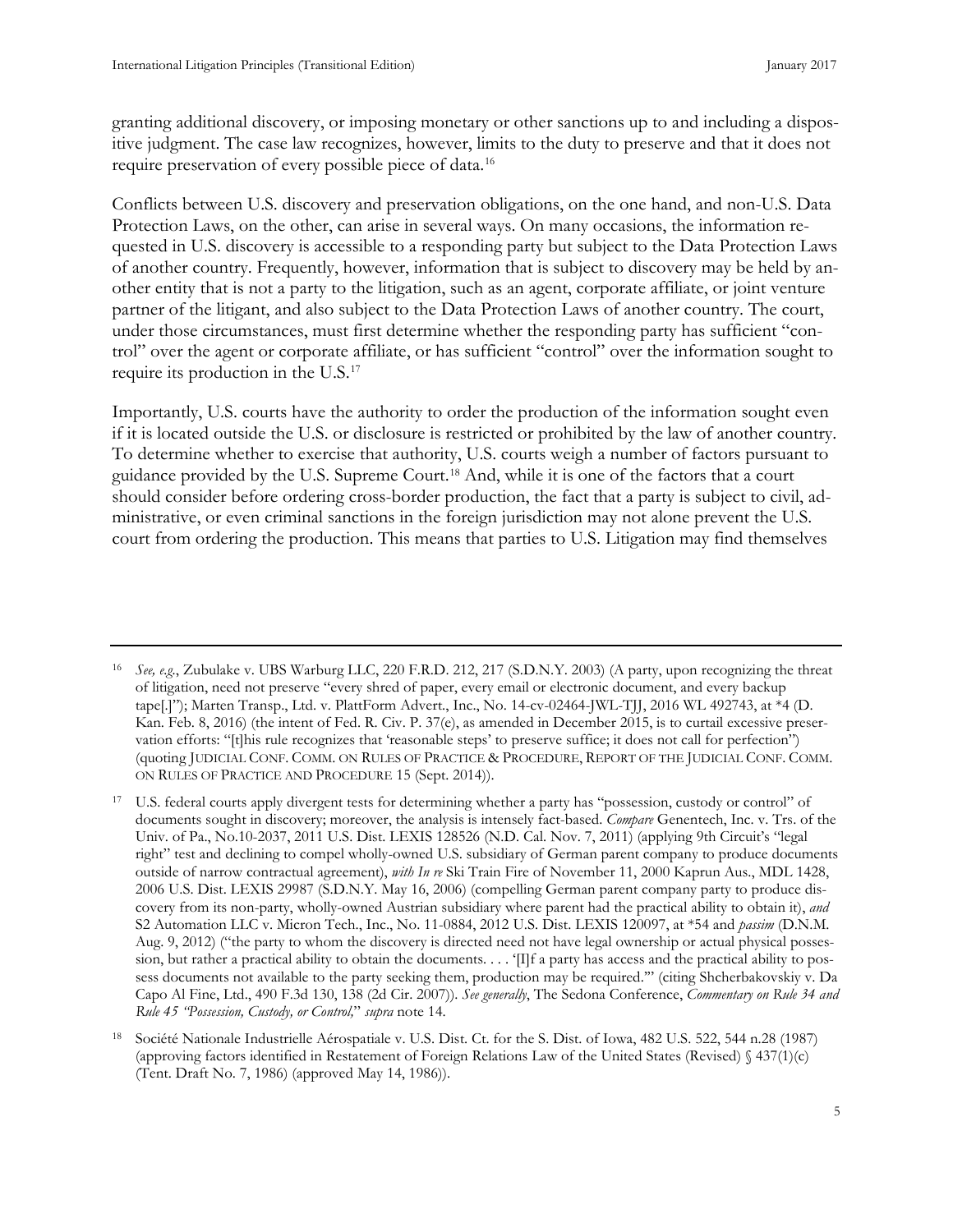granting additional discovery, or imposing monetary or other sanctions up to and including a dispositive judgment. The case law recognizes, however, limits to the duty to preserve and that it does not require preservation of every possible piece of data.[16](#page-13-0)

Conflicts between U.S. discovery and preservation obligations, on the one hand, and non-U.S. Data Protection Laws, on the other, can arise in several ways. On many occasions, the information requested in U.S. discovery is accessible to a responding party but subject to the Data Protection Laws of another country. Frequently, however, information that is subject to discovery may be held by another entity that is not a party to the litigation, such as an agent, corporate affiliate, or joint venture partner of the litigant, and also subject to the Data Protection Laws of another country. The court, under those circumstances, must first determine whether the responding party has sufficient "control" over the agent or corporate affiliate, or has sufficient "control" over the information sought to require its production in the U.S.[17](#page-13-1)

Importantly, U.S. courts have the authority to order the production of the information sought even if it is located outside the U.S. or disclosure is restricted or prohibited by the law of another country. To determine whether to exercise that authority, U.S. courts weigh a number of factors pursuant to guidance provided by the U.S. Supreme Court.[18](#page-13-2) And, while it is one of the factors that a court should consider before ordering cross-border production, the fact that a party is subject to civil, administrative, or even criminal sanctions in the foreign jurisdiction may not alone prevent the U.S. court from ordering the production. This means that parties to U.S. Litigation may find themselves

<span id="page-13-0"></span><sup>16</sup> *See, e.g.*, Zubulake v. UBS Warburg LLC, 220 F.R.D. 212, 217 (S.D.N.Y. 2003) (A party, upon recognizing the threat of litigation, need not preserve "every shred of paper, every email or electronic document, and every backup tape[.]"); Marten Transp., Ltd. v. PlattForm Advert., Inc., No. 14-cv-02464-JWL-TJJ, 2016 WL 492743, at \*4 (D. Kan. Feb. 8, 2016) (the intent of Fed. R. Civ. P. 37(e), as amended in December 2015, is to curtail excessive preservation efforts: "[t]his rule recognizes that 'reasonable steps' to preserve suffice; it does not call for perfection") (quoting JUDICIAL CONF. COMM. ON RULES OF PRACTICE & PROCEDURE, REPORT OF THE JUDICIAL CONF. COMM. ON RULES OF PRACTICE AND PROCEDURE 15 (Sept. 2014)).

<span id="page-13-1"></span>U.S. federal courts apply divergent tests for determining whether a party has "possession, custody or control" of documents sought in discovery; moreover, the analysis is intensely fact-based. *Compare* Genentech, Inc. v. Trs. of the Univ. of Pa., No.10-2037, 2011 U.S. Dist. LEXIS 128526 (N.D. Cal. Nov. 7, 2011) (applying 9th Circuit's "legal right" test and declining to compel wholly-owned U.S. subsidiary of German parent company to produce documents outside of narrow contractual agreement), *with In re* Ski Train Fire of November 11, 2000 Kaprun Aus., MDL 1428, 2006 U.S. Dist. LEXIS 29987 (S.D.N.Y. May 16, 2006) (compelling German parent company party to produce discovery from its non-party, wholly-owned Austrian subsidiary where parent had the practical ability to obtain it), *and* S2 Automation LLC v. Micron Tech., Inc., No. 11-0884, 2012 U.S. Dist. LEXIS 120097, at \*54 and *passim* (D.N.M. Aug. 9, 2012) ("the party to whom the discovery is directed need not have legal ownership or actual physical possession, but rather a practical ability to obtain the documents.... '[I]f a party has access and the practical ability to possess documents not available to the party seeking them, production may be required.'" (citing Shcherbakovskiy v. Da Capo Al Fine, Ltd., 490 F.3d 130, 138 (2d Cir. 2007)). *See generally*, The Sedona Conference, *Commentary on Rule 34 and Rule 45 "Possession, Custody, or Control,*" *supra* note 14.

<span id="page-13-2"></span><sup>18</sup> Société Nationale Industrielle Aérospatiale v. U.S. Dist. Ct. for the S. Dist. of Iowa, 482 U.S. 522, 544 n.28 (1987) (approving factors identified in Restatement of Foreign Relations Law of the United States (Revised) § 437(1)(c) (Tent. Draft No. 7, 1986) (approved May 14, 1986)).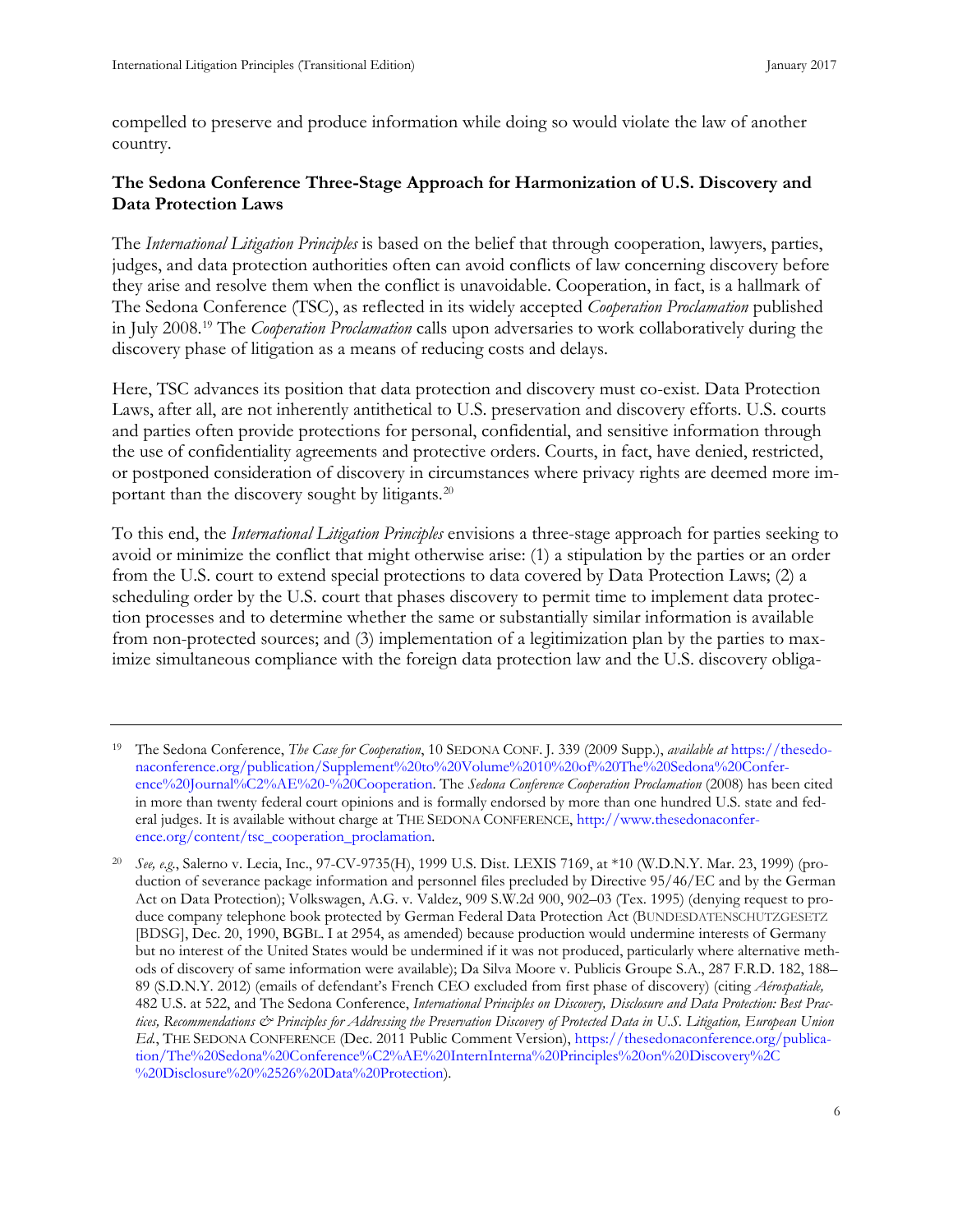compelled to preserve and produce information while doing so would violate the law of another country.

## **The Sedona Conference Three-Stage Approach for Harmonization of U.S. Discovery and Data Protection Laws**

The *International Litigation Principles* is based on the belief that through cooperation, lawyers, parties, judges, and data protection authorities often can avoid conflicts of law concerning discovery before they arise and resolve them when the conflict is unavoidable. Cooperation, in fact, is a hallmark of The Sedona Conference (TSC), as reflected in its widely accepted *Cooperation Proclamation* published in July 2008.[19](#page-14-0) The *Cooperation Proclamation* calls upon adversaries to work collaboratively during the discovery phase of litigation as a means of reducing costs and delays.

Here, TSC advances its position that data protection and discovery must co-exist. Data Protection Laws, after all, are not inherently antithetical to U.S. preservation and discovery efforts. U.S. courts and parties often provide protections for personal, confidential, and sensitive information through the use of confidentiality agreements and protective orders. Courts, in fact, have denied, restricted, or postponed consideration of discovery in circumstances where privacy rights are deemed more important than the discovery sought by litigants.[20](#page-14-1)

To this end, the *International Litigation Principles* envisions a three-stage approach for parties seeking to avoid or minimize the conflict that might otherwise arise: (1) a stipulation by the parties or an order from the U.S. court to extend special protections to data covered by Data Protection Laws; (2) a scheduling order by the U.S. court that phases discovery to permit time to implement data protection processes and to determine whether the same or substantially similar information is available from non-protected sources; and (3) implementation of a legitimization plan by the parties to maximize simultaneous compliance with the foreign data protection law and the U.S. discovery obliga-

<span id="page-14-0"></span><sup>19</sup> The Sedona Conference, *The Case for Cooperation*, 10 SEDONA CONF. J. 339 (2009 Supp.), *available at* [https://thesedo](https://thesedonaconference.org/publication/Supplement%20to%20Volume%2010%20of%20The%20Sedona%20Conference%20Journal%C2%AE%20-%20Cooperation)[naconference.org/publication/Supplement%20to%20Volume%2010%20of%20The%20Sedona%20Confer](https://thesedonaconference.org/publication/Supplement%20to%20Volume%2010%20of%20The%20Sedona%20Conference%20Journal%C2%AE%20-%20Cooperation)[ence%20Journal%C2%AE%20-%20Cooperation.](https://thesedonaconference.org/publication/Supplement%20to%20Volume%2010%20of%20The%20Sedona%20Conference%20Journal%C2%AE%20-%20Cooperation) The *Sedona Conference Cooperation Proclamation* (2008) has been cited in more than twenty federal court opinions and is formally endorsed by more than one hundred U.S. state and federal judges. It is available without charge at THE SEDONA CONFERENCE, [http://www.thesedonaconfer](http://www.thesedonaconference.org/content/tsc_cooperation_proclamation)[ence.org/content/tsc\\_cooperation\\_proclamation.](http://www.thesedonaconference.org/content/tsc_cooperation_proclamation) 

<span id="page-14-1"></span><sup>20</sup> *See, e.g.*, Salerno v. Lecia, Inc., 97-CV-9735(H), 1999 U.S. Dist. LEXIS 7169, at \*10 (W.D.N.Y. Mar. 23, 1999) (production of severance package information and personnel files precluded by Directive 95/46/EC and by the German Act on Data Protection); Volkswagen, A.G. v. Valdez, 909 S.W.2d 900, 902–03 (Tex. 1995) (denying request to produce company telephone book protected by German Federal Data Protection Act (BUNDESDATENSCHUTZGESETZ [BDSG], Dec. 20, 1990, BGBL. I at 2954, as amended) because production would undermine interests of Germany but no interest of the United States would be undermined if it was not produced, particularly where alternative methods of discovery of same information were available); Da Silva Moore v. Publicis Groupe S.A., 287 F.R.D. 182, 188– 89 (S.D.N.Y. 2012) (emails of defendant's French CEO excluded from first phase of discovery) (citing *Aérospatiale,*  482 U.S. at 522, and The Sedona Conference, *International Principles on Discovery, Disclosure and Data Protection: Best Practices, Recommendations & Principles for Addressing the Preservation Discovery of Protected Data in U.S. Litigation, European Union Ed.*, THE SEDONA CONFERENCE (Dec. 2011 Public Comment Version), [https://thesedonaconference.org/publica](https://thesedonaconference.org/publication/The%20Sedona%20Conference%C2%AE%20InternInterna%20Principles%20on%20Discovery%2C%20Disclosure%20%2526%20Data%20Protection)[tion/The%20Sedona%20Conference%C2%AE%20InternInterna%20Principles%20on%20Discovery%2C](https://thesedonaconference.org/publication/The%20Sedona%20Conference%C2%AE%20InternInterna%20Principles%20on%20Discovery%2C%20Disclosure%20%2526%20Data%20Protection) [%20Disclosure%20%2526%20Data%20Protection\)](https://thesedonaconference.org/publication/The%20Sedona%20Conference%C2%AE%20InternInterna%20Principles%20on%20Discovery%2C%20Disclosure%20%2526%20Data%20Protection).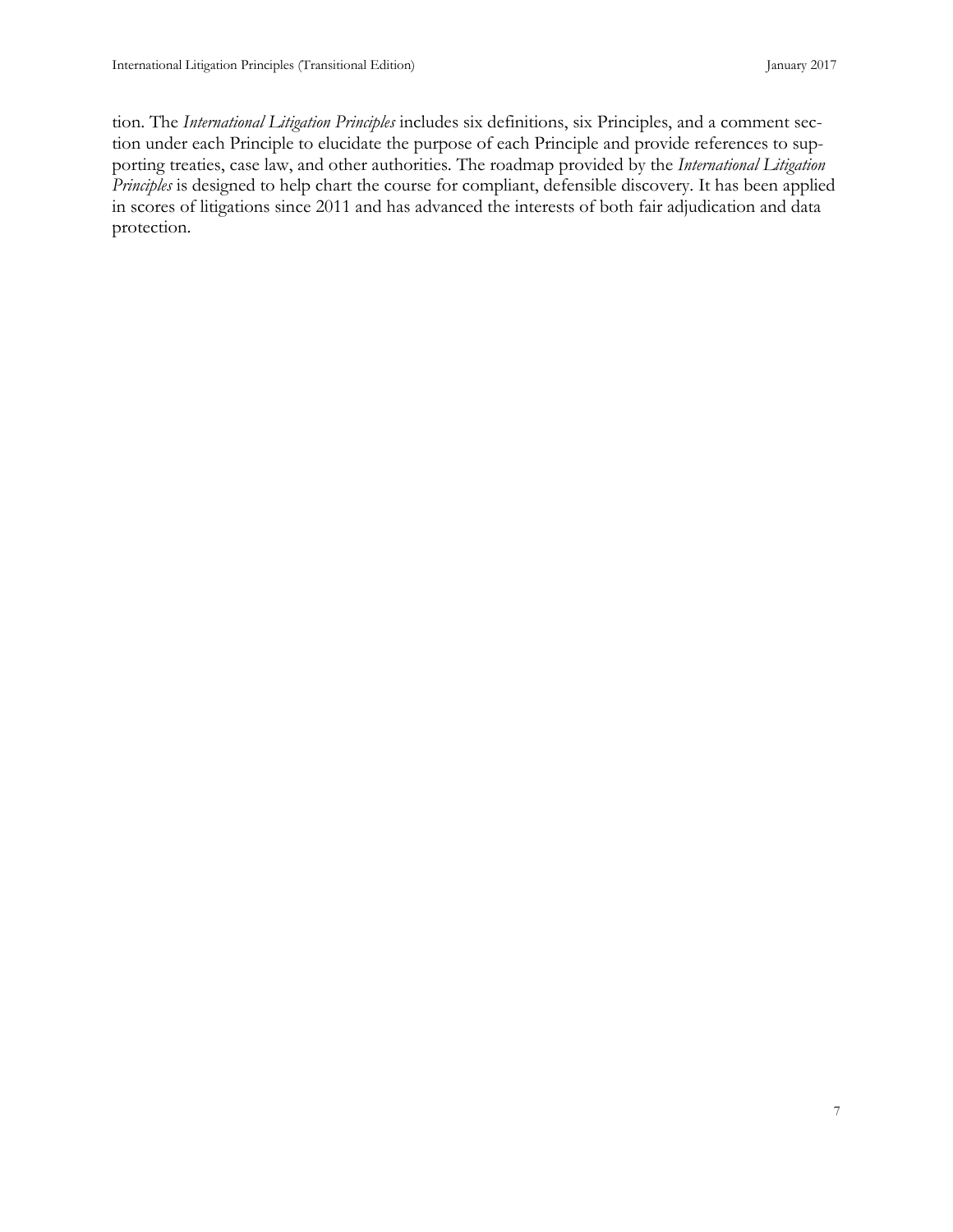<span id="page-15-0"></span>tion. The *International Litigation Principles* includes six definitions, six Principles, and a comment section under each Principle to elucidate the purpose of each Principle and provide references to supporting treaties, case law, and other authorities. The roadmap provided by the *International Litigation Principles* is designed to help chart the course for compliant, defensible discovery. It has been applied in scores of litigations since 2011 and has advanced the interests of both fair adjudication and data protection.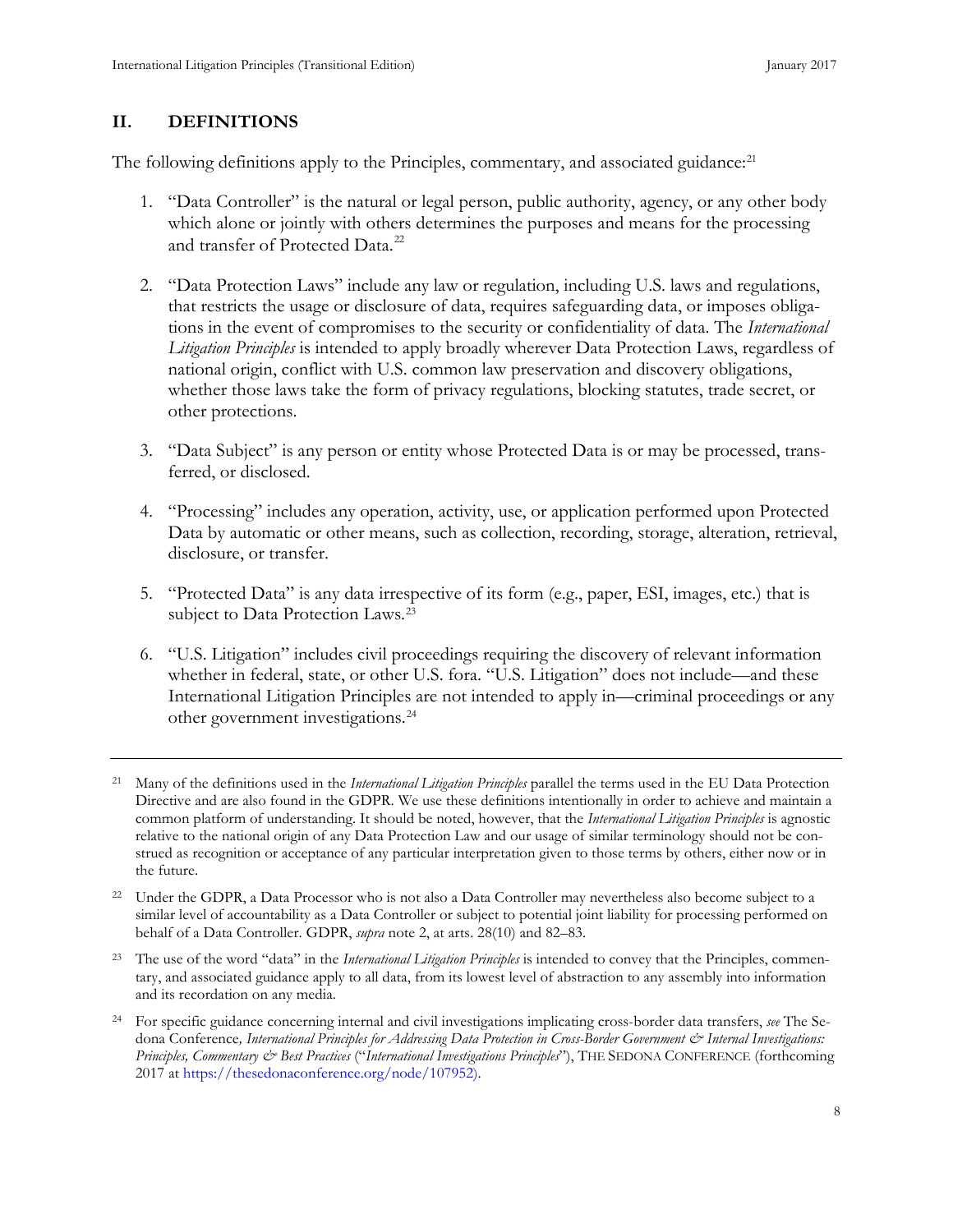#### **II. DEFINITIONS**

The following definitions apply to the Principles, commentary, and associated guidance:<sup>[21](#page-16-0)</sup>

- 1. "Data Controller" is the natural or legal person, public authority, agency, or any other body which alone or jointly with others determines the purposes and means for the processing and transfer of Protected Data.<sup>[22](#page-16-1)</sup>
- 2. "Data Protection Laws" include any law or regulation, including U.S. laws and regulations, that restricts the usage or disclosure of data, requires safeguarding data, or imposes obligations in the event of compromises to the security or confidentiality of data. The *International Litigation Principles* is intended to apply broadly wherever Data Protection Laws, regardless of national origin, conflict with U.S. common law preservation and discovery obligations, whether those laws take the form of privacy regulations, blocking statutes, trade secret, or other protections.
- 3. "Data Subject" is any person or entity whose Protected Data is or may be processed, transferred, or disclosed.
- 4. "Processing" includes any operation, activity, use, or application performed upon Protected Data by automatic or other means, such as collection, recording, storage, alteration, retrieval, disclosure, or transfer.
- 5. "Protected Data" is any data irrespective of its form (e.g., paper, ESI, images, etc.) that is subject to Data Protection Laws.<sup>[23](#page-16-2)</sup>
- 6. "U.S. Litigation" includes civil proceedings requiring the discovery of relevant information whether in federal, state, or other U.S. fora. "U.S. Litigation" does not include—and these International Litigation Principles are not intended to apply in—criminal proceedings or any other government investigations.[24](#page-16-3)

<span id="page-16-2"></span><sup>23</sup> The use of the word "data" in the *International Litigation Principles* is intended to convey that the Principles, commentary, and associated guidance apply to all data, from its lowest level of abstraction to any assembly into information and its recordation on any media.

<span id="page-16-0"></span><sup>21</sup> Many of the definitions used in the *International Litigation Principles* parallel the terms used in the EU Data Protection Directive and are also found in the GDPR. We use these definitions intentionally in order to achieve and maintain a common platform of understanding. It should be noted, however, that the *International Litigation Principles* is agnostic relative to the national origin of any Data Protection Law and our usage of similar terminology should not be construed as recognition or acceptance of any particular interpretation given to those terms by others, either now or in the future.

<span id="page-16-1"></span><sup>&</sup>lt;sup>22</sup> Under the GDPR, a Data Processor who is not also a Data Controller may nevertheless also become subject to a similar level of accountability as a Data Controller or subject to potential joint liability for processing performed on behalf of a Data Controller. GDPR, *supra* note 2, at arts. 28(10) and 82–83.

<span id="page-16-3"></span><sup>24</sup> For specific guidance concerning internal and civil investigations implicating cross-border data transfers, *see* The Sedona Conference, International Principles for Addressing Data Protection in Cross-Border Government & Internal Investigations: *Principles, Commentary & Best Practices* ("*International Investigations Principles*"), THE SEDONA CONFERENCE (forthcoming 2017 a[t https://thesedonaconference.org/node/107952\)](https://thesedonaconference.org/node/107952).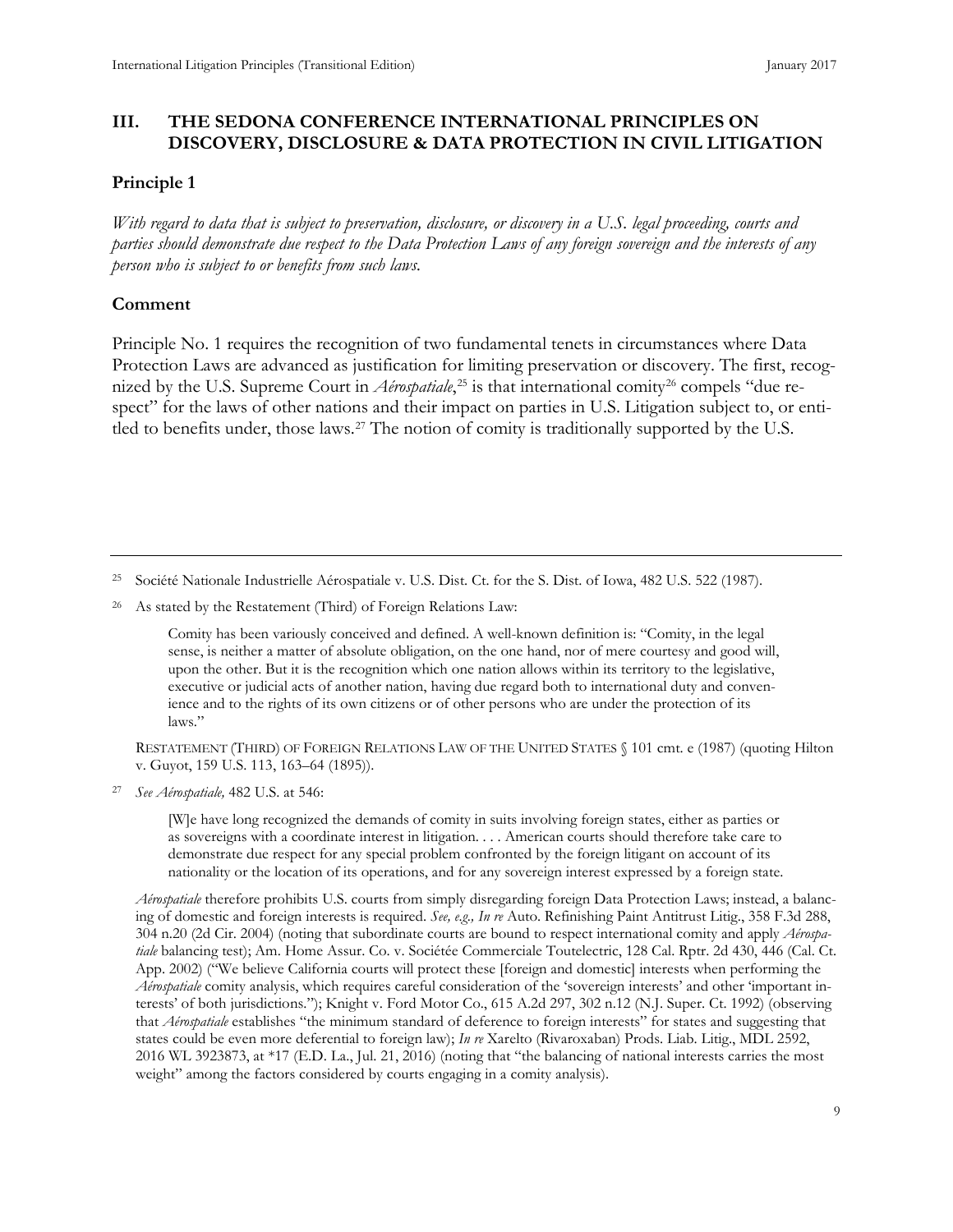#### <span id="page-17-0"></span>**III. THE SEDONA CONFERENCE INTERNATIONAL PRINCIPLES ON DISCOVERY, DISCLOSURE & DATA PROTECTION IN CIVIL LITIGATION**

#### **Principle 1**

*With regard to data that is subject to preservation, disclosure, or discovery in a U.S. legal proceeding, courts and parties should demonstrate due respect to the Data Protection Laws of any foreign sovereign and the interests of any person who is subject to or benefits from such laws.*

#### **Comment**

Principle No. 1 requires the recognition of two fundamental tenets in circumstances where Data Protection Laws are advanced as justification for limiting preservation or discovery. The first, recognized by the U.S. Supreme Court in *Aérospatiale*,<sup>[25](#page-17-1)</sup> is that international comity<sup>[26](#page-17-2)</sup> compels "due respect" for the laws of other nations and their impact on parties in U.S. Litigation subject to, or enti-tled to benefits under, those laws.<sup>[27](#page-17-3)</sup> The notion of comity is traditionally supported by the U.S.

<span id="page-17-2"></span><sup>26</sup> As stated by the Restatement (Third) of Foreign Relations Law:

Comity has been variously conceived and defined. A well-known definition is: "Comity, in the legal sense, is neither a matter of absolute obligation, on the one hand, nor of mere courtesy and good will, upon the other. But it is the recognition which one nation allows within its territory to the legislative, executive or judicial acts of another nation, having due regard both to international duty and convenience and to the rights of its own citizens or of other persons who are under the protection of its laws."

RESTATEMENT (THIRD) OF FOREIGN RELATIONS LAW OF THE UNITED STATES § 101 cmt. e (1987) (quoting Hilton v. Guyot, 159 U.S. 113, 163–64 (1895)).

<span id="page-17-3"></span><sup>27</sup> *See Aérospatiale,* 482 U.S. at 546:

[W]e have long recognized the demands of comity in suits involving foreign states, either as parties or as sovereigns with a coordinate interest in litigation. . . . American courts should therefore take care to demonstrate due respect for any special problem confronted by the foreign litigant on account of its nationality or the location of its operations, and for any sovereign interest expressed by a foreign state.

*Aérospatiale* therefore prohibits U.S. courts from simply disregarding foreign Data Protection Laws; instead, a balancing of domestic and foreign interests is required. *See, e.g., In re* Auto. Refinishing Paint Antitrust Litig., 358 F.3d 288, 304 n.20 (2d Cir. 2004) (noting that subordinate courts are bound to respect international comity and apply *Aérospatiale* balancing test); Am. Home Assur. Co. v. Sociétée Commerciale Toutelectric, 128 Cal. Rptr. 2d 430, 446 (Cal. Ct. App. 2002) ("We believe California courts will protect these [foreign and domestic] interests when performing the *Aérospatiale* comity analysis, which requires careful consideration of the 'sovereign interests' and other 'important interests' of both jurisdictions."); Knight v. Ford Motor Co., 615 A.2d 297, 302 n.12 (N.J. Super. Ct. 1992) (observing that *Aérospatiale* establishes "the minimum standard of deference to foreign interests" for states and suggesting that states could be even more deferential to foreign law); *In re* Xarelto (Rivaroxaban) Prods. Liab. Litig., MDL 2592, 2016 WL 3923873, at \*17 (E.D. La., Jul. 21, 2016) (noting that "the balancing of national interests carries the most weight" among the factors considered by courts engaging in a comity analysis).

<span id="page-17-1"></span><sup>&</sup>lt;sup>25</sup> Société Nationale Industrielle Aérospatiale v. U.S. Dist. Ct. for the S. Dist. of Iowa, 482 U.S. 522 (1987).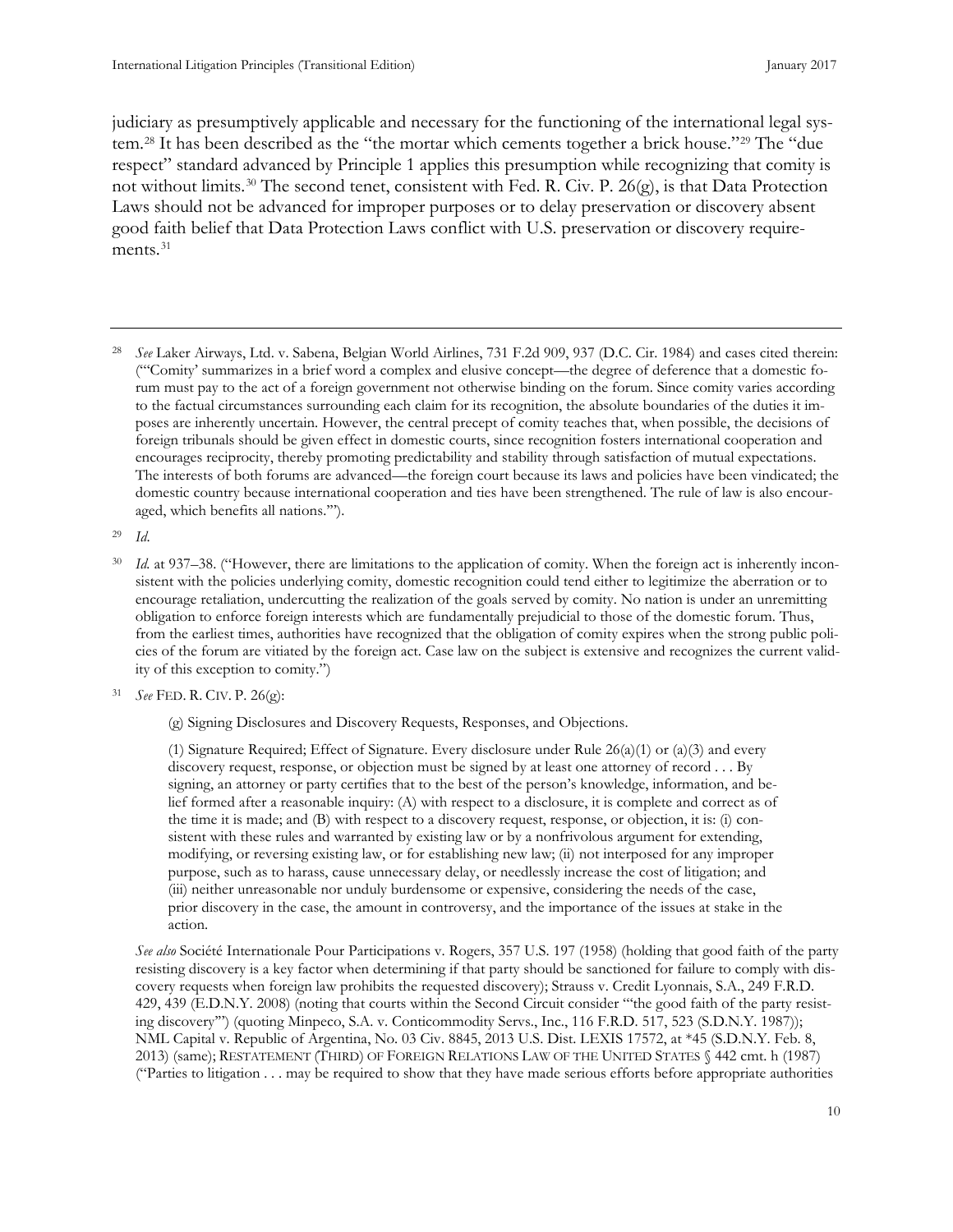judiciary as presumptively applicable and necessary for the functioning of the international legal system.[28](#page-18-0) It has been described as the "the mortar which cements together a brick house."[29](#page-18-1) The "due respect" standard advanced by Principle 1 applies this presumption while recognizing that comity is not without limits.<sup>[30](#page-18-2)</sup> The second tenet, consistent with Fed. R. Civ. P. 26 $(g)$ , is that Data Protection Laws should not be advanced for improper purposes or to delay preservation or discovery absent good faith belief that Data Protection Laws conflict with U.S. preservation or discovery require-ments.<sup>[31](#page-18-3)</sup>

<span id="page-18-0"></span><sup>28</sup> *See* Laker Airways, Ltd. v. Sabena, Belgian World Airlines, 731 F.2d 909, 937 (D.C. Cir. 1984) and cases cited therein: ("'Comity' summarizes in a brief word a complex and elusive concept—the degree of deference that a domestic forum must pay to the act of a foreign government not otherwise binding on the forum. Since comity varies according to the factual circumstances surrounding each claim for its recognition, the absolute boundaries of the duties it imposes are inherently uncertain. However, the central precept of comity teaches that, when possible, the decisions of foreign tribunals should be given effect in domestic courts, since recognition fosters international cooperation and encourages reciprocity, thereby promoting predictability and stability through satisfaction of mutual expectations. The interests of both forums are advanced—the foreign court because its laws and policies have been vindicated; the domestic country because international cooperation and ties have been strengthened. The rule of law is also encouraged, which benefits all nations.'").

<span id="page-18-2"></span><span id="page-18-1"></span><sup>29</sup> *Id*.

- Id. at 937–38. ("However, there are limitations to the application of comity. When the foreign act is inherently inconsistent with the policies underlying comity, domestic recognition could tend either to legitimize the aberration or to encourage retaliation, undercutting the realization of the goals served by comity. No nation is under an unremitting obligation to enforce foreign interests which are fundamentally prejudicial to those of the domestic forum. Thus, from the earliest times, authorities have recognized that the obligation of comity expires when the strong public policies of the forum are vitiated by the foreign act. Case law on the subject is extensive and recognizes the current validity of this exception to comity.")
- <span id="page-18-3"></span><sup>31</sup> *See* FED. R. CIV. P. 26(g):
	- (g) Signing Disclosures and Discovery Requests, Responses, and Objections.

(1) Signature Required; Effect of Signature. Every disclosure under Rule 26(a)(1) or (a)(3) and every discovery request, response, or objection must be signed by at least one attorney of record . . . By signing, an attorney or party certifies that to the best of the person's knowledge, information, and belief formed after a reasonable inquiry: (A) with respect to a disclosure, it is complete and correct as of the time it is made; and (B) with respect to a discovery request, response, or objection, it is: (i) consistent with these rules and warranted by existing law or by a nonfrivolous argument for extending, modifying, or reversing existing law, or for establishing new law; (ii) not interposed for any improper purpose, such as to harass, cause unnecessary delay, or needlessly increase the cost of litigation; and (iii) neither unreasonable nor unduly burdensome or expensive, considering the needs of the case, prior discovery in the case, the amount in controversy, and the importance of the issues at stake in the action.

*See also* Société Internationale Pour Participations v. Rogers, 357 U.S. 197 (1958) (holding that good faith of the party resisting discovery is a key factor when determining if that party should be sanctioned for failure to comply with discovery requests when foreign law prohibits the requested discovery); Strauss v. Credit Lyonnais, S.A., 249 F.R.D. 429, 439 (E.D.N.Y. 2008) (noting that courts within the Second Circuit consider "'the good faith of the party resisting discovery'") (quoting Minpeco, S.A. v. Conticommodity Servs., Inc., 116 F.R.D. 517, 523 (S.D.N.Y. 1987)); NML Capital v. Republic of Argentina, No. 03 Civ. 8845, 2013 U.S. Dist. LEXIS 17572, at \*45 (S.D.N.Y. Feb. 8, 2013) (same); RESTATEMENT (THIRD) OF FOREIGN RELATIONS LAW OF THE UNITED STATES § 442 cmt. h (1987) ("Parties to litigation . . . may be required to show that they have made serious efforts before appropriate authorities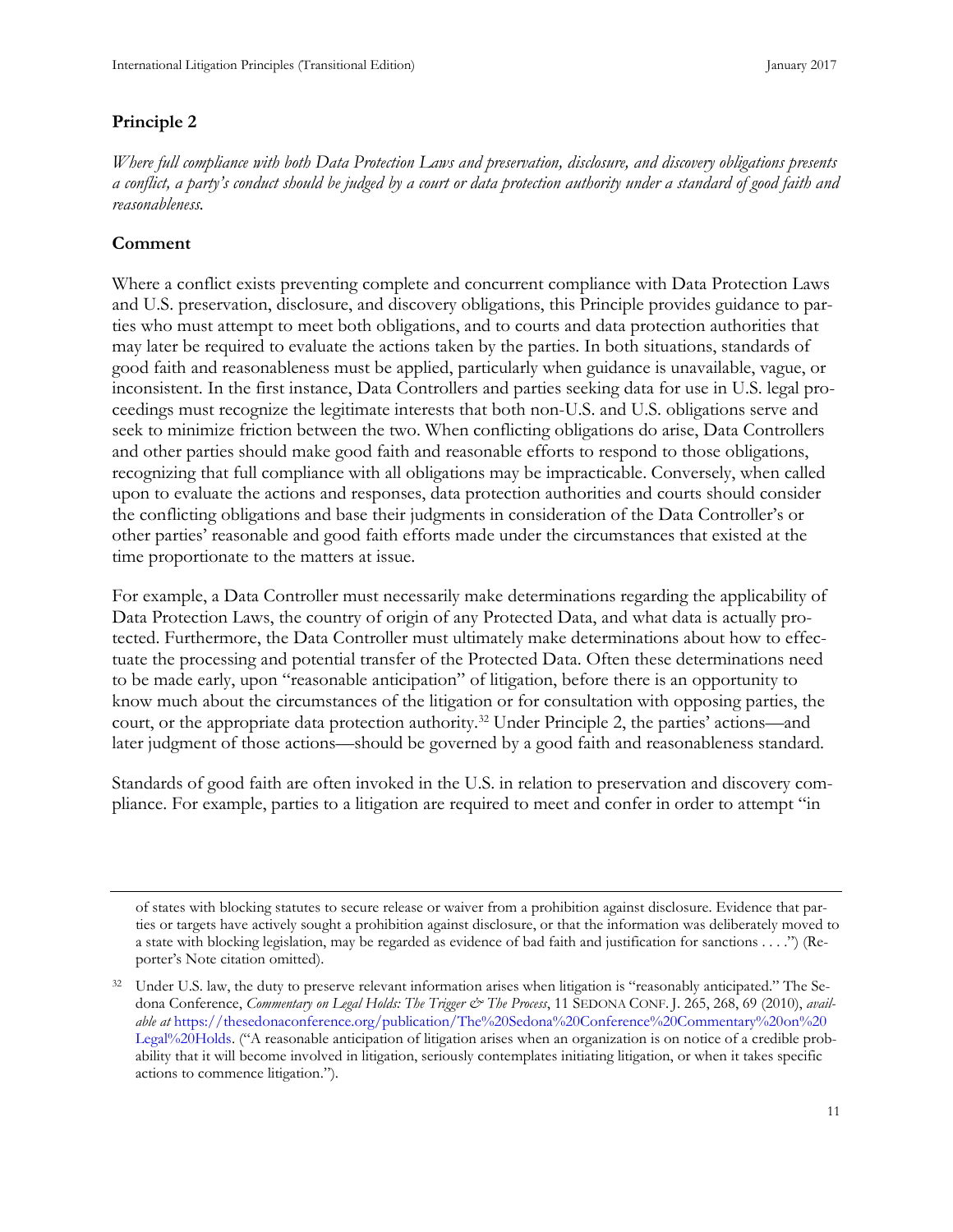#### <span id="page-19-0"></span>**Principle 2**

*Where full compliance with both Data Protection Laws and preservation, disclosure, and discovery obligations presents a conflict, a party's conduct should be judged by a court or data protection authority under a standard of good faith and reasonableness.*

## **Comment**

Where a conflict exists preventing complete and concurrent compliance with Data Protection Laws and U.S. preservation, disclosure, and discovery obligations, this Principle provides guidance to parties who must attempt to meet both obligations, and to courts and data protection authorities that may later be required to evaluate the actions taken by the parties. In both situations, standards of good faith and reasonableness must be applied, particularly when guidance is unavailable, vague, or inconsistent. In the first instance, Data Controllers and parties seeking data for use in U.S. legal proceedings must recognize the legitimate interests that both non-U.S. and U.S. obligations serve and seek to minimize friction between the two. When conflicting obligations do arise, Data Controllers and other parties should make good faith and reasonable efforts to respond to those obligations, recognizing that full compliance with all obligations may be impracticable. Conversely, when called upon to evaluate the actions and responses, data protection authorities and courts should consider the conflicting obligations and base their judgments in consideration of the Data Controller's or other parties' reasonable and good faith efforts made under the circumstances that existed at the time proportionate to the matters at issue.

For example, a Data Controller must necessarily make determinations regarding the applicability of Data Protection Laws, the country of origin of any Protected Data, and what data is actually protected. Furthermore, the Data Controller must ultimately make determinations about how to effectuate the processing and potential transfer of the Protected Data. Often these determinations need to be made early, upon "reasonable anticipation" of litigation, before there is an opportunity to know much about the circumstances of the litigation or for consultation with opposing parties, the court, or the appropriate data protection authority.[32](#page-19-1) Under Principle 2, the parties' actions—and later judgment of those actions—should be governed by a good faith and reasonableness standard.

Standards of good faith are often invoked in the U.S. in relation to preservation and discovery compliance. For example, parties to a litigation are required to meet and confer in order to attempt "in

of states with blocking statutes to secure release or waiver from a prohibition against disclosure. Evidence that parties or targets have actively sought a prohibition against disclosure, or that the information was deliberately moved to a state with blocking legislation, may be regarded as evidence of bad faith and justification for sanctions . . . .") (Reporter's Note citation omitted).

<span id="page-19-1"></span><sup>&</sup>lt;sup>32</sup> Under U.S. law, the duty to preserve relevant information arises when litigation is "reasonably anticipated." The Sedona Conference, *Commentary on Legal Holds: The Trigger & The Process*, 11 SEDONA CONF. J. 265, 268, 69 (2010), *available at* [https://thesedonaconference.org/publication/The%20Sedona%20Conference%20Commentary%20on%20](https://thesedonaconference.org/publication/The%20Sedona%20Conference%20Commentary%20on%20Legal%20Holds) [Legal%20Holds.](https://thesedonaconference.org/publication/The%20Sedona%20Conference%20Commentary%20on%20Legal%20Holds) ("A reasonable anticipation of litigation arises when an organization is on notice of a credible probability that it will become involved in litigation, seriously contemplates initiating litigation, or when it takes specific actions to commence litigation.").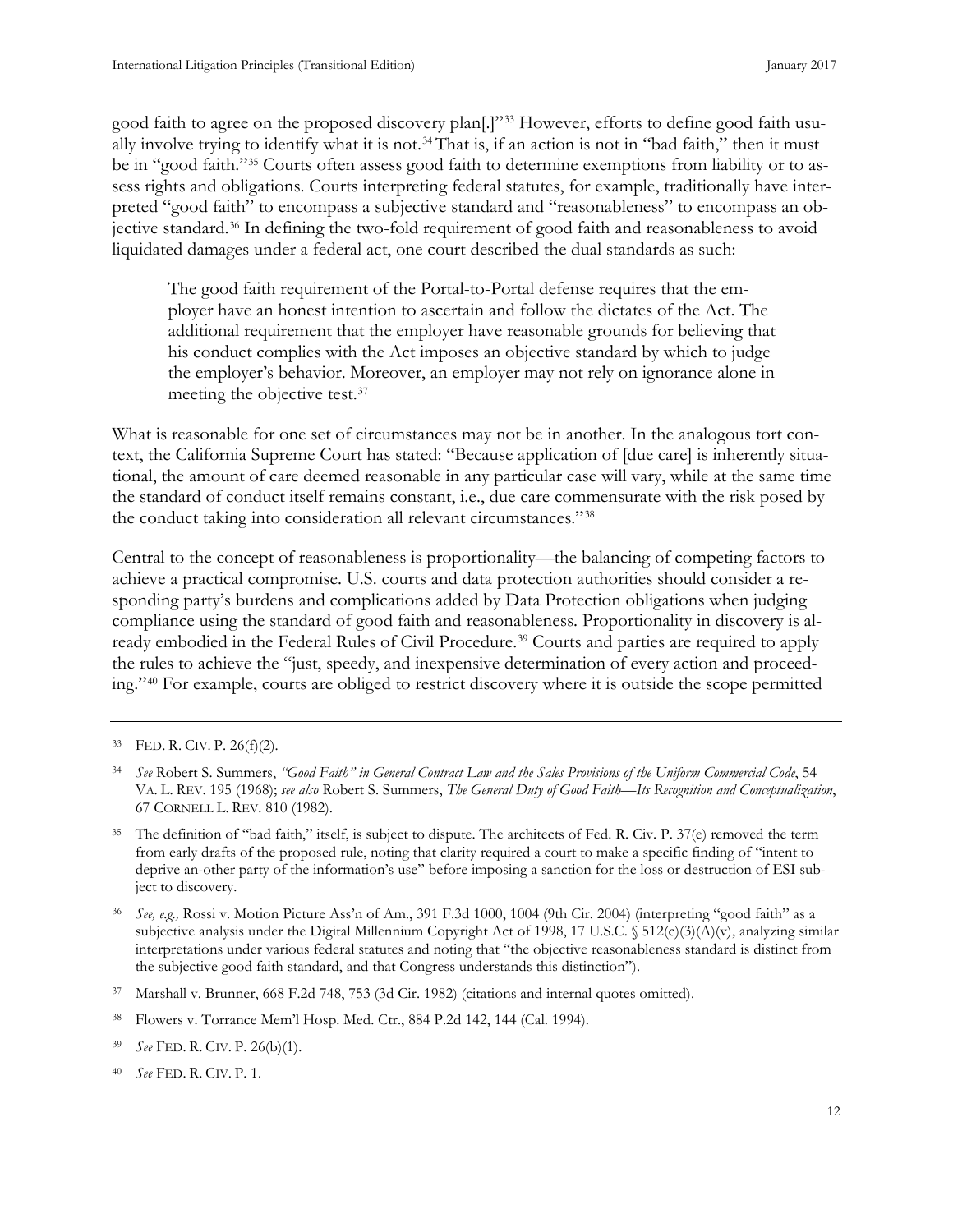good faith to agree on the proposed discovery plan[.]"[33](#page-20-0) However, efforts to define good faith usually involve trying to identify what it is not.[34](#page-20-1)That is, if an action is not in "bad faith," then it must be in "good faith."[35](#page-20-2) Courts often assess good faith to determine exemptions from liability or to assess rights and obligations. Courts interpreting federal statutes, for example, traditionally have interpreted "good faith" to encompass a subjective standard and "reasonableness" to encompass an objective standard[.36](#page-20-3) In defining the two-fold requirement of good faith and reasonableness to avoid liquidated damages under a federal act, one court described the dual standards as such:

The good faith requirement of the Portal-to-Portal defense requires that the employer have an honest intention to ascertain and follow the dictates of the Act. The additional requirement that the employer have reasonable grounds for believing that his conduct complies with the Act imposes an objective standard by which to judge the employer's behavior. Moreover, an employer may not rely on ignorance alone in meeting the objective test.<sup>[37](#page-20-4)</sup>

What is reasonable for one set of circumstances may not be in another. In the analogous tort context, the California Supreme Court has stated: "Because application of [due care] is inherently situational, the amount of care deemed reasonable in any particular case will vary, while at the same time the standard of conduct itself remains constant, i.e., due care commensurate with the risk posed by the conduct taking into consideration all relevant circumstances."[38](#page-20-5)

Central to the concept of reasonableness is proportionality—the balancing of competing factors to achieve a practical compromise. U.S. courts and data protection authorities should consider a responding party's burdens and complications added by Data Protection obligations when judging compliance using the standard of good faith and reasonableness. Proportionality in discovery is al-ready embodied in the Federal Rules of Civil Procedure.<sup>[39](#page-20-6)</sup> Courts and parties are required to apply the rules to achieve the "just, speedy, and inexpensive determination of every action and proceeding."[40](#page-20-7) For example, courts are obliged to restrict discovery where it is outside the scope permitted

<span id="page-20-5"></span><sup>38</sup> Flowers v. Torrance Mem'l Hosp. Med. Ctr., 884 P.2d 142, 144 (Cal. 1994).

<span id="page-20-0"></span><sup>33</sup> FED. R. CIV. P. 26(f)(2).

<span id="page-20-1"></span><sup>34</sup> *See* Robert S. Summers, *"Good Faith" in General Contract Law and the Sales Provisions of the Uniform Commercial Code*, 54 VA. L. REV. 195 (1968); *see also* Robert S. Summers, *The General Duty of Good Faith—Its Recognition and Conceptualization*, 67 CORNELL L. REV. 810 (1982).

<span id="page-20-2"></span><sup>35</sup> The definition of "bad faith," itself, is subject to dispute. The architects of Fed. R. Civ. P. 37(e) removed the term from early drafts of the proposed rule, noting that clarity required a court to make a specific finding of "intent to deprive an-other party of the information's use" before imposing a sanction for the loss or destruction of ESI subject to discovery.

<span id="page-20-3"></span><sup>36</sup> *See, e.g.,* Rossi v. Motion Picture Ass'n of Am., 391 F.3d 1000, 1004 (9th Cir. 2004) (interpreting "good faith" as a subjective analysis under the Digital Millennium Copyright Act of 1998, 17 U.S.C.  $\$512(c)(3)(A)(v)$ , analyzing similar interpretations under various federal statutes and noting that "the objective reasonableness standard is distinct from the subjective good faith standard, and that Congress understands this distinction").

<span id="page-20-4"></span><sup>37</sup> Marshall v. Brunner, 668 F.2d 748, 753 (3d Cir. 1982) (citations and internal quotes omitted).

<span id="page-20-6"></span><sup>39</sup> *See* FED. R. CIV. P. 26(b)(1).

<span id="page-20-7"></span><sup>40</sup> *See* FED. R. CIV. P. 1.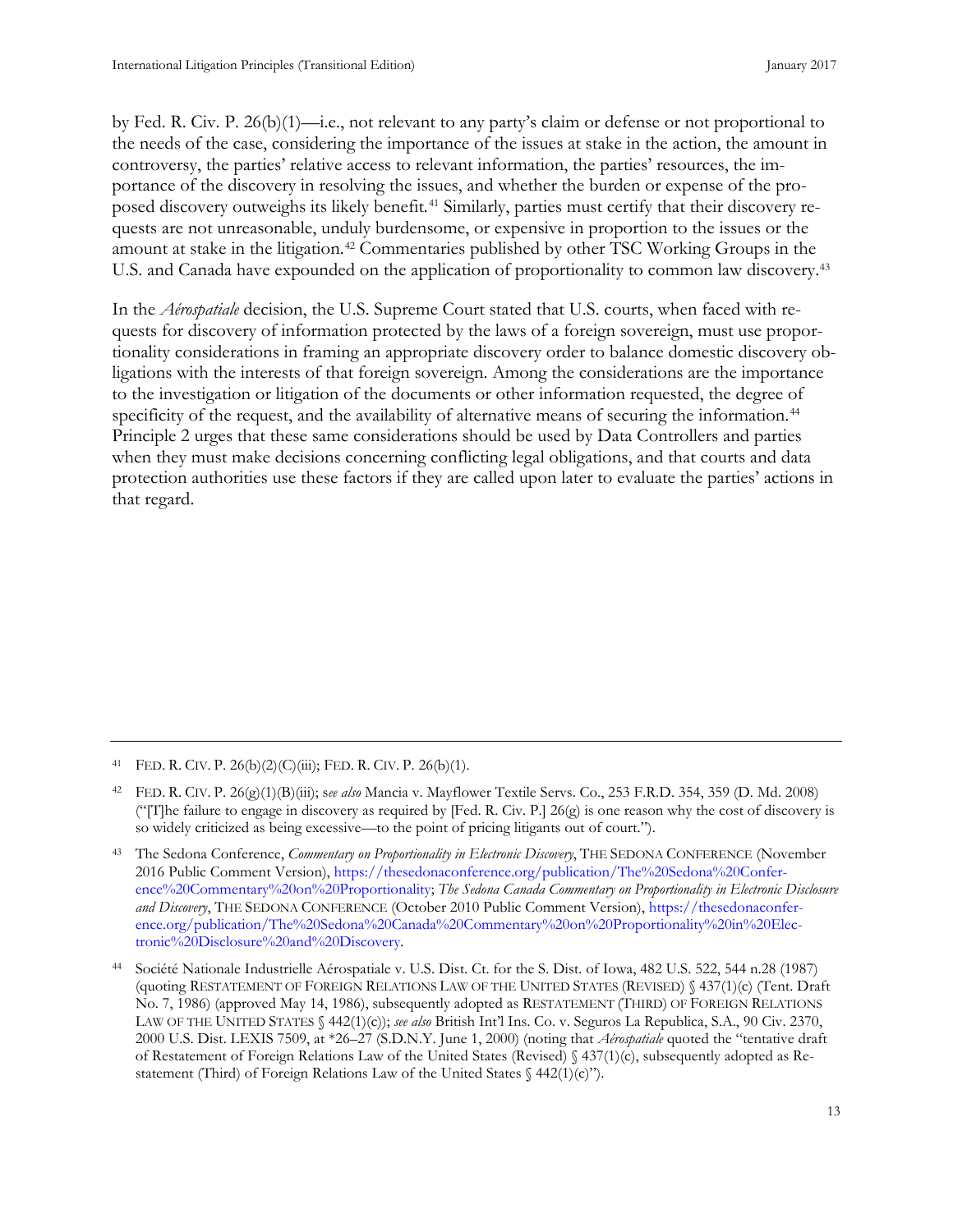<span id="page-21-0"></span>by Fed. R. Civ. P. 26(b)(1)—i.e., not relevant to any party's claim or defense or not proportional to the needs of the case, considering the importance of the issues at stake in the action, the amount in controversy, the parties' relative access to relevant information, the parties' resources, the importance of the discovery in resolving the issues, and whether the burden or expense of the proposed discovery outweighs its likely benefit*.* [41](#page-21-1) Similarly, parties must certify that their discovery requests are not unreasonable, unduly burdensome, or expensive in proportion to the issues or the amount at stake in the litigation.[42](#page-21-2) Commentaries published by other TSC Working Groups in the U.S. and Canada have expounded on the application of proportionality to common law discovery.[43](#page-21-3)

In the *Aérospatiale* decision, the U.S. Supreme Court stated that U.S. courts, when faced with requests for discovery of information protected by the laws of a foreign sovereign, must use proportionality considerations in framing an appropriate discovery order to balance domestic discovery obligations with the interests of that foreign sovereign. Among the considerations are the importance to the investigation or litigation of the documents or other information requested, the degree of specificity of the request, and the availability of alternative means of securing the information.<sup>[44](#page-21-4)</sup> Principle 2 urges that these same considerations should be used by Data Controllers and parties when they must make decisions concerning conflicting legal obligations, and that courts and data protection authorities use these factors if they are called upon later to evaluate the parties' actions in that regard.

<span id="page-21-1"></span><sup>41</sup> FED. R. CIV. P.  $26(b)(2)(C)(iii)$ ; FED. R. CIV. P.  $26(b)(1)$ .

<span id="page-21-2"></span><sup>42</sup> FED. R. CIV. P. 26(g)(1)(B)(iii); s*ee also* Mancia v. Mayflower Textile Servs. Co., 253 F.R.D. 354, 359 (D. Md. 2008) ("[T]he failure to engage in discovery as required by [Fed. R. Civ. P.]  $26(g)$  is one reason why the cost of discovery is so widely criticized as being excessive—to the point of pricing litigants out of court.").

<span id="page-21-3"></span><sup>43</sup> The Sedona Conference, *Commentary on Proportionality in Electronic Discovery*, THE SEDONA CONFERENCE (November 2016 Public Comment Version)[, https://thesedonaconference.org/publication/The%20Sedona%20Confer](https://thesedonaconference.org/publication/The%20Sedona%20Conference%20Commentary%20on%20Proportionality)[ence%20Commentary%20on%20Proportionality;](https://thesedonaconference.org/publication/The%20Sedona%20Conference%20Commentary%20on%20Proportionality) *The Sedona Canada Commentary on Proportionality in Electronic Disclosure and Discovery*, THE SEDONA CONFERENCE (October 2010 Public Comment Version), [https://thesedonaconfer](https://thesedonaconference.org/publication/The%20Sedona%20Canada%20Commentary%20on%20Proportionality%20in%20Electronic%20Disclosure%20and%20Discovery)[ence.org/publication/The%20Sedona%20Canada%20Commentary%20on%20Proportionality%20in%20Elec](https://thesedonaconference.org/publication/The%20Sedona%20Canada%20Commentary%20on%20Proportionality%20in%20Electronic%20Disclosure%20and%20Discovery)[tronic%20Disclosure%20and%20Discovery.](https://thesedonaconference.org/publication/The%20Sedona%20Canada%20Commentary%20on%20Proportionality%20in%20Electronic%20Disclosure%20and%20Discovery) 

<span id="page-21-4"></span><sup>44</sup> Société Nationale Industrielle Aérospatiale v. U.S. Dist. Ct. for the S. Dist. of Iowa, 482 U.S. 522, 544 n.28 (1987) (quoting RESTATEMENT OF FOREIGN RELATIONS LAW OF THE UNITED STATES (REVISED) § 437(1)(c) (Tent. Draft No. 7, 1986) (approved May 14, 1986), subsequently adopted as RESTATEMENT (THIRD) OF FOREIGN RELATIONS LAW OF THE UNITED STATES § 442(1)(c)); *see also* British Int'l Ins. Co. v. Seguros La Republica, S.A., 90 Civ. 2370, 2000 U.S. Dist. LEXIS 7509, at \*26–27 (S.D.N.Y. June 1, 2000) (noting that *Aérospatiale* quoted the "tentative draft of Restatement of Foreign Relations Law of the United States (Revised) § 437(1)(c), subsequently adopted as Restatement (Third) of Foreign Relations Law of the United States  $\frac{442(1)(c)}{2}$ .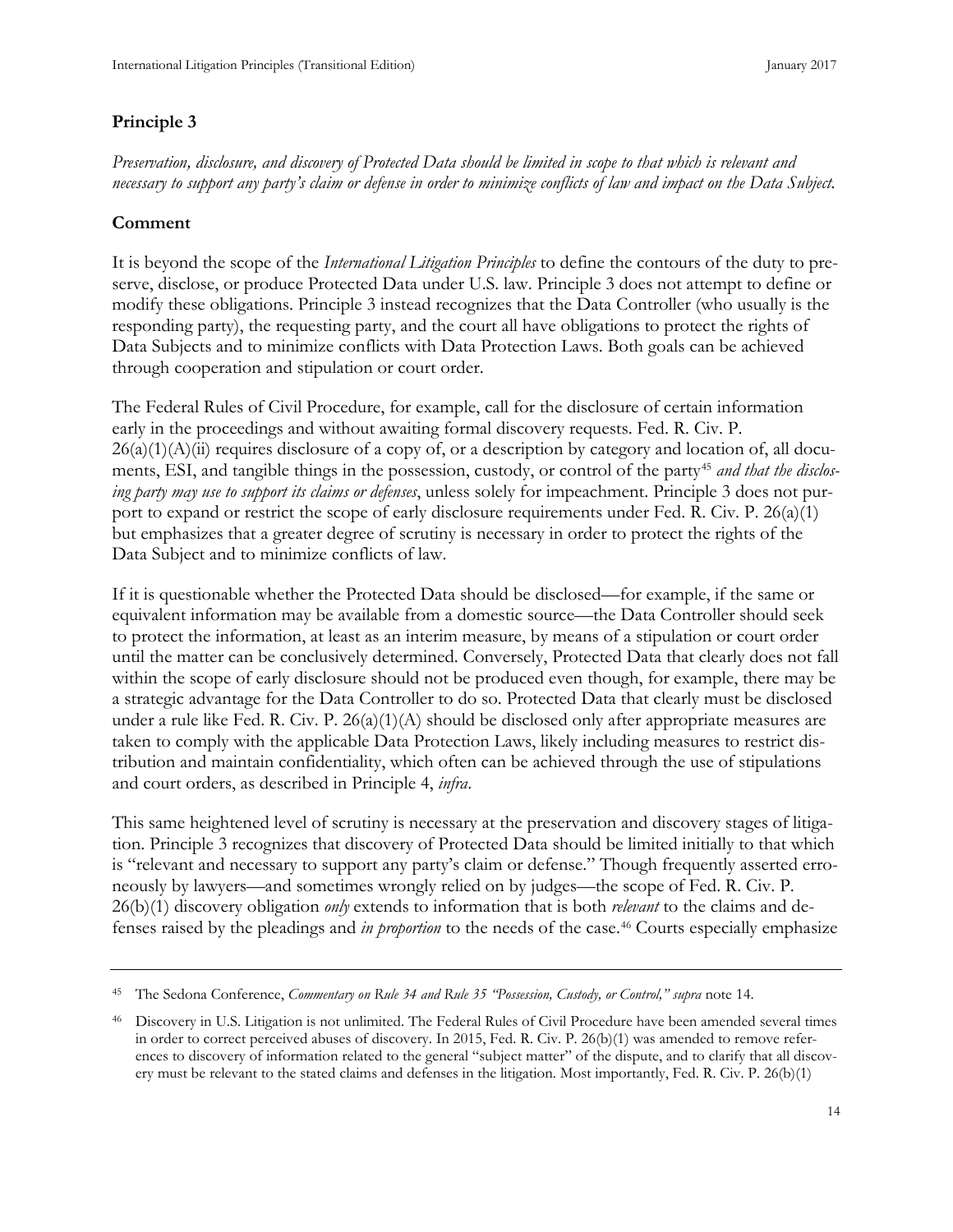# **Principle 3**

*Preservation, disclosure, and discovery of Protected Data should be limited in scope to that which is relevant and necessary to support any party's claim or defense in order to minimize conflicts of law and impact on the Data Subject.*

# **Comment**

It is beyond the scope of the *International Litigation Principles* to define the contours of the duty to preserve, disclose, or produce Protected Data under U.S. law. Principle 3 does not attempt to define or modify these obligations. Principle 3 instead recognizes that the Data Controller (who usually is the responding party), the requesting party, and the court all have obligations to protect the rights of Data Subjects and to minimize conflicts with Data Protection Laws. Both goals can be achieved through cooperation and stipulation or court order.

The Federal Rules of Civil Procedure, for example, call for the disclosure of certain information early in the proceedings and without awaiting formal discovery requests. Fed. R. Civ. P.  $26(a)(1)(A)(ii)$  requires disclosure of a copy of, or a description by category and location of, all docu-ments, ESI, and tangible things in the possession, custody, or control of the party<sup>[45](#page-22-0)</sup> and that the disclos*ing party may use to support its claims or defenses*, unless solely for impeachment. Principle 3 does not purport to expand or restrict the scope of early disclosure requirements under Fed. R. Civ. P. 26(a)(1) but emphasizes that a greater degree of scrutiny is necessary in order to protect the rights of the Data Subject and to minimize conflicts of law.

If it is questionable whether the Protected Data should be disclosed—for example, if the same or equivalent information may be available from a domestic source—the Data Controller should seek to protect the information, at least as an interim measure, by means of a stipulation or court order until the matter can be conclusively determined. Conversely, Protected Data that clearly does not fall within the scope of early disclosure should not be produced even though, for example, there may be a strategic advantage for the Data Controller to do so. Protected Data that clearly must be disclosed under a rule like Fed. R. Civ. P.  $26(a)(1)(A)$  should be disclosed only after appropriate measures are taken to comply with the applicable Data Protection Laws, likely including measures to restrict distribution and maintain confidentiality, which often can be achieved through the use of stipulations and court orders, as described in Principle 4, *infra*.

This same heightened level of scrutiny is necessary at the preservation and discovery stages of litigation. Principle 3 recognizes that discovery of Protected Data should be limited initially to that which is "relevant and necessary to support any party's claim or defense." Though frequently asserted erroneously by lawyers—and sometimes wrongly relied on by judges—the scope of Fed. R. Civ. P. 26(b)(1) discovery obligation *only* extends to information that is both *relevant* to the claims and defenses raised by the pleadings and *in proportion* to the needs of the case.[46](#page-22-1) Courts especially emphasize

<span id="page-22-0"></span><sup>45</sup> The Sedona Conference, *Commentary on Rule 34 and Rule 35 "Possession, Custody, or Control," supra* note 14.

<span id="page-22-1"></span><sup>46</sup> Discovery in U.S. Litigation is not unlimited. The Federal Rules of Civil Procedure have been amended several times in order to correct perceived abuses of discovery. In 2015, Fed. R. Civ. P. 26(b)(1) was amended to remove references to discovery of information related to the general "subject matter" of the dispute, and to clarify that all discovery must be relevant to the stated claims and defenses in the litigation. Most importantly, Fed. R. Civ. P. 26(b)(1)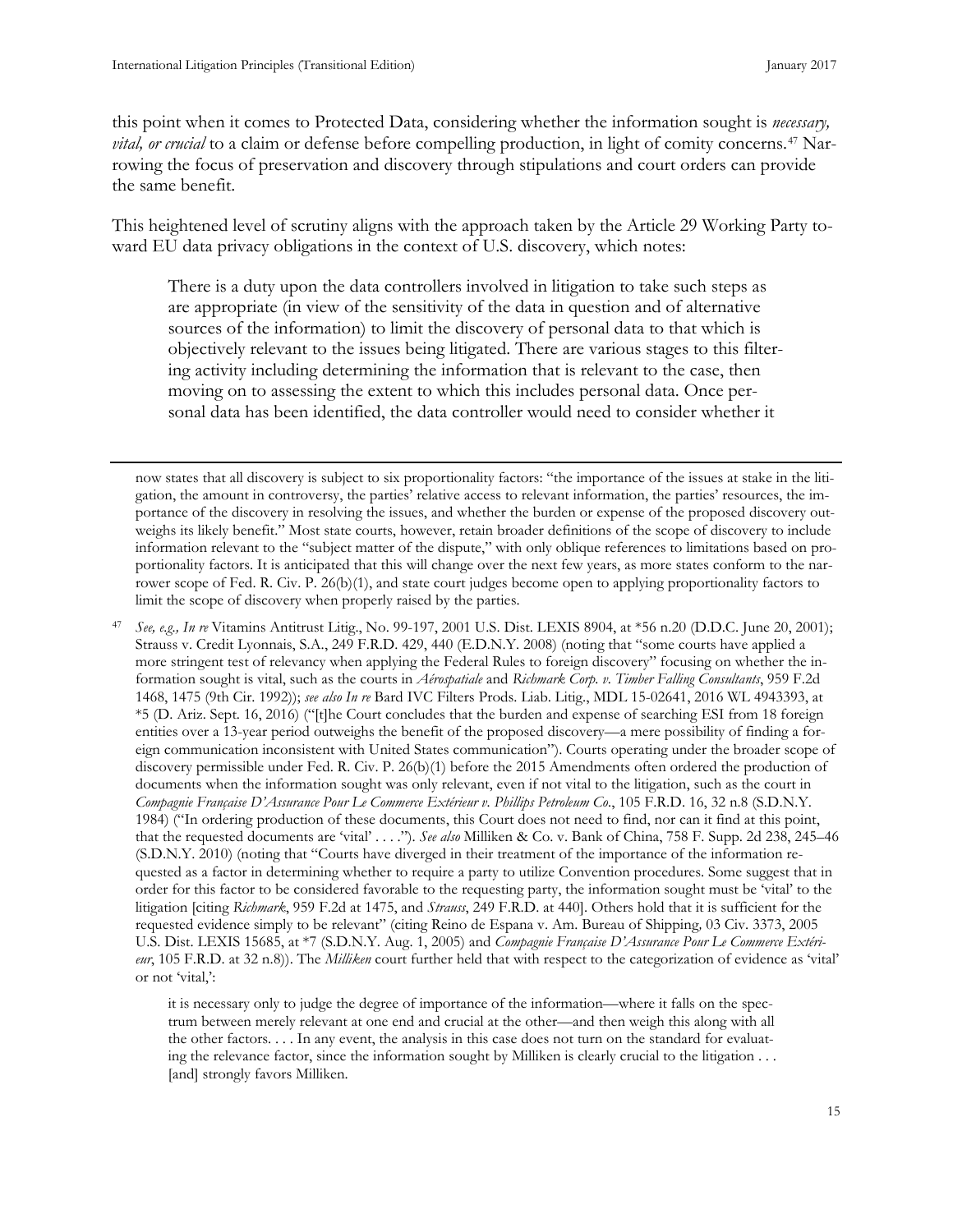<span id="page-23-0"></span>this point when it comes to Protected Data, considering whether the information sought is *necessary, vital, or crucial* to a claim or defense before compelling production, in light of comity concerns.<sup>[47](#page-23-1)</sup> Narrowing the focus of preservation and discovery through stipulations and court orders can provide the same benefit.

This heightened level of scrutiny aligns with the approach taken by the Article 29 Working Party toward EU data privacy obligations in the context of U.S. discovery, which notes:

There is a duty upon the data controllers involved in litigation to take such steps as are appropriate (in view of the sensitivity of the data in question and of alternative sources of the information) to limit the discovery of personal data to that which is objectively relevant to the issues being litigated. There are various stages to this filtering activity including determining the information that is relevant to the case, then moving on to assessing the extent to which this includes personal data. Once personal data has been identified, the data controller would need to consider whether it

now states that all discovery is subject to six proportionality factors: "the importance of the issues at stake in the litigation, the amount in controversy, the parties' relative access to relevant information, the parties' resources, the importance of the discovery in resolving the issues, and whether the burden or expense of the proposed discovery outweighs its likely benefit." Most state courts, however, retain broader definitions of the scope of discovery to include information relevant to the "subject matter of the dispute," with only oblique references to limitations based on proportionality factors. It is anticipated that this will change over the next few years, as more states conform to the narrower scope of Fed. R. Civ. P. 26(b)(1), and state court judges become open to applying proportionality factors to limit the scope of discovery when properly raised by the parties.

<span id="page-23-1"></span><sup>47</sup> *See, e.g., In re* Vitamins Antitrust Litig., No. 99-197, 2001 U.S. Dist. LEXIS 8904, at \*56 n.20 (D.D.C. June 20, 2001); Strauss v. Credit Lyonnais, S.A., 249 F.R.D. 429, 440 (E.D.N.Y. 2008) (noting that "some courts have applied a more stringent test of relevancy when applying the Federal Rules to foreign discovery" focusing on whether the information sought is vital, such as the courts in *Aérospatiale* and *Richmark Corp. v. Timber Falling Consultants*, 959 F.2d 1468, 1475 (9th Cir. 1992)); *see also In re* Bard IVC Filters Prods. Liab. Litig., MDL 15-02641, 2016 WL 4943393, at \*5 (D. Ariz. Sept. 16, 2016) ("[t]he Court concludes that the burden and expense of searching ESI from 18 foreign entities over a 13-year period outweighs the benefit of the proposed discovery—a mere possibility of finding a foreign communication inconsistent with United States communication"). Courts operating under the broader scope of discovery permissible under Fed. R. Civ. P. 26(b)(1) before the 2015 Amendments often ordered the production of documents when the information sought was only relevant, even if not vital to the litigation, such as the court in *Compagnie Française D'Assurance Pour Le Commerce Extérieur v. Phillips Petroleum Co.*, 105 F.R.D. 16, 32 n.8 (S.D.N.Y. 1984) ("In ordering production of these documents, this Court does not need to find, nor can it find at this point, that the requested documents are 'vital' . . . ."). *See also* Milliken & Co. v. Bank of China, 758 F. Supp. 2d 238, 245–46 (S.D.N.Y. 2010) (noting that "Courts have diverged in their treatment of the importance of the information requested as a factor in determining whether to require a party to utilize Convention procedures. Some suggest that in order for this factor to be considered favorable to the requesting party, the information sought must be 'vital' to the litigation [citing *Richmark*, 959 F.2d at 1475, and *Strauss*, 249 F.R.D. at 440]. Others hold that it is sufficient for the requested evidence simply to be relevant" (citing Reino de Espana v. Am. Bureau of Shipping*,* 03 Civ. 3373, 2005 U.S. Dist. LEXIS 15685, at \*7 (S.D.N.Y. Aug. 1, 2005) and *Compagnie Française D'Assurance Pour Le Commerce Extérieur*, 105 F.R.D. at 32 n.8)). The *Milliken* court further held that with respect to the categorization of evidence as 'vital' or not 'vital,':

it is necessary only to judge the degree of importance of the information—where it falls on the spectrum between merely relevant at one end and crucial at the other—and then weigh this along with all the other factors. . . . In any event, the analysis in this case does not turn on the standard for evaluating the relevance factor, since the information sought by Milliken is clearly crucial to the litigation . . . [and] strongly favors Milliken.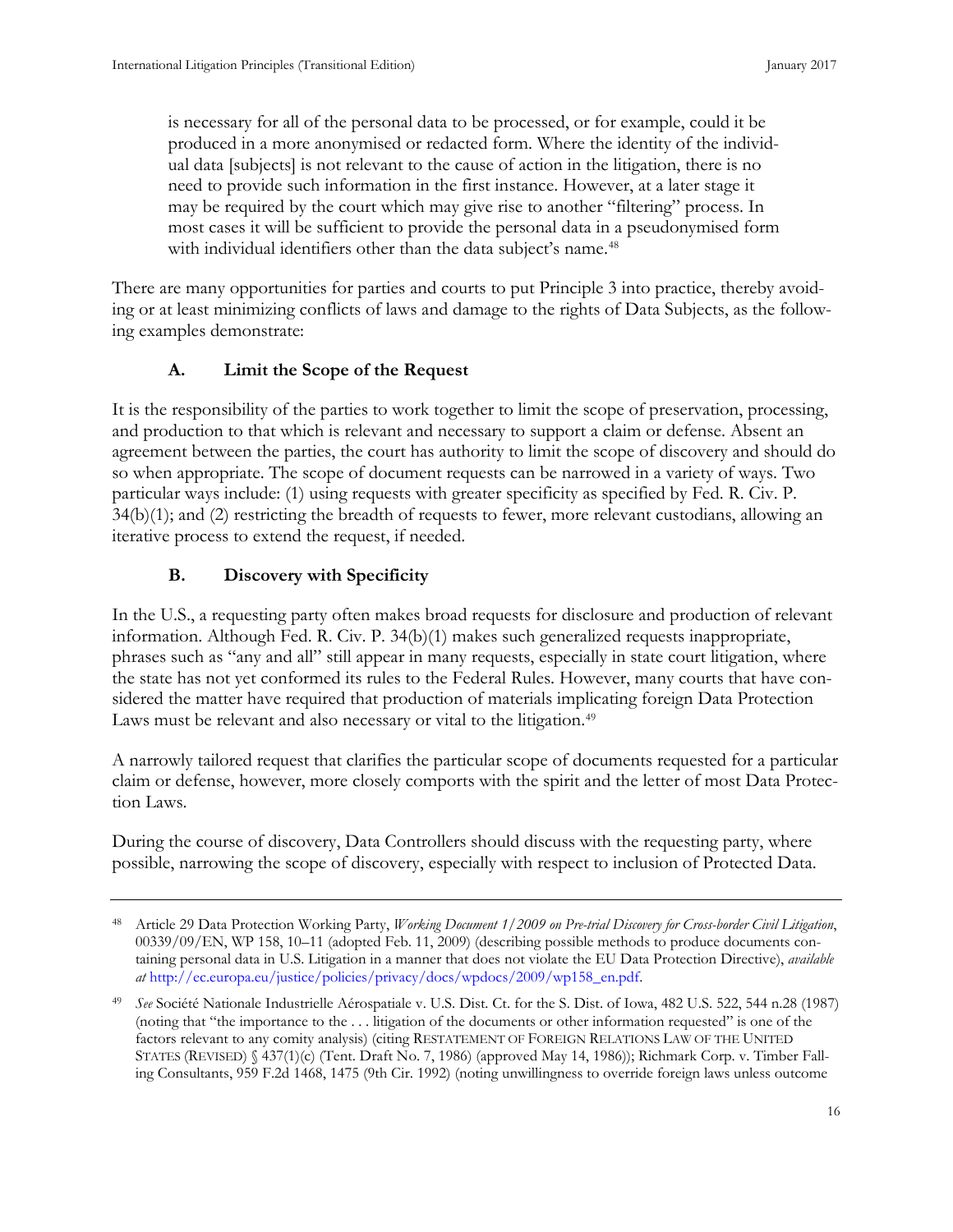is necessary for all of the personal data to be processed, or for example, could it be produced in a more anonymised or redacted form. Where the identity of the individual data [subjects] is not relevant to the cause of action in the litigation, there is no need to provide such information in the first instance. However, at a later stage it may be required by the court which may give rise to another "filtering" process. In most cases it will be sufficient to provide the personal data in a pseudonymised form with individual identifiers other than the data subject's name.<sup>[48](#page-24-0)</sup>

There are many opportunities for parties and courts to put Principle 3 into practice, thereby avoiding or at least minimizing conflicts of laws and damage to the rights of Data Subjects, as the following examples demonstrate:

#### **A. Limit the Scope of the Request**

It is the responsibility of the parties to work together to limit the scope of preservation, processing, and production to that which is relevant and necessary to support a claim or defense. Absent an agreement between the parties, the court has authority to limit the scope of discovery and should do so when appropriate. The scope of document requests can be narrowed in a variety of ways. Two particular ways include: (1) using requests with greater specificity as specified by Fed. R. Civ. P. 34(b)(1); and (2) restricting the breadth of requests to fewer, more relevant custodians, allowing an iterative process to extend the request, if needed.

#### **B. Discovery with Specificity**

In the U.S., a requesting party often makes broad requests for disclosure and production of relevant information. Although Fed. R. Civ. P. 34(b)(1) makes such generalized requests inappropriate, phrases such as "any and all" still appear in many requests, especially in state court litigation, where the state has not yet conformed its rules to the Federal Rules. However, many courts that have considered the matter have required that production of materials implicating foreign Data Protection Laws must be relevant and also necessary or vital to the litigation.<sup>49</sup>

A narrowly tailored request that clarifies the particular scope of documents requested for a particular claim or defense, however, more closely comports with the spirit and the letter of most Data Protection Laws.

During the course of discovery, Data Controllers should discuss with the requesting party, where possible, narrowing the scope of discovery, especially with respect to inclusion of Protected Data.

<span id="page-24-0"></span><sup>48</sup> Article 29 Data Protection Working Party, *Working Document 1/2009 on Pre-trial Discovery for Cross-border Civil Litigation*, 00339/09/EN, WP 158, 10–11 (adopted Feb. 11, 2009) (describing possible methods to produce documents containing personal data in U.S. Litigation in a manner that does not violate the EU Data Protection Directive), *available at* [http://ec.europa.eu/justice/policies/privacy/docs/wpdocs/2009/wp158\\_en.pdf.](http://ec.europa.eu/justice/policies/privacy/docs/wpdocs/2009/wp158_en.pdf)

<span id="page-24-1"></span><sup>49</sup> *See* Société Nationale Industrielle Aérospatiale v. U.S. Dist. Ct. for the S. Dist. of Iowa, 482 U.S. 522, 544 n.28 (1987) (noting that "the importance to the . . . litigation of the documents or other information requested" is one of the factors relevant to any comity analysis) (citing RESTATEMENT OF FOREIGN RELATIONS LAW OF THE UNITED STATES (REVISED) § 437(1)(c) (Tent. Draft No. 7, 1986) (approved May 14, 1986)); Richmark Corp. v. Timber Falling Consultants, 959 F.2d 1468, 1475 (9th Cir. 1992) (noting unwillingness to override foreign laws unless outcome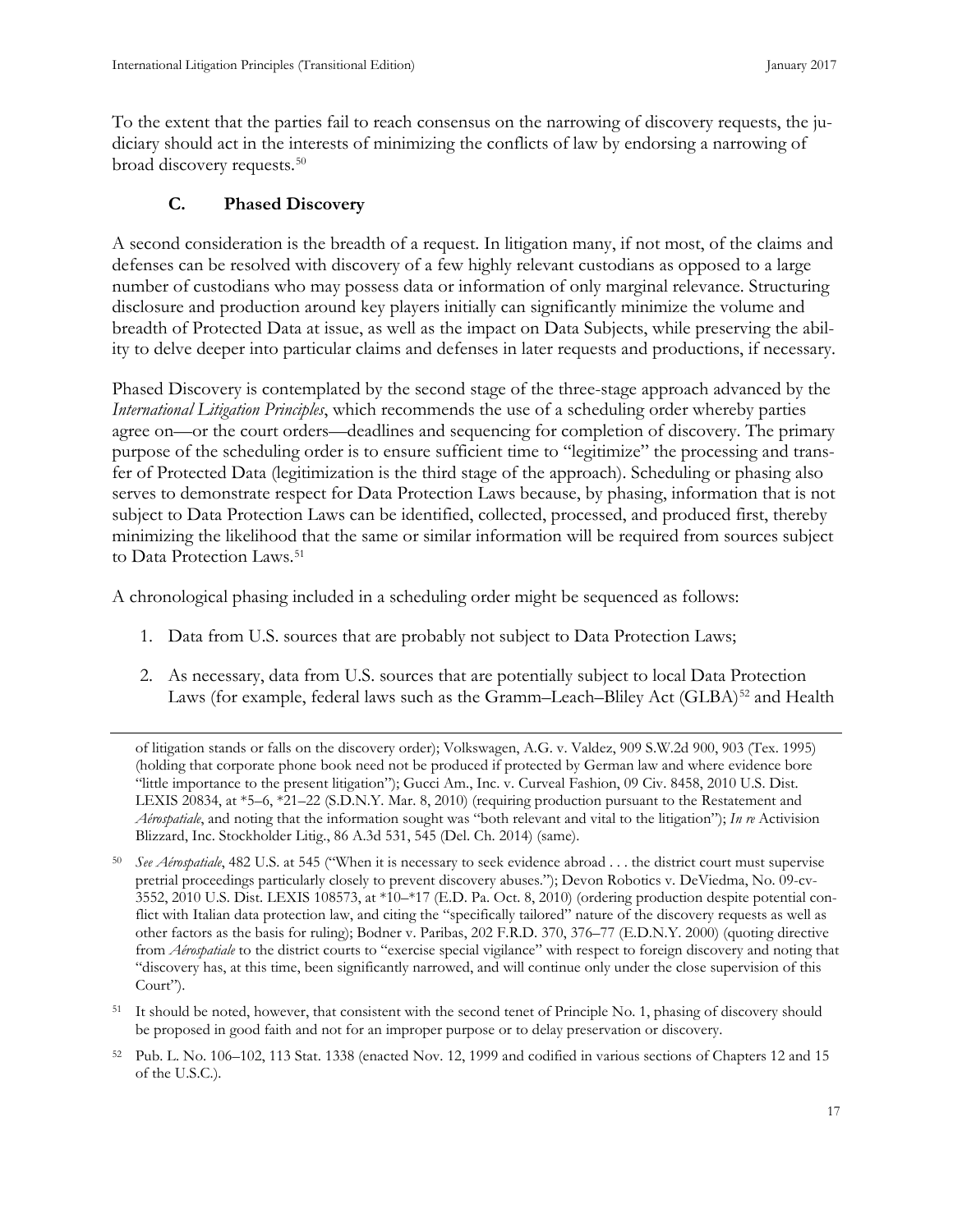<span id="page-25-0"></span>To the extent that the parties fail to reach consensus on the narrowing of discovery requests, the judiciary should act in the interests of minimizing the conflicts of law by endorsing a narrowing of broad discovery requests.[50](#page-25-1)

## **C. Phased Discovery**

A second consideration is the breadth of a request. In litigation many, if not most, of the claims and defenses can be resolved with discovery of a few highly relevant custodians as opposed to a large number of custodians who may possess data or information of only marginal relevance. Structuring disclosure and production around key players initially can significantly minimize the volume and breadth of Protected Data at issue, as well as the impact on Data Subjects, while preserving the ability to delve deeper into particular claims and defenses in later requests and productions, if necessary.

Phased Discovery is contemplated by the second stage of the three-stage approach advanced by the *International Litigation Principles*, which recommends the use of a scheduling order whereby parties agree on—or the court orders—deadlines and sequencing for completion of discovery. The primary purpose of the scheduling order is to ensure sufficient time to "legitimize" the processing and transfer of Protected Data (legitimization is the third stage of the approach). Scheduling or phasing also serves to demonstrate respect for Data Protection Laws because, by phasing, information that is not subject to Data Protection Laws can be identified, collected, processed, and produced first, thereby minimizing the likelihood that the same or similar information will be required from sources subject to Data Protection Laws.<sup>[51](#page-25-2)</sup>

A chronological phasing included in a scheduling order might be sequenced as follows:

- 1. Data from U.S. sources that are probably not subject to Data Protection Laws;
- 2. As necessary, data from U.S. sources that are potentially subject to local Data Protection Laws (for example, federal laws such as the Gramm–Leach–Bliley Act (GLBA)<sup>[52](#page-25-3)</sup> and Health

of litigation stands or falls on the discovery order); Volkswagen, A.G. v. Valdez, 909 S.W.2d 900, 903 (Tex. 1995) (holding that corporate phone book need not be produced if protected by German law and where evidence bore "little importance to the present litigation"); Gucci Am., Inc. v. Curveal Fashion, 09 Civ. 8458, 2010 U.S. Dist. LEXIS 20834, at \*5–6, \*21–22 (S.D.N.Y. Mar. 8, 2010) (requiring production pursuant to the Restatement and *Aérospatiale*, and noting that the information sought was "both relevant and vital to the litigation"); *In re* Activision Blizzard, Inc. Stockholder Litig., 86 A.3d 531, 545 (Del. Ch. 2014) (same).

<span id="page-25-2"></span><sup>51</sup> It should be noted, however, that consistent with the second tenet of Principle No. 1, phasing of discovery should be proposed in good faith and not for an improper purpose or to delay preservation or discovery.

<span id="page-25-1"></span><sup>50</sup> *See Aérospatiale*, 482 U.S. at 545 ("When it is necessary to seek evidence abroad . . . the district court must supervise pretrial proceedings particularly closely to prevent discovery abuses."); Devon Robotics v. DeViedma, No. 09-cv-3552, 2010 U.S. Dist. LEXIS 108573, at \*10–\*17 (E.D. Pa. Oct. 8, 2010) (ordering production despite potential conflict with Italian data protection law, and citing the "specifically tailored" nature of the discovery requests as well as other factors as the basis for ruling); Bodner v. Paribas, 202 F.R.D. 370, 376–77 (E.D.N.Y. 2000) (quoting directive from *Aérospatiale* to the district courts to "exercise special vigilance" with respect to foreign discovery and noting that "discovery has, at this time, been significantly narrowed, and will continue only under the close supervision of this Court").

<span id="page-25-3"></span><sup>52</sup> Pub. L. No. 106–102, 113 Stat. 1338 (enacted Nov. 12, 1999 and codified in various sections of Chapters 12 and 15 of the U.S.C.).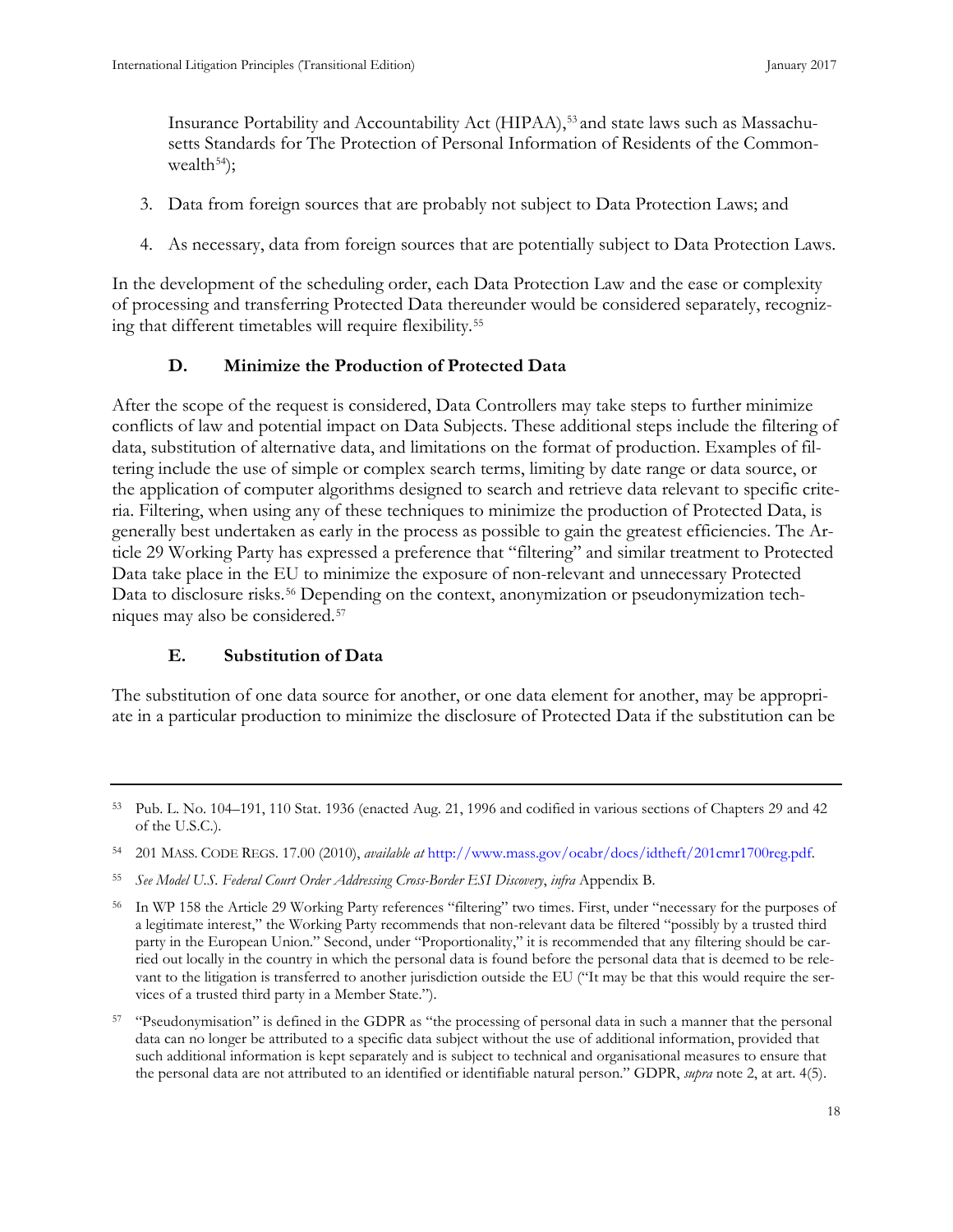Insurance Portability and Accountability Act (HIPAA),<sup>[53](#page-26-0)</sup> and state laws such as Massachusetts Standards for The Protection of Personal Information of Residents of the Commonwealth $^{54}$  $^{54}$  $^{54}$ ;

- 3. Data from foreign sources that are probably not subject to Data Protection Laws; and
- 4. As necessary, data from foreign sources that are potentially subject to Data Protection Laws.

In the development of the scheduling order, each Data Protection Law and the ease or complexity of processing and transferring Protected Data thereunder would be considered separately, recognizing that different timetables will require flexibility.[55](#page-26-2)

## **D. Minimize the Production of Protected Data**

After the scope of the request is considered, Data Controllers may take steps to further minimize conflicts of law and potential impact on Data Subjects. These additional steps include the filtering of data, substitution of alternative data, and limitations on the format of production. Examples of filtering include the use of simple or complex search terms, limiting by date range or data source, or the application of computer algorithms designed to search and retrieve data relevant to specific criteria. Filtering, when using any of these techniques to minimize the production of Protected Data, is generally best undertaken as early in the process as possible to gain the greatest efficiencies. The Article 29 Working Party has expressed a preference that "filtering" and similar treatment to Protected Data take place in the EU to minimize the exposure of non-relevant and unnecessary Protected Data to disclosure risks.<sup>[56](#page-26-3)</sup> Depending on the context, anonymization or pseudonymization techniques may also be considered.[57](#page-26-4)

#### **E. Substitution of Data**

The substitution of one data source for another, or one data element for another, may be appropriate in a particular production to minimize the disclosure of Protected Data if the substitution can be

<span id="page-26-0"></span><sup>53</sup> Pub. L. No. 104–191, 110 Stat. 1936 (enacted Aug. 21, 1996 and codified in various sections of Chapters 29 and 42 of the U.S.C.).

<span id="page-26-1"></span><sup>54</sup> 201 MASS. CODE REGS. 17.00 (2010), *available at* [http://www.mass.gov/ocabr/docs/idtheft/201cmr1700reg.pdf.](http://www.mass.gov/ocabr/docs/idtheft/201cmr1700reg.pdf) 

<span id="page-26-2"></span><sup>55</sup> *See Model U.S. Federal Court Order Addressing Cross-Border ESI Discovery*, *infra* Appendix B.

<span id="page-26-3"></span><sup>56</sup> In WP 158 the Article 29 Working Party references "filtering" two times. First, under "necessary for the purposes of a legitimate interest," the Working Party recommends that non-relevant data be filtered "possibly by a trusted third party in the European Union." Second, under "Proportionality," it is recommended that any filtering should be carried out locally in the country in which the personal data is found before the personal data that is deemed to be relevant to the litigation is transferred to another jurisdiction outside the EU ("It may be that this would require the services of a trusted third party in a Member State.").

<span id="page-26-4"></span><sup>57</sup> "Pseudonymisation" is defined in the GDPR as "the processing of personal data in such a manner that the personal data can no longer be attributed to a specific data subject without the use of additional information, provided that such additional information is kept separately and is subject to technical and organisational measures to ensure that the personal data are not attributed to an identified or identifiable natural person." GDPR, *supra* note 2, at art. 4(5).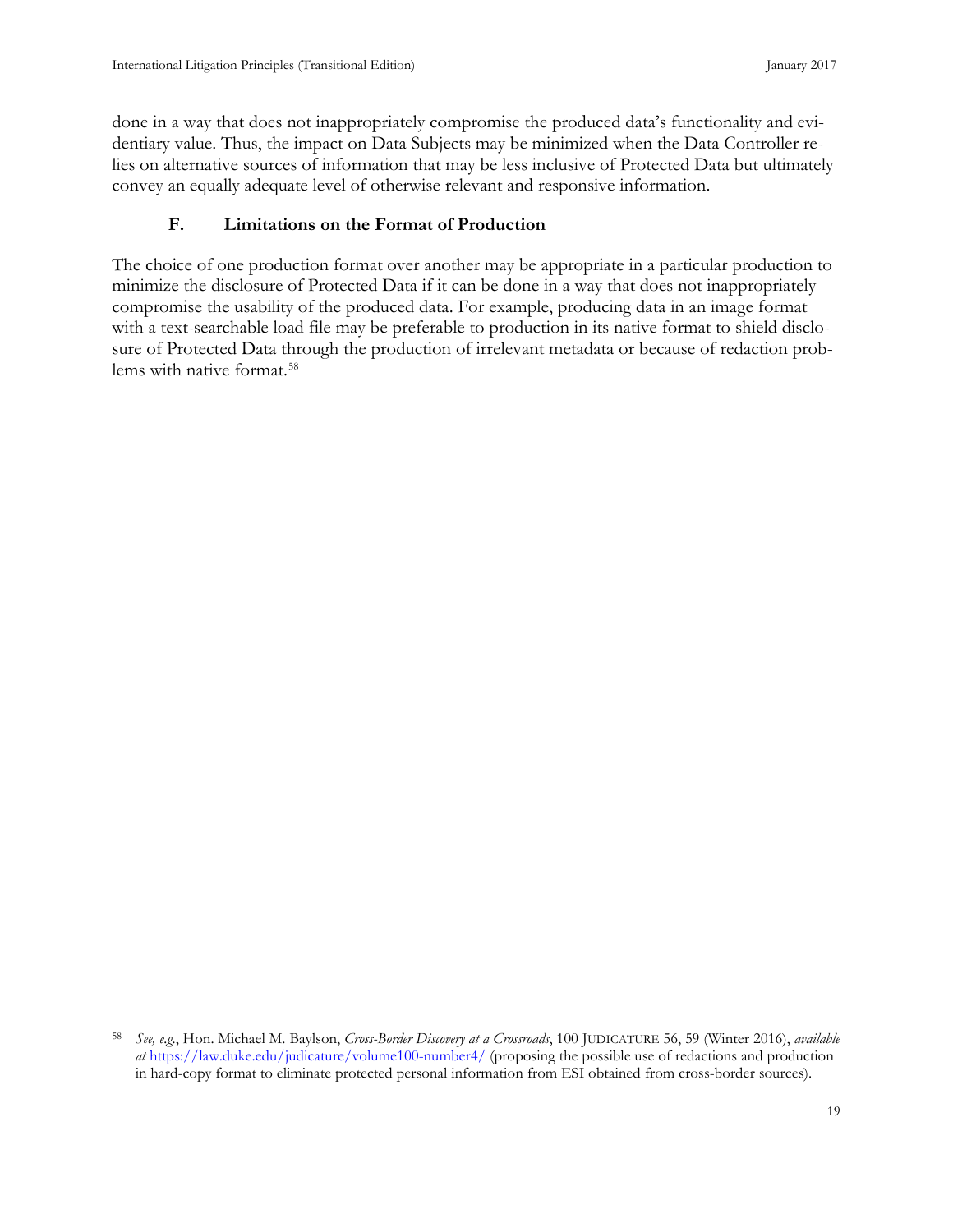<span id="page-27-0"></span>done in a way that does not inappropriately compromise the produced data's functionality and evidentiary value. Thus, the impact on Data Subjects may be minimized when the Data Controller relies on alternative sources of information that may be less inclusive of Protected Data but ultimately convey an equally adequate level of otherwise relevant and responsive information.

#### **F. Limitations on the Format of Production**

The choice of one production format over another may be appropriate in a particular production to minimize the disclosure of Protected Data if it can be done in a way that does not inappropriately compromise the usability of the produced data. For example, producing data in an image format with a text-searchable load file may be preferable to production in its native format to shield disclosure of Protected Data through the production of irrelevant metadata or because of redaction problems with native format.[58](#page-27-1)

<span id="page-27-1"></span><sup>58</sup> *See, e.g.*, Hon. Michael M. Baylson, *Cross-Border Discovery at a Crossroads*, 100 JUDICATURE 56, 59 (Winter 2016), *available at* <https://law.duke.edu/judicature/volume100-number4/> (proposing the possible use of redactions and production in hard-copy format to eliminate protected personal information from ESI obtained from cross-border sources).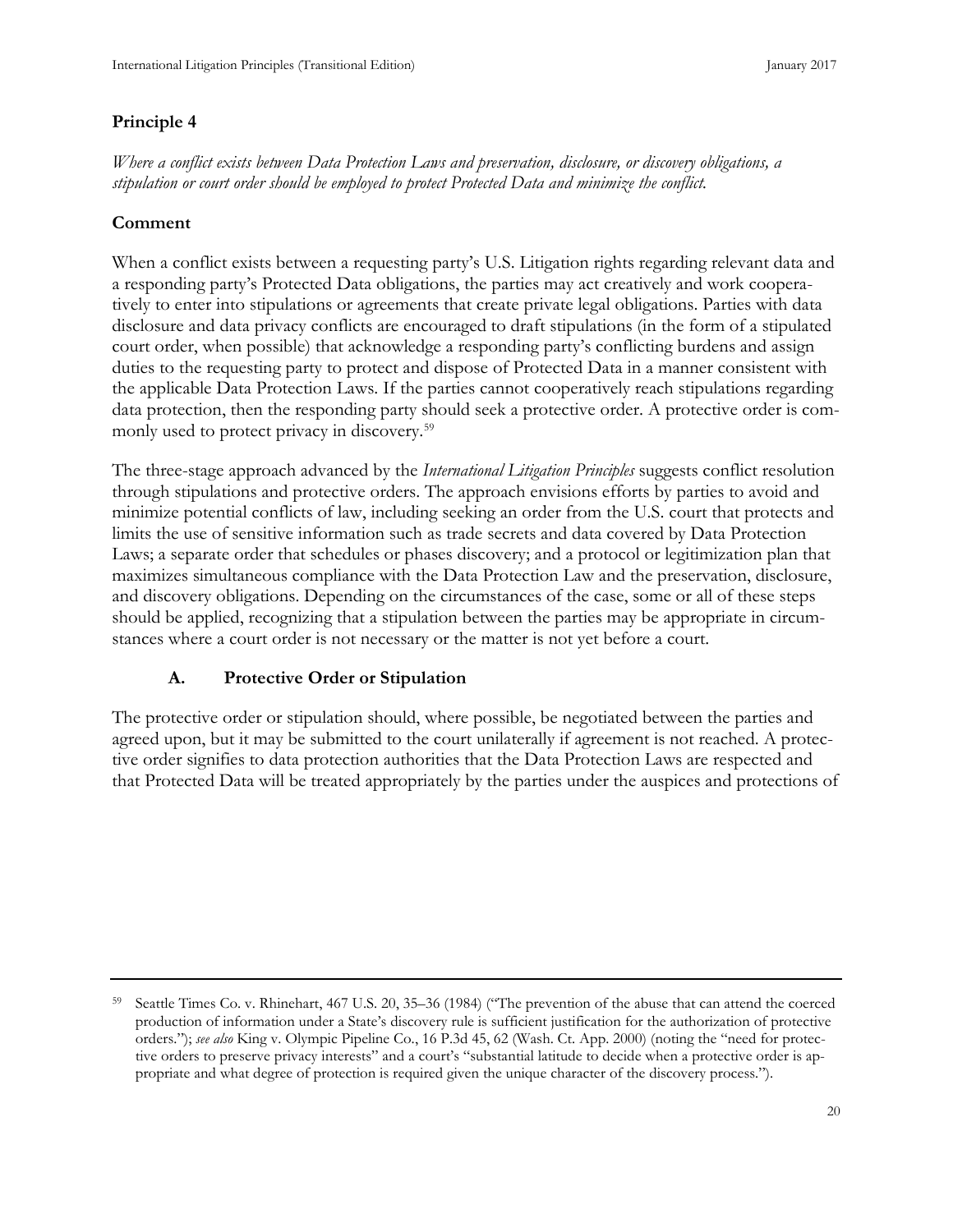#### **Principle 4**

*Where a conflict exists between Data Protection Laws and preservation, disclosure, or discovery obligations, a stipulation or court order should be employed to protect Protected Data and minimize the conflict.*

#### **Comment**

When a conflict exists between a requesting party's U.S. Litigation rights regarding relevant data and a responding party's Protected Data obligations, the parties may act creatively and work cooperatively to enter into stipulations or agreements that create private legal obligations. Parties with data disclosure and data privacy conflicts are encouraged to draft stipulations (in the form of a stipulated court order, when possible) that acknowledge a responding party's conflicting burdens and assign duties to the requesting party to protect and dispose of Protected Data in a manner consistent with the applicable Data Protection Laws. If the parties cannot cooperatively reach stipulations regarding data protection, then the responding party should seek a protective order. A protective order is commonly used to protect privacy in discovery.[59](#page-28-0)

The three-stage approach advanced by the *International Litigation Principles* suggests conflict resolution through stipulations and protective orders. The approach envisions efforts by parties to avoid and minimize potential conflicts of law, including seeking an order from the U.S. court that protects and limits the use of sensitive information such as trade secrets and data covered by Data Protection Laws; a separate order that schedules or phases discovery; and a protocol or legitimization plan that maximizes simultaneous compliance with the Data Protection Law and the preservation, disclosure, and discovery obligations. Depending on the circumstances of the case, some or all of these steps should be applied, recognizing that a stipulation between the parties may be appropriate in circumstances where a court order is not necessary or the matter is not yet before a court.

#### **A. Protective Order or Stipulation**

The protective order or stipulation should, where possible, be negotiated between the parties and agreed upon, but it may be submitted to the court unilaterally if agreement is not reached. A protective order signifies to data protection authorities that the Data Protection Laws are respected and that Protected Data will be treated appropriately by the parties under the auspices and protections of

<span id="page-28-0"></span><sup>59</sup> Seattle Times Co. v. Rhinehart, 467 U.S. 20, 35–36 (1984) ("The prevention of the abuse that can attend the coerced production of information under a State's discovery rule is sufficient justification for the authorization of protective orders."); *see also* King v. Olympic Pipeline Co., 16 P.3d 45, 62 (Wash. Ct. App. 2000) (noting the "need for protective orders to preserve privacy interests" and a court's "substantial latitude to decide when a protective order is appropriate and what degree of protection is required given the unique character of the discovery process.").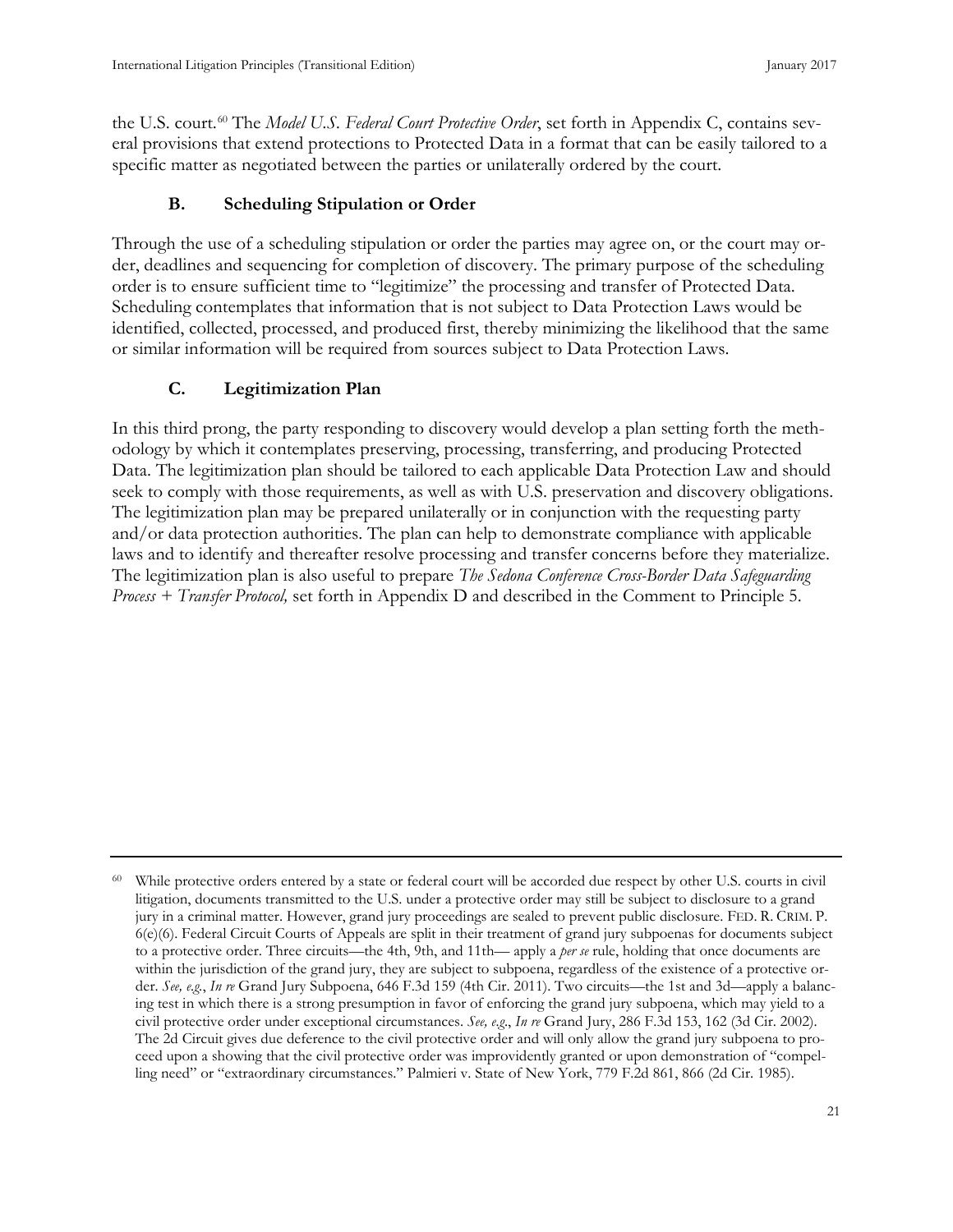<span id="page-29-0"></span>the U.S. court.<sup>[60](#page-29-1)</sup> The *Model U.S. Federal Court Protective Order*, set forth in Appendix C, contains several provisions that extend protections to Protected Data in a format that can be easily tailored to a specific matter as negotiated between the parties or unilaterally ordered by the court.

#### **B. Scheduling Stipulation or Order**

Through the use of a scheduling stipulation or order the parties may agree on, or the court may order, deadlines and sequencing for completion of discovery. The primary purpose of the scheduling order is to ensure sufficient time to "legitimize" the processing and transfer of Protected Data. Scheduling contemplates that information that is not subject to Data Protection Laws would be identified, collected, processed, and produced first, thereby minimizing the likelihood that the same or similar information will be required from sources subject to Data Protection Laws.

#### **C. Legitimization Plan**

In this third prong, the party responding to discovery would develop a plan setting forth the methodology by which it contemplates preserving, processing, transferring, and producing Protected Data. The legitimization plan should be tailored to each applicable Data Protection Law and should seek to comply with those requirements, as well as with U.S. preservation and discovery obligations. The legitimization plan may be prepared unilaterally or in conjunction with the requesting party and/or data protection authorities. The plan can help to demonstrate compliance with applicable laws and to identify and thereafter resolve processing and transfer concerns before they materialize. The legitimization plan is also useful to prepare *The Sedona Conference Cross-Border Data Safeguarding Process + Transfer Protocol,* set forth in Appendix D and described in the Comment to Principle 5.

<span id="page-29-1"></span><sup>&</sup>lt;sup>60</sup> While protective orders entered by a state or federal court will be accorded due respect by other U.S. courts in civil litigation, documents transmitted to the U.S. under a protective order may still be subject to disclosure to a grand jury in a criminal matter. However, grand jury proceedings are sealed to prevent public disclosure. FED. R. CRIM. P. 6(e)(6). Federal Circuit Courts of Appeals are split in their treatment of grand jury subpoenas for documents subject to a protective order. Three circuits—the 4th, 9th, and 11th— apply a *per se* rule, holding that once documents are within the jurisdiction of the grand jury, they are subject to subpoena, regardless of the existence of a protective order. *See, e.g.*, *In re* Grand Jury Subpoena, 646 F.3d 159 (4th Cir. 2011). Two circuits—the 1st and 3d—apply a balancing test in which there is a strong presumption in favor of enforcing the grand jury subpoena, which may yield to a civil protective order under exceptional circumstances. *See, e.g*., *In re* Grand Jury, 286 F.3d 153, 162 (3d Cir. 2002). The 2d Circuit gives due deference to the civil protective order and will only allow the grand jury subpoena to proceed upon a showing that the civil protective order was improvidently granted or upon demonstration of "compelling need" or "extraordinary circumstances." Palmieri v. State of New York, 779 F.2d 861, 866 (2d Cir. 1985).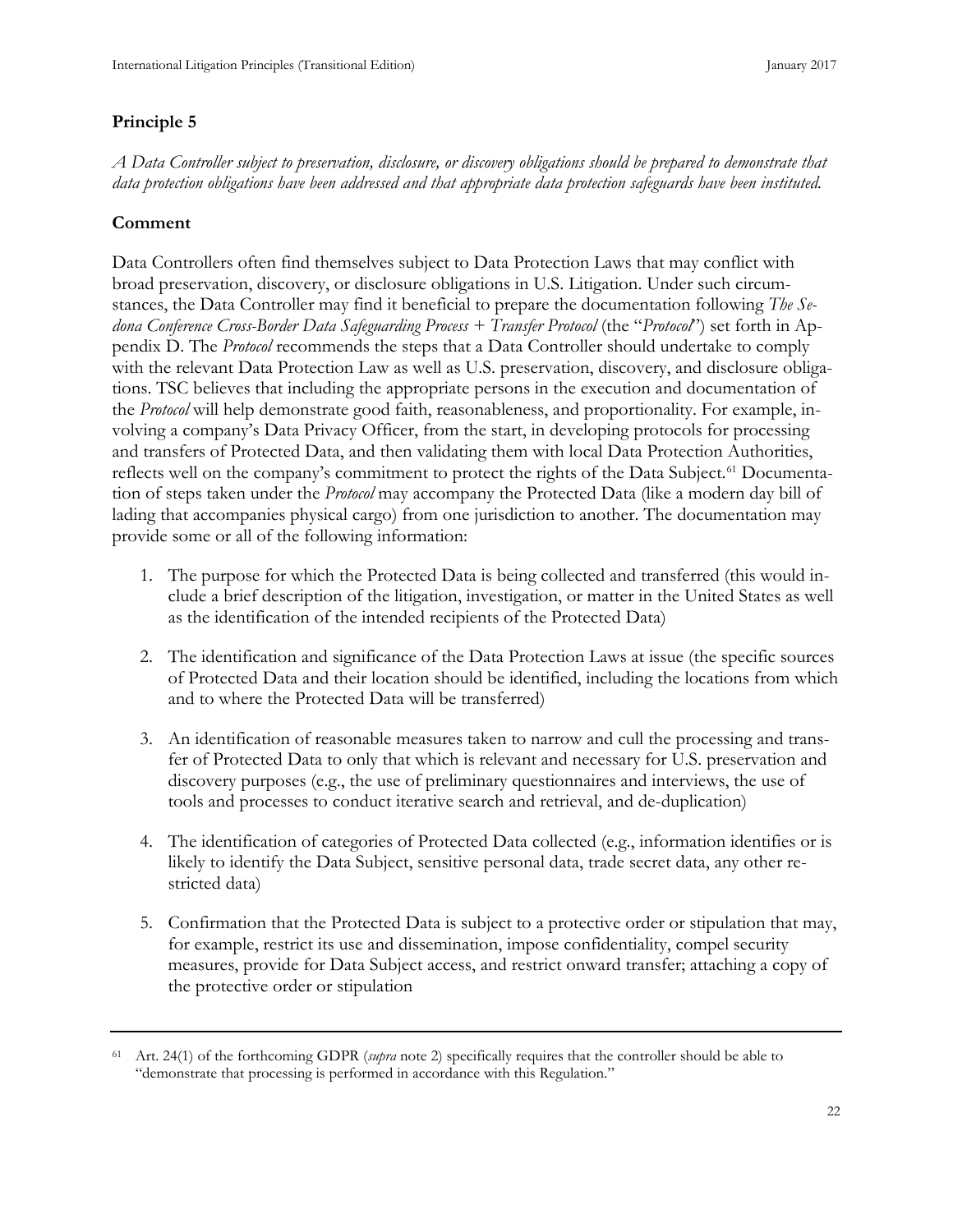# **Principle 5**

*A Data Controller subject to preservation, disclosure, or discovery obligations should be prepared to demonstrate that data protection obligations have been addressed and that appropriate data protection safeguards have been instituted.*

# **Comment**

Data Controllers often find themselves subject to Data Protection Laws that may conflict with broad preservation, discovery, or disclosure obligations in U.S. Litigation. Under such circumstances, the Data Controller may find it beneficial to prepare the documentation following *The Sedona Conference Cross-Border Data Safeguarding Process + Transfer Protocol* (the "*Protocol*") set forth in Appendix D. The *Protocol* recommends the steps that a Data Controller should undertake to comply with the relevant Data Protection Law as well as U.S. preservation, discovery, and disclosure obligations. TSC believes that including the appropriate persons in the execution and documentation of the *Protocol* will help demonstrate good faith, reasonableness, and proportionality. For example, involving a company's Data Privacy Officer, from the start, in developing protocols for processing and transfers of Protected Data, and then validating them with local Data Protection Authorities, reflects well on the company's commitment to protect the rights of the Data Subject.<sup>[61](#page-30-0)</sup> Documentation of steps taken under the *Protocol* may accompany the Protected Data (like a modern day bill of lading that accompanies physical cargo) from one jurisdiction to another. The documentation may provide some or all of the following information:

- 1. The purpose for which the Protected Data is being collected and transferred (this would include a brief description of the litigation, investigation, or matter in the United States as well as the identification of the intended recipients of the Protected Data)
- 2. The identification and significance of the Data Protection Laws at issue (the specific sources of Protected Data and their location should be identified, including the locations from which and to where the Protected Data will be transferred)
- 3. An identification of reasonable measures taken to narrow and cull the processing and transfer of Protected Data to only that which is relevant and necessary for U.S. preservation and discovery purposes (e.g., the use of preliminary questionnaires and interviews, the use of tools and processes to conduct iterative search and retrieval, and de-duplication)
- 4. The identification of categories of Protected Data collected (e.g., information identifies or is likely to identify the Data Subject, sensitive personal data, trade secret data, any other restricted data)
- 5. Confirmation that the Protected Data is subject to a protective order or stipulation that may, for example, restrict its use and dissemination, impose confidentiality, compel security measures, provide for Data Subject access, and restrict onward transfer; attaching a copy of the protective order or stipulation

<span id="page-30-0"></span><sup>61</sup> Art. 24(1) of the forthcoming GDPR (*supra* note 2) specifically requires that the controller should be able to "demonstrate that processing is performed in accordance with this Regulation."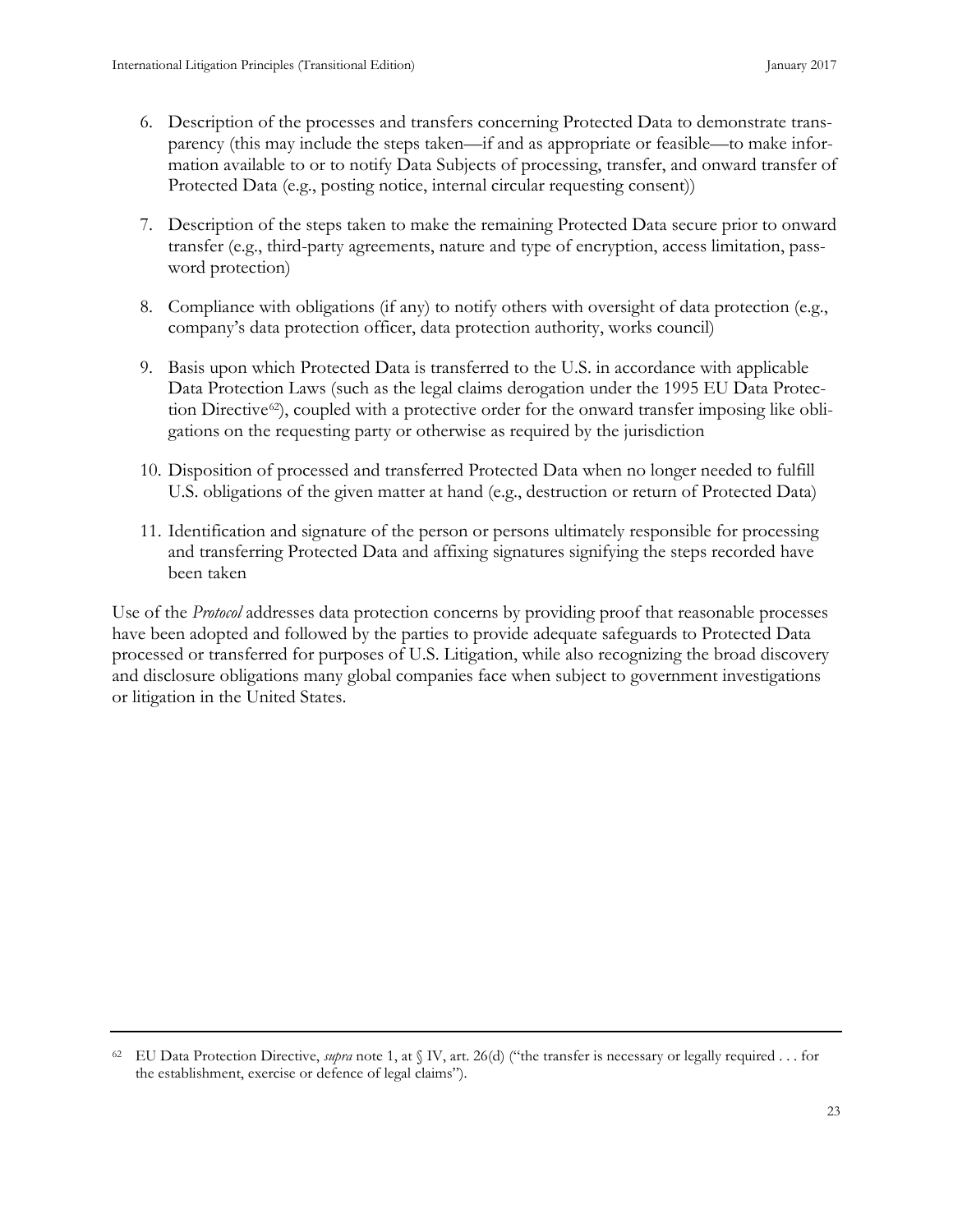- 6. Description of the processes and transfers concerning Protected Data to demonstrate transparency (this may include the steps taken—if and as appropriate or feasible—to make information available to or to notify Data Subjects of processing, transfer, and onward transfer of Protected Data (e.g., posting notice, internal circular requesting consent))
- 7. Description of the steps taken to make the remaining Protected Data secure prior to onward transfer (e.g., third-party agreements, nature and type of encryption, access limitation, password protection)
- 8. Compliance with obligations (if any) to notify others with oversight of data protection (e.g., company's data protection officer, data protection authority, works council)
- 9. Basis upon which Protected Data is transferred to the U.S. in accordance with applicable Data Protection Laws (such as the legal claims derogation under the 1995 EU Data Protec-tion Directive<sup>[62](#page-31-0)</sup>), coupled with a protective order for the onward transfer imposing like obligations on the requesting party or otherwise as required by the jurisdiction
- 10. Disposition of processed and transferred Protected Data when no longer needed to fulfill U.S. obligations of the given matter at hand (e.g., destruction or return of Protected Data)
- 11. Identification and signature of the person or persons ultimately responsible for processing and transferring Protected Data and affixing signatures signifying the steps recorded have been taken

Use of the *Protocol* addresses data protection concerns by providing proof that reasonable processes have been adopted and followed by the parties to provide adequate safeguards to Protected Data processed or transferred for purposes of U.S. Litigation, while also recognizing the broad discovery and disclosure obligations many global companies face when subject to government investigations or litigation in the United States.

<span id="page-31-0"></span><sup>62</sup> EU Data Protection Directive, *supra* note 1, at § IV, art. 26(d) ("the transfer is necessary or legally required . . . for the establishment, exercise or defence of legal claims").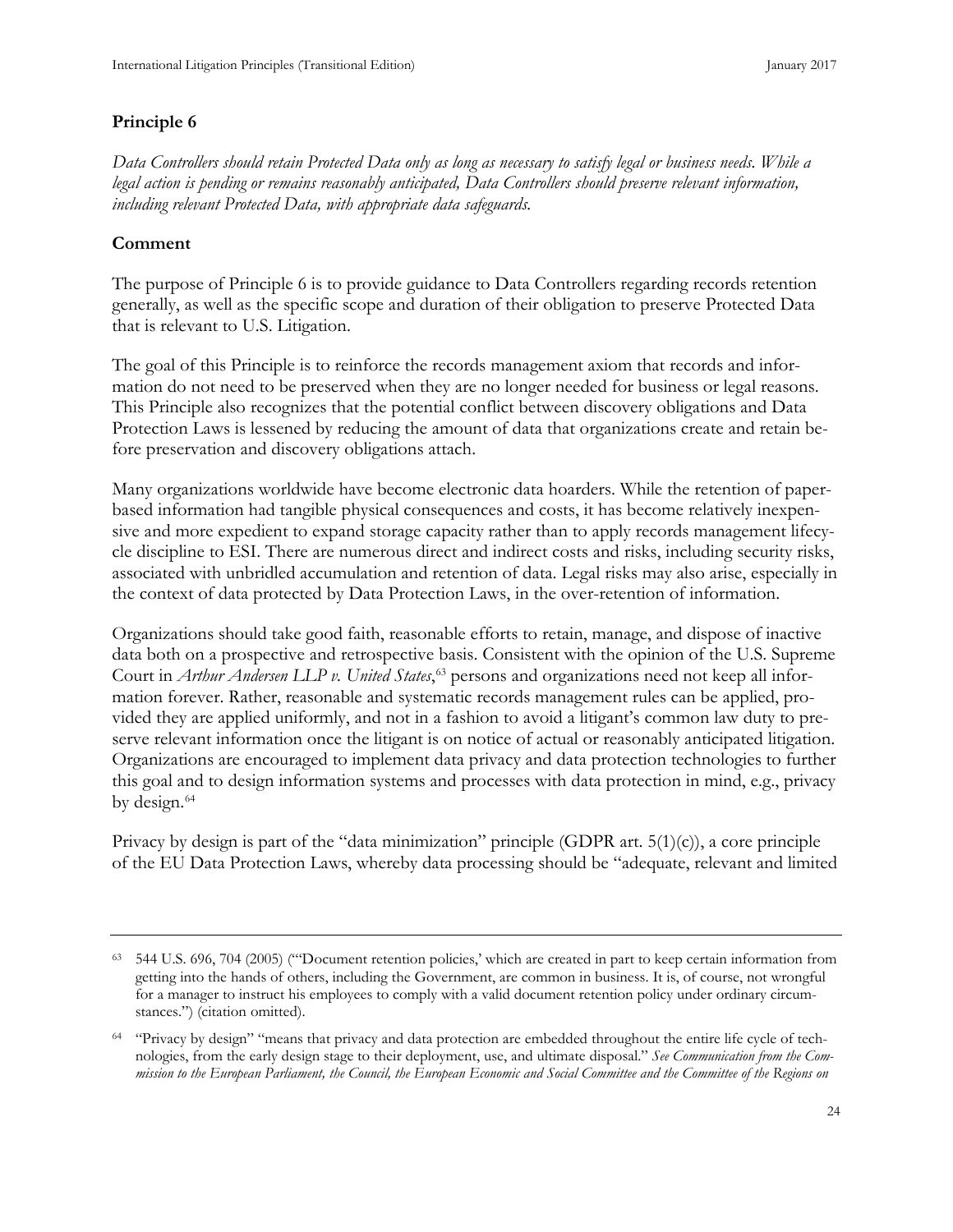#### **Principle 6**

*Data Controllers should retain Protected Data only as long as necessary to satisfy legal or business needs. While a legal action is pending or remains reasonably anticipated, Data Controllers should preserve relevant information, including relevant Protected Data, with appropriate data safeguards.*

#### **Comment**

The purpose of Principle 6 is to provide guidance to Data Controllers regarding records retention generally, as well as the specific scope and duration of their obligation to preserve Protected Data that is relevant to U.S. Litigation.

The goal of this Principle is to reinforce the records management axiom that records and information do not need to be preserved when they are no longer needed for business or legal reasons. This Principle also recognizes that the potential conflict between discovery obligations and Data Protection Laws is lessened by reducing the amount of data that organizations create and retain before preservation and discovery obligations attach.

Many organizations worldwide have become electronic data hoarders. While the retention of paperbased information had tangible physical consequences and costs, it has become relatively inexpensive and more expedient to expand storage capacity rather than to apply records management lifecycle discipline to ESI. There are numerous direct and indirect costs and risks, including security risks, associated with unbridled accumulation and retention of data. Legal risks may also arise, especially in the context of data protected by Data Protection Laws, in the over-retention of information.

Organizations should take good faith, reasonable efforts to retain, manage, and dispose of inactive data both on a prospective and retrospective basis. Consistent with the opinion of the U.S. Supreme Court in *Arthur Andersen LLP v. United States*, [63](#page-32-0) persons and organizations need not keep all information forever. Rather, reasonable and systematic records management rules can be applied, provided they are applied uniformly, and not in a fashion to avoid a litigant's common law duty to preserve relevant information once the litigant is on notice of actual or reasonably anticipated litigation. Organizations are encouraged to implement data privacy and data protection technologies to further this goal and to design information systems and processes with data protection in mind, e.g., privacy by design.<sup>[64](#page-32-1)</sup>

Privacy by design is part of the "data minimization" principle (GDPR art.  $5(1)(c)$ ), a core principle of the EU Data Protection Laws, whereby data processing should be "adequate, relevant and limited

<span id="page-32-0"></span><sup>63</sup> 544 U.S. 696, 704 (2005) ("'Document retention policies,' which are created in part to keep certain information from getting into the hands of others, including the Government, are common in business. It is, of course, not wrongful for a manager to instruct his employees to comply with a valid document retention policy under ordinary circumstances.") (citation omitted).

<span id="page-32-1"></span><sup>64</sup> "Privacy by design" "means that privacy and data protection are embedded throughout the entire life cycle of technologies, from the early design stage to their deployment, use, and ultimate disposal." *See Communication from the Commission to the European Parliament, the Council, the European Economic and Social Committee and the Committee of the Regions on*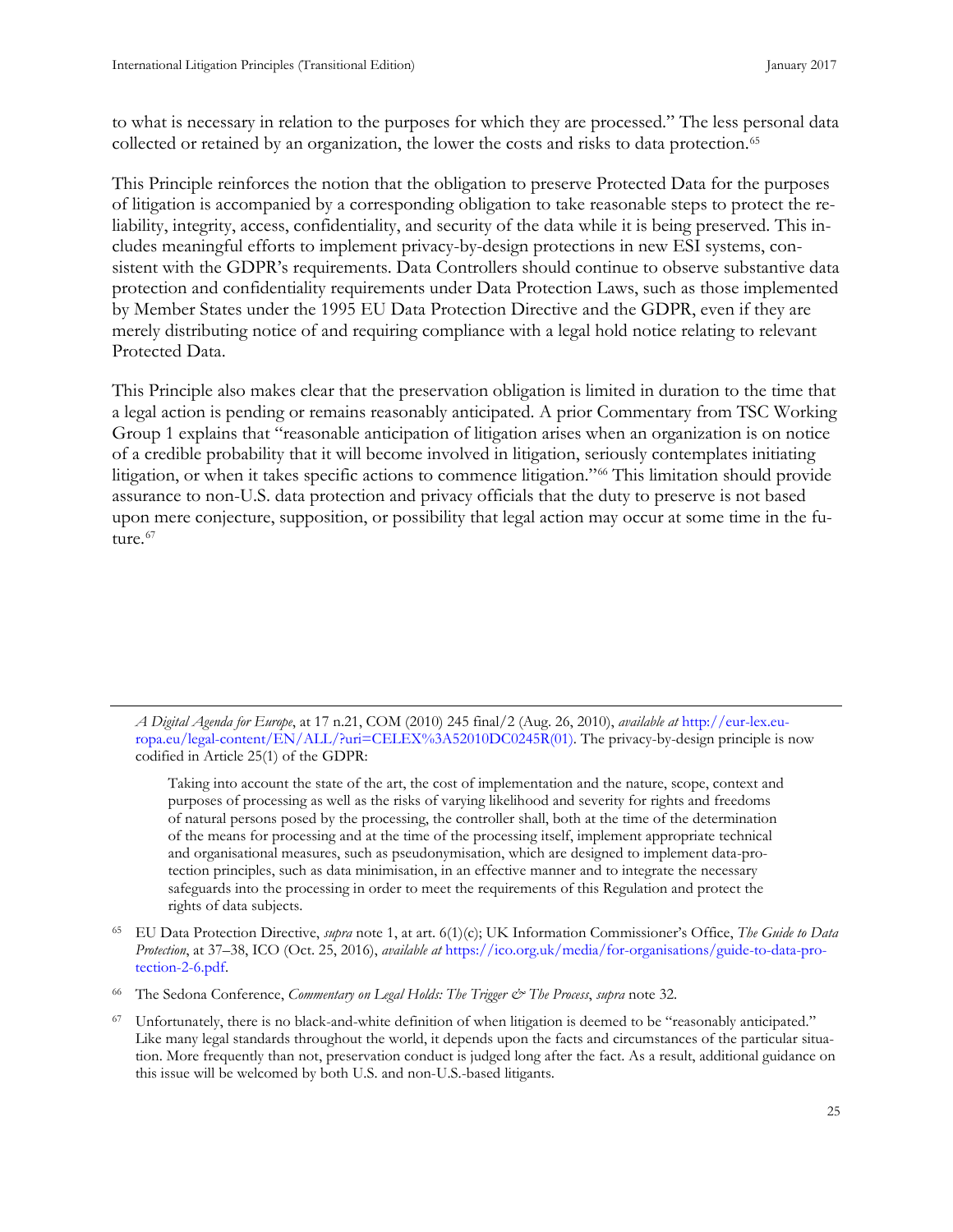<span id="page-33-0"></span>to what is necessary in relation to the purposes for which they are processed." The less personal data collected or retained by an organization, the lower the costs and risks to data protection.<sup>[65](#page-33-1)</sup>

This Principle reinforces the notion that the obligation to preserve Protected Data for the purposes of litigation is accompanied by a corresponding obligation to take reasonable steps to protect the reliability, integrity, access, confidentiality, and security of the data while it is being preserved. This includes meaningful efforts to implement privacy-by-design protections in new ESI systems, consistent with the GDPR's requirements. Data Controllers should continue to observe substantive data protection and confidentiality requirements under Data Protection Laws, such as those implemented by Member States under the 1995 EU Data Protection Directive and the GDPR, even if they are merely distributing notice of and requiring compliance with a legal hold notice relating to relevant Protected Data.

This Principle also makes clear that the preservation obligation is limited in duration to the time that a legal action is pending or remains reasonably anticipated. A prior Commentary from TSC Working Group 1 explains that "reasonable anticipation of litigation arises when an organization is on notice of a credible probability that it will become involved in litigation, seriously contemplates initiating litigation, or when it takes specific actions to commence litigation."[66](#page-33-2) This limitation should provide assurance to non-U.S. data protection and privacy officials that the duty to preserve is not based upon mere conjecture, supposition, or possibility that legal action may occur at some time in the fu-ture.<sup>[67](#page-33-3)</sup>

*A Digital Agenda for Europe*, at 17 n.21, COM (2010) 245 final/2 (Aug. 26, 2010), *available at* [http://eur-lex.eu](http://eur-lex.europa.eu/legal-content/EN/ALL/?uri=CELEX%3A52010DC0245R(01))[ropa.eu/legal-content/EN/ALL/?uri=CELEX%3A52010DC0245R\(01\).](http://eur-lex.europa.eu/legal-content/EN/ALL/?uri=CELEX%3A52010DC0245R(01)) The privacy-by-design principle is now codified in Article 25(1) of the GDPR:

Taking into account the state of the art, the cost of implementation and the nature, scope, context and purposes of processing as well as the risks of varying likelihood and severity for rights and freedoms of natural persons posed by the processing, the controller shall, both at the time of the determination of the means for processing and at the time of the processing itself, implement appropriate technical and organisational measures, such as pseudonymisation, which are designed to implement data-protection principles, such as data minimisation, in an effective manner and to integrate the necessary safeguards into the processing in order to meet the requirements of this Regulation and protect the rights of data subjects.

<span id="page-33-3"></span><sup>67</sup> Unfortunately, there is no black-and-white definition of when litigation is deemed to be "reasonably anticipated." Like many legal standards throughout the world, it depends upon the facts and circumstances of the particular situation. More frequently than not, preservation conduct is judged long after the fact. As a result, additional guidance on this issue will be welcomed by both U.S. and non-U.S.-based litigants.

<span id="page-33-1"></span><sup>65</sup> EU Data Protection Directive, *supra* note 1, at art. 6(1)(c); UK Information Commissioner's Office, *The Guide to Data Protection*, at 37–38, ICO (Oct. 25, 2016), *available at* [https://ico.org.uk/media/for-organisations/guide-to-data-pro](https://ico.org.uk/media/for-organisations/guide-to-data-protection-2-6.pdf)[tection-2-6.pdf.](https://ico.org.uk/media/for-organisations/guide-to-data-protection-2-6.pdf) 

<span id="page-33-2"></span><sup>66</sup> The Sedona Conference, *Commentary on Legal Holds: The Trigger & The Process*, *supra* note 32.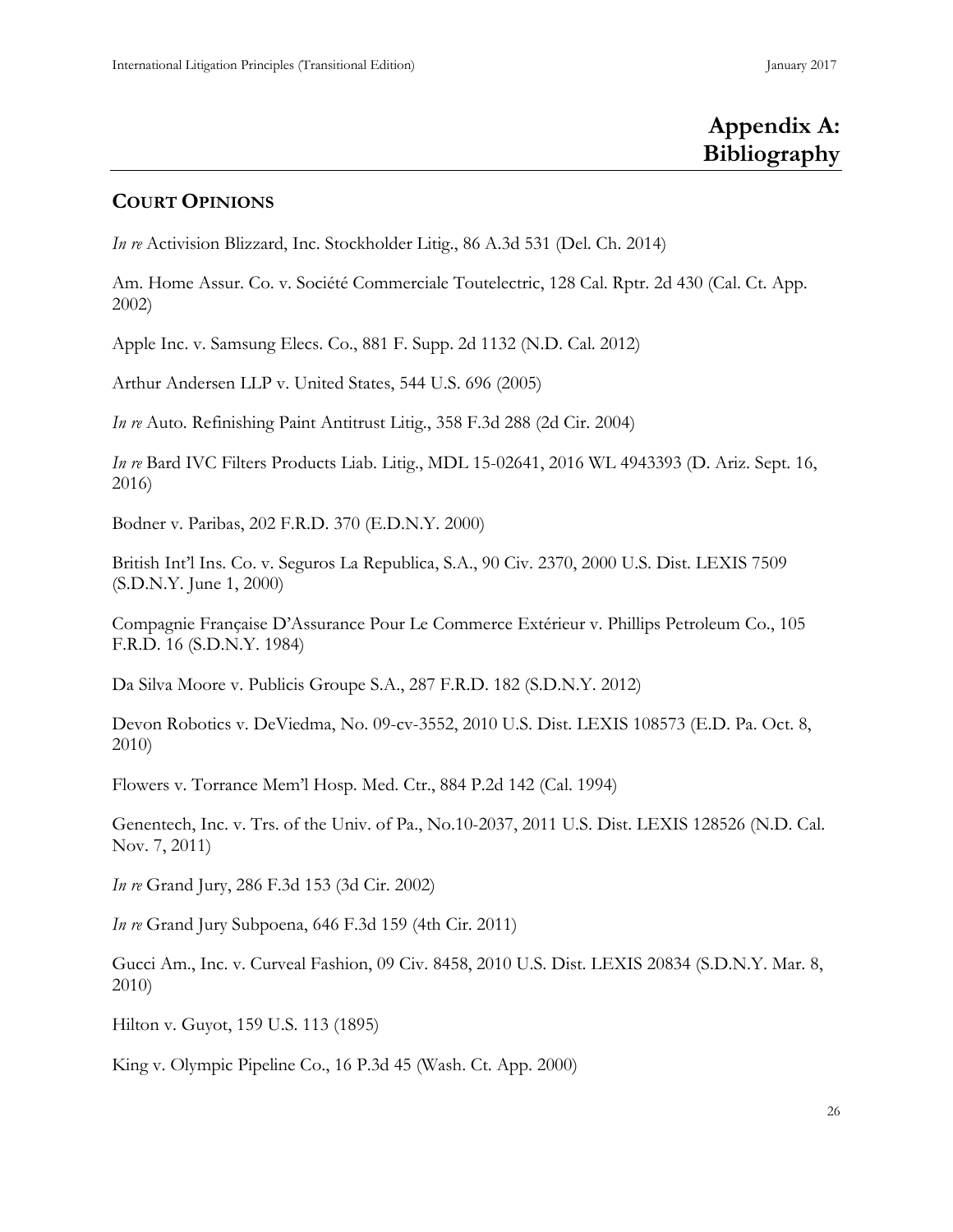# **Appendix A: Bibliography**

## **COURT OPINIONS**

*In re* Activision Blizzard, Inc. Stockholder Litig., 86 A.3d 531 (Del. Ch. 2014)

Am. Home Assur. Co. v. Société Commerciale Toutelectric, 128 Cal. Rptr. 2d 430 (Cal. Ct. App. 2002)

Apple Inc. v. Samsung Elecs. Co., 881 F. Supp. 2d 1132 (N.D. Cal. 2012)

Arthur Andersen LLP v. United States, 544 U.S. 696 (2005)

*In re* Auto. Refinishing Paint Antitrust Litig., 358 F.3d 288 (2d Cir. 2004)

*In re* Bard IVC Filters Products Liab. Litig., MDL 15-02641, 2016 WL 4943393 (D. Ariz. Sept. 16, 2016)

Bodner v. Paribas, 202 F.R.D. 370 (E.D.N.Y. 2000)

British Int'l Ins. Co. v. Seguros La Republica, S.A., 90 Civ. 2370, 2000 U.S. Dist. LEXIS 7509 (S.D.N.Y. June 1, 2000)

Compagnie Française D'Assurance Pour Le Commerce Extérieur v. Phillips Petroleum Co., 105 F.R.D. 16 (S.D.N.Y. 1984)

Da Silva Moore v. Publicis Groupe S.A., 287 F.R.D. 182 (S.D.N.Y. 2012)

Devon Robotics v. DeViedma, No. 09-cv-3552, 2010 U.S. Dist. LEXIS 108573 (E.D. Pa. Oct. 8, 2010)

Flowers v. Torrance Mem'l Hosp. Med. Ctr., 884 P.2d 142 (Cal. 1994)

Genentech, Inc. v. Trs. of the Univ. of Pa., No.10-2037, 2011 U.S. Dist. LEXIS 128526 (N.D. Cal. Nov. 7, 2011)

*In re* Grand Jury, 286 F.3d 153 (3d Cir. 2002)

*In re* Grand Jury Subpoena, 646 F.3d 159 (4th Cir. 2011)

Gucci Am., Inc. v. Curveal Fashion, 09 Civ. 8458, 2010 U.S. Dist. LEXIS 20834 (S.D.N.Y. Mar. 8, 2010)

Hilton v. Guyot, 159 U.S. 113 (1895)

King v. Olympic Pipeline Co., 16 P.3d 45 (Wash. Ct. App. 2000)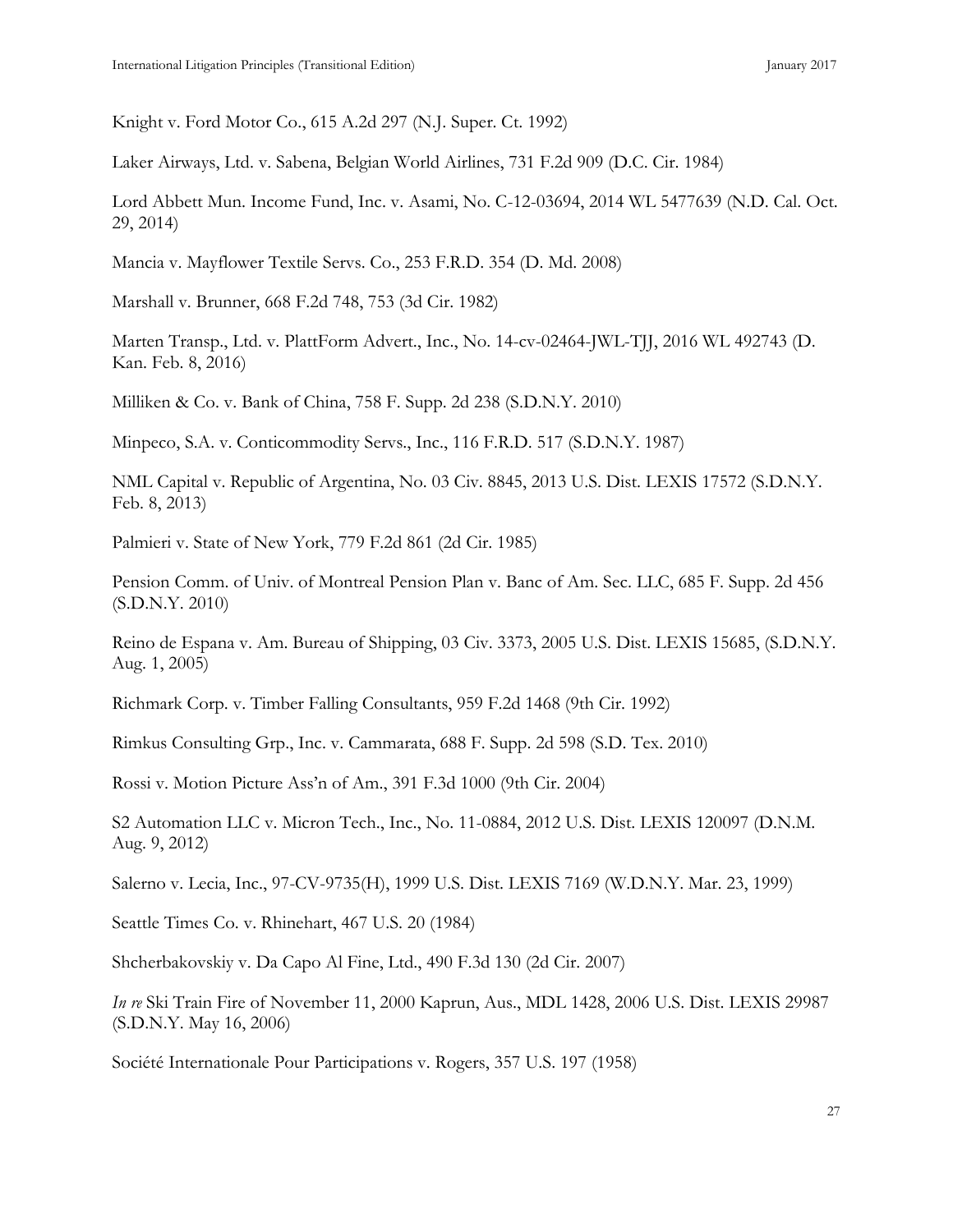Knight v. Ford Motor Co., 615 A.2d 297 (N.J. Super. Ct. 1992)

Laker Airways, Ltd. v. Sabena, Belgian World Airlines, 731 F.2d 909 (D.C. Cir. 1984)

Lord Abbett Mun. Income Fund, Inc. v. Asami, No. C-12-03694, 2014 WL 5477639 (N.D. Cal. Oct. 29, 2014)

Mancia v. Mayflower Textile Servs. Co., 253 F.R.D. 354 (D. Md. 2008)

Marshall v. Brunner, 668 F.2d 748, 753 (3d Cir. 1982)

Marten Transp., Ltd. v. PlattForm Advert., Inc., No. 14-cv-02464-JWL-TJJ, 2016 WL 492743 (D. Kan. Feb. 8, 2016)

Milliken & Co. v. Bank of China, 758 F. Supp. 2d 238 (S.D.N.Y. 2010)

Minpeco, S.A. v. Conticommodity Servs., Inc., 116 F.R.D. 517 (S.D.N.Y. 1987)

NML Capital v. Republic of Argentina, No. 03 Civ. 8845, 2013 U.S. Dist. LEXIS 17572 (S.D.N.Y. Feb. 8, 2013)

Palmieri v. State of New York, 779 F.2d 861 (2d Cir. 1985)

Pension Comm. of Univ. of Montreal Pension Plan v. Banc of Am. Sec. LLC, 685 F. Supp. 2d 456 (S.D.N.Y. 2010)

Reino de Espana v. Am. Bureau of Shipping, 03 Civ. 3373, 2005 U.S. Dist. LEXIS 15685, (S.D.N.Y. Aug. 1, 2005)

Richmark Corp. v. Timber Falling Consultants, 959 F.2d 1468 (9th Cir. 1992)

Rimkus Consulting Grp., Inc. v. Cammarata, 688 F. Supp. 2d 598 (S.D. Tex. 2010)

Rossi v. Motion Picture Ass'n of Am., 391 F.3d 1000 (9th Cir. 2004)

S2 Automation LLC v. Micron Tech., Inc., No. 11-0884, 2012 U.S. Dist. LEXIS 120097 (D.N.M. Aug. 9, 2012)

Salerno v. Lecia, Inc., 97-CV-9735(H), 1999 U.S. Dist. LEXIS 7169 (W.D.N.Y. Mar. 23, 1999)

Seattle Times Co. v. Rhinehart, 467 U.S. 20 (1984)

Shcherbakovskiy v. Da Capo Al Fine, Ltd., 490 F.3d 130 (2d Cir. 2007)

*In re* Ski Train Fire of November 11, 2000 Kaprun, Aus., MDL 1428, 2006 U.S. Dist. LEXIS 29987 (S.D.N.Y. May 16, 2006)

Société Internationale Pour Participations v. Rogers, 357 U.S. 197 (1958)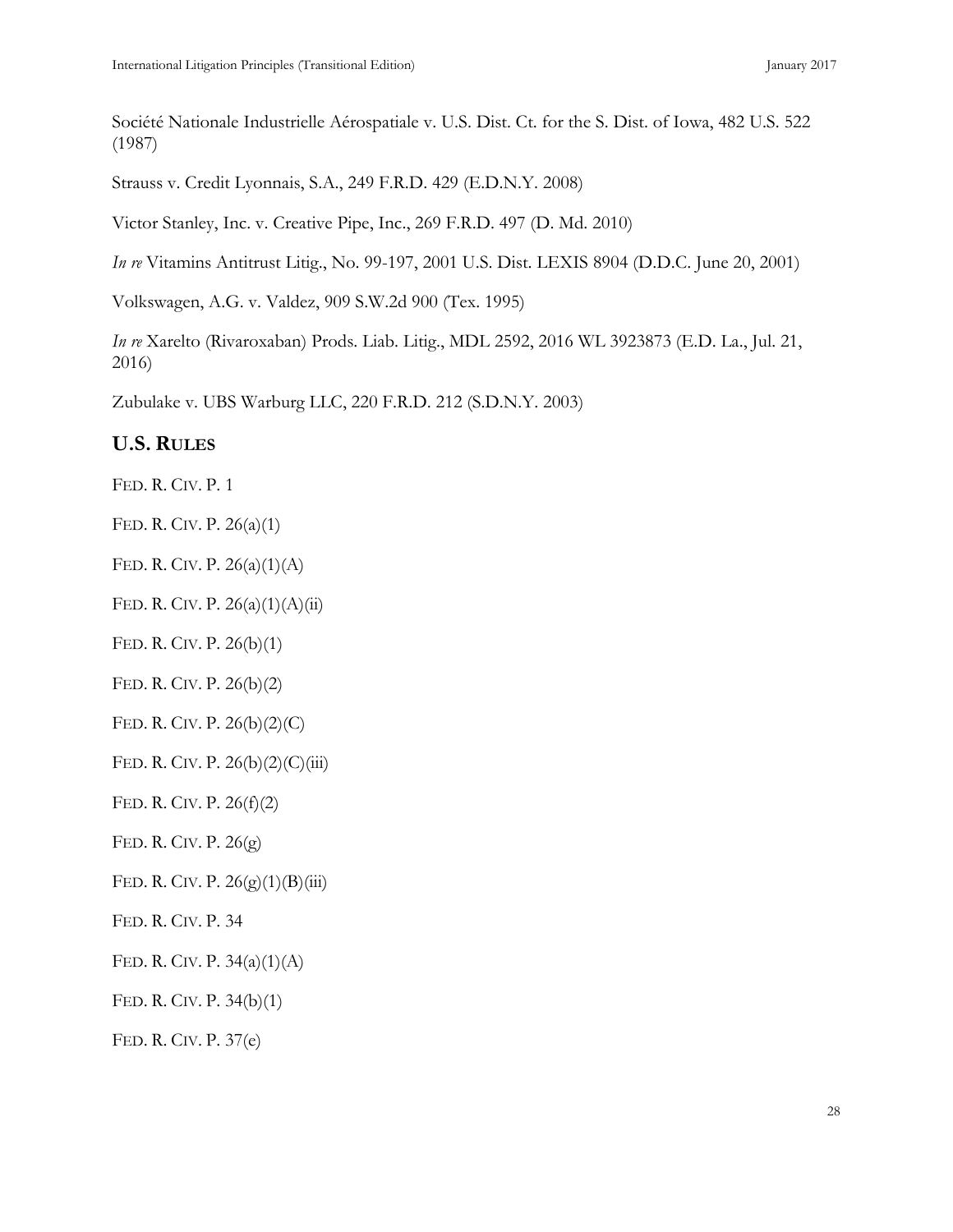Société Nationale Industrielle Aérospatiale v. U.S. Dist. Ct. for the S. Dist. of Iowa, 482 U.S. 522 (1987)

Strauss v. Credit Lyonnais, S.A., 249 F.R.D. 429 (E.D.N.Y. 2008)

Victor Stanley, Inc. v. Creative Pipe, Inc., 269 F.R.D. 497 (D. Md. 2010)

*In re* Vitamins Antitrust Litig., No. 99-197, 2001 U.S. Dist. LEXIS 8904 (D.D.C. June 20, 2001)

Volkswagen, A.G. v. Valdez, 909 S.W.2d 900 (Tex. 1995)

*In re* Xarelto (Rivaroxaban) Prods. Liab. Litig., MDL 2592, 2016 WL 3923873 (E.D. La., Jul. 21, 2016)

Zubulake v. UBS Warburg LLC, 220 F.R.D. 212 (S.D.N.Y. 2003)

# **U.S. RULES**

FED. R. CIV. P. 1

FED. R. CIV. P. 26(a)(1)

FED. R. CIV. P. 26(a)(1)(A)

FED. R. CIV. P. 26(a)(1)(A)(ii)

FED. R. CIV. P. 26(b)(1)

FED. R. CIV. P. 26(b)(2)

FED. R. CIV. P. 26(b)(2)(C)

FED. R. CIV. P.  $26(b)(2)(C)(iii)$ 

FED. R. CIV. P. 26(f)(2)

FED. R. CIV. P. 26(g)

FED. R. CIV. P.  $26(g)(1)(B)(iii)$ 

FED. R. CIV. P. 34

FED. R. CIV. P. 34(a)(1)(A)

FED. R. CIV. P. 34(b)(1)

FED. R. CIV. P. 37(e)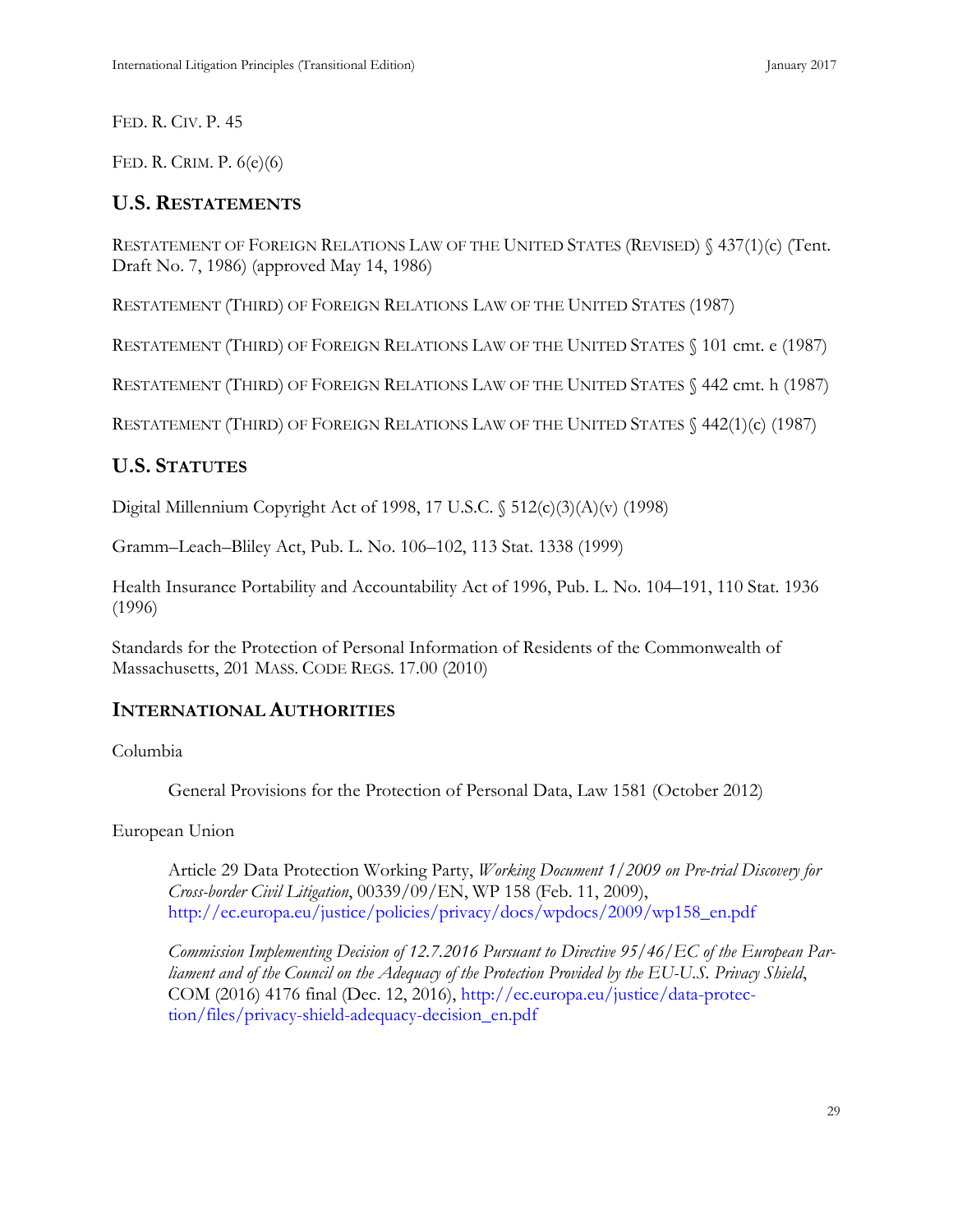FED. R. CIV. P. 45

FED. R. CRIM. P. 6(e)(6)

# **U.S. RESTATEMENTS**

RESTATEMENT OF FOREIGN RELATIONS LAW OF THE UNITED STATES (REVISED) § 437(1)(c) (Tent. Draft No. 7, 1986) (approved May 14, 1986)

RESTATEMENT (THIRD) OF FOREIGN RELATIONS LAW OF THE UNITED STATES (1987)

RESTATEMENT (THIRD) OF FOREIGN RELATIONS LAW OF THE UNITED STATES § 101 cmt. e (1987)

RESTATEMENT (THIRD) OF FOREIGN RELATIONS LAW OF THE UNITED STATES § 442 cmt. h (1987)

RESTATEMENT (THIRD) OF FOREIGN RELATIONS LAW OF THE UNITED STATES § 442(1)(c) (1987)

# **U.S. STATUTES**

Digital Millennium Copyright Act of 1998, 17 U.S.C. § 512(c)(3)(A)(v) (1998)

Gramm–Leach–Bliley Act, Pub. L. No. 106–102, 113 Stat. 1338 (1999)

Health Insurance Portability and Accountability Act of 1996, Pub. L. No. 104–191, 110 Stat. 1936 (1996)

Standards for the Protection of Personal Information of Residents of the Commonwealth of Massachusetts, 201 MASS. CODE REGS. 17.00 (2010)

# **INTERNATIONAL AUTHORITIES**

Columbia

General Provisions for the Protection of Personal Data, Law 1581 (October 2012)

European Union

Article 29 Data Protection Working Party, *Working Document 1/2009 on Pre-trial Discovery for Cross-border Civil Litigation*, 00339/09/EN, WP 158 (Feb. 11, 2009), [http://ec.europa.eu/justice/policies/privacy/docs/wpdocs/2009/wp158\\_en.pdf](http://ec.europa.eu/justice/policies/privacy/docs/wpdocs/2009/wp158_en.pdf)

*Commission Implementing Decision of 12.7.2016 Pursuant to Directive 95/46/EC of the European Parliament and of the Council on the Adequacy of the Protection Provided by the EU-U.S. Privacy Shield*, COM (2016) 4176 final (Dec. 12, 2016), [http://ec.europa.eu/justice/data-protec](http://ec.europa.eu/justice/data-protection/files/privacy-shield-adequacy-decision_en.pdf)[tion/files/privacy-shield-adequacy-decision\\_en.pdf](http://ec.europa.eu/justice/data-protection/files/privacy-shield-adequacy-decision_en.pdf)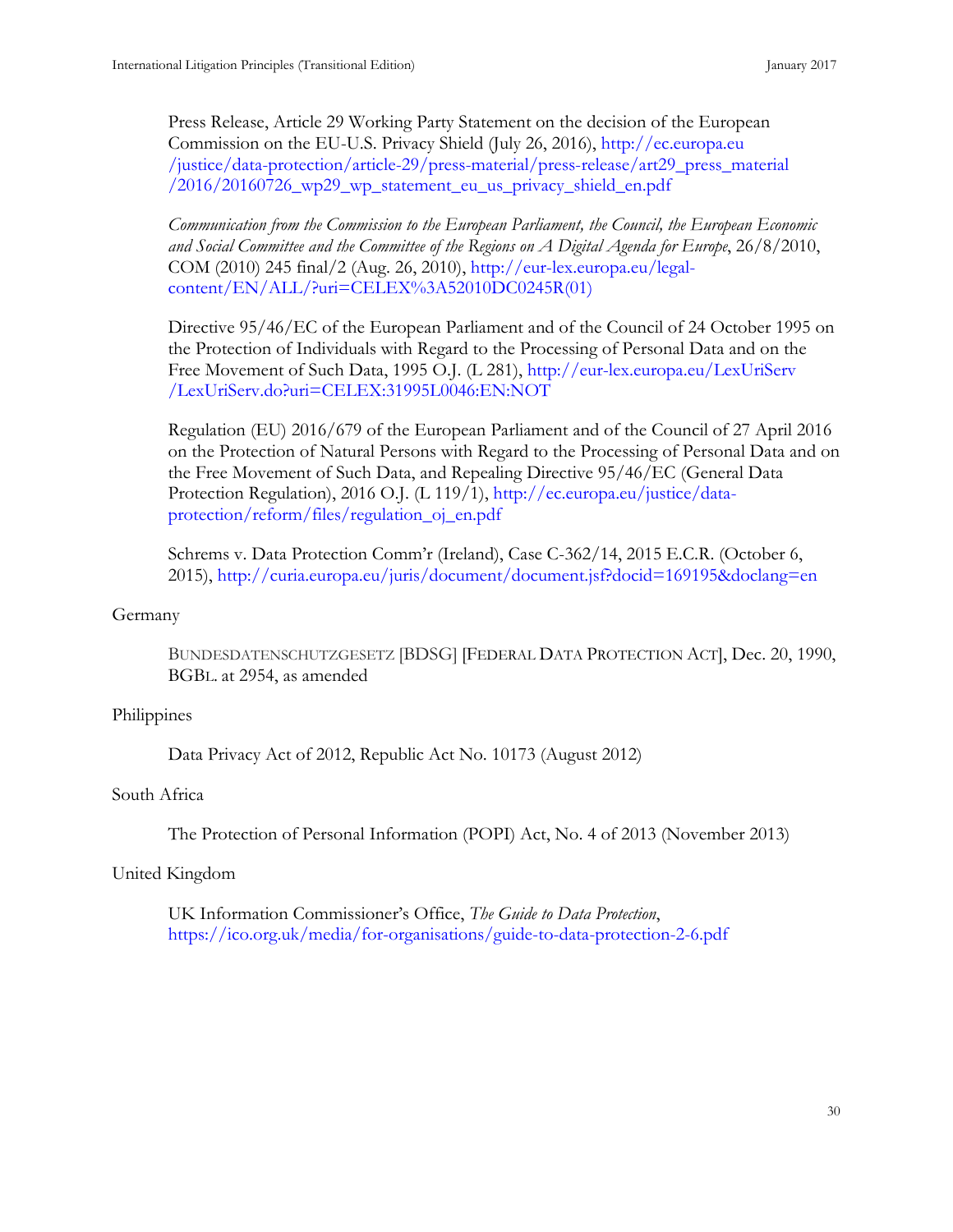Press Release, Article 29 Working Party Statement on the decision of the European Commission on the EU-U.S. Privacy Shield (July 26, 2016), [http://ec.europa.eu](http://ec.europa.eu/justice/data-protection/article-29/press-material/press-release/art29_press_material/2016/20160726_wp29_wp_statement_eu_us_privacy_shield_en.pdf) [/justice/data-protection/article-29/press-material/press-release/art29\\_press\\_material](http://ec.europa.eu/justice/data-protection/article-29/press-material/press-release/art29_press_material/2016/20160726_wp29_wp_statement_eu_us_privacy_shield_en.pdf) [/2016/20160726\\_wp29\\_wp\\_statement\\_eu\\_us\\_privacy\\_shield\\_en.pdf](http://ec.europa.eu/justice/data-protection/article-29/press-material/press-release/art29_press_material/2016/20160726_wp29_wp_statement_eu_us_privacy_shield_en.pdf)

*Communication from the Commission to the European Parliament, the Council, the European Economic*  and Social Committee and the Committee of the Regions on A Digital Agenda for Europe, 26/8/2010, COM (2010) 245 final/2 (Aug. 26, 2010), [http://eur-lex.europa.eu/legal](http://eur-lex.europa.eu/legal-content/EN/ALL/?uri=CELEX%3A52010DC0245R(01))[content/EN/ALL/?uri=CELEX%3A52010DC0245R\(01\)](http://eur-lex.europa.eu/legal-content/EN/ALL/?uri=CELEX%3A52010DC0245R(01))

Directive 95/46/EC of the European Parliament and of the Council of 24 October 1995 on the Protection of Individuals with Regard to the Processing of Personal Data and on the Free Movement of Such Data, 1995 O.J. (L 281), [http://eur-lex.europa.eu/LexUriServ](http://eur-lex.europa.eu/LexUriServ/LexUriServ.do?uri=CELEX:31995L0046:EN:NOT) [/LexUriServ.do?uri=CELEX:31995L0046:EN:NOT](http://eur-lex.europa.eu/LexUriServ/LexUriServ.do?uri=CELEX:31995L0046:EN:NOT)

Regulation (EU) 2016/679 of the European Parliament and of the Council of 27 April 2016 on the Protection of Natural Persons with Regard to the Processing of Personal Data and on the Free Movement of Such Data, and Repealing Directive 95/46/EC (General Data Protection Regulation), 2016 O.J. (L 119/1), [http://ec.europa.eu/justice/data](http://ec.europa.eu/justice/data-protection/reform/files/regulation_oj_en.pdf)[protection/reform/files/regulation\\_oj\\_en.pdf](http://ec.europa.eu/justice/data-protection/reform/files/regulation_oj_en.pdf)

Schrems v. Data Protection Comm'r (Ireland), Case C-362/14, 2015 E.C.R. (October 6, 2015),<http://curia.europa.eu/juris/document/document.jsf?docid=169195&doclang=en>

#### Germany

BUNDESDATENSCHUTZGESETZ [BDSG] [FEDERAL DATA PROTECTION ACT], Dec. 20, 1990, BGBL. at 2954, as amended

#### Philippines

Data Privacy Act of 2012, Republic Act No. 10173 (August 2012)

#### South Africa

The Protection of Personal Information (POPI) Act, No. 4 of 2013 (November 2013)

#### United Kingdom

UK Information Commissioner's Office, *The Guide to Data Protection*, <https://ico.org.uk/media/for-organisations/guide-to-data-protection-2-6.pdf>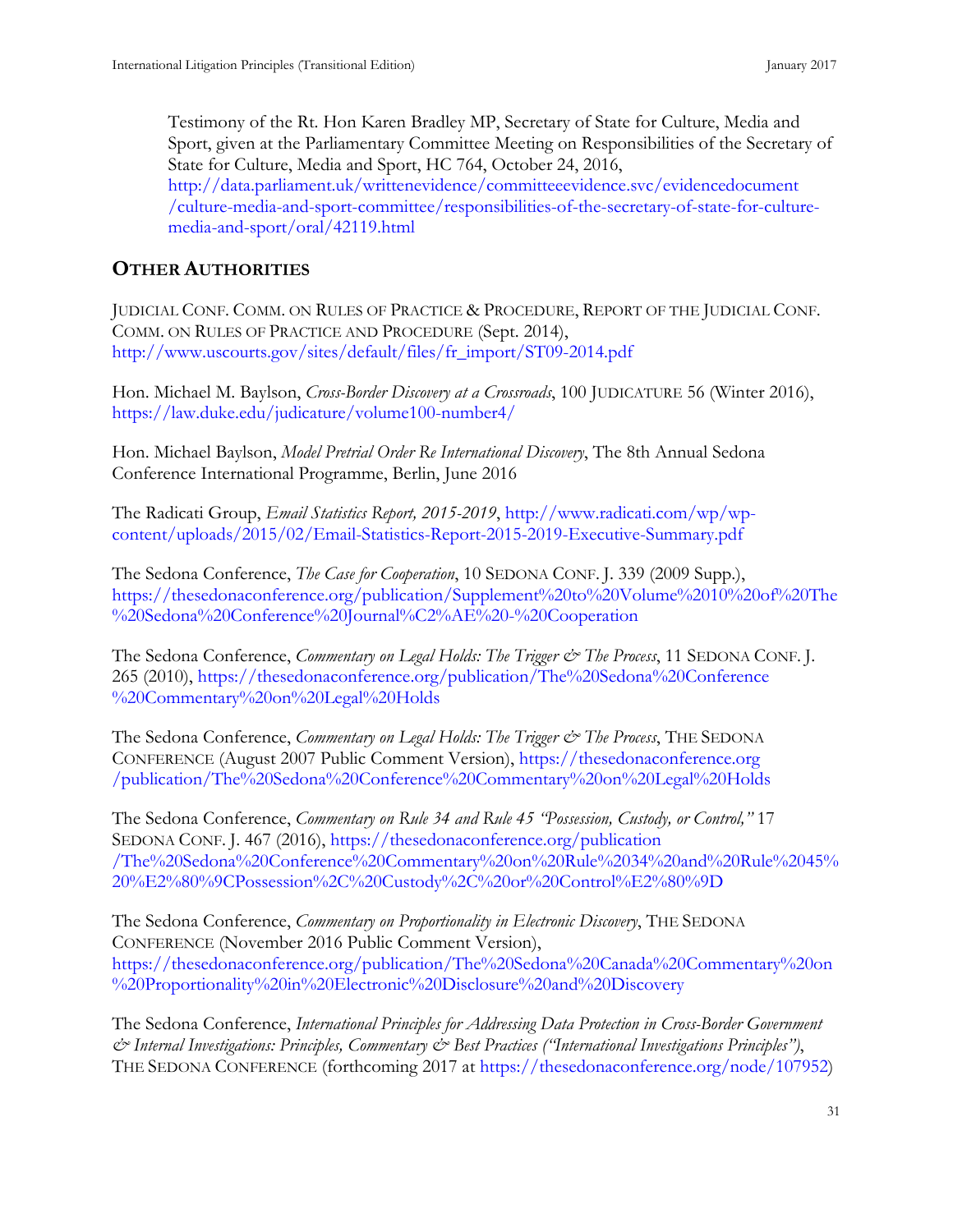<span id="page-39-0"></span>Testimony of the Rt. Hon Karen Bradley MP, Secretary of State for Culture, Media and Sport, given at the Parliamentary Committee Meeting on Responsibilities of the Secretary of State for Culture, Media and Sport, HC 764, October 24, 2016, [http://data.parliament.uk/writtenevidence/committeeevidence.svc/evidencedocument](http://data.parliament.uk/writtenevidence/committeeevidence.svc/evidencedocument/culture-media-and-sport-committee/responsibilities-of-the-secretary-of-state-for-culture-media-and-sport/oral/42119.html) [/culture-media-and-sport-committee/responsibilities-of-the-secretary-of-state-for-culture](http://data.parliament.uk/writtenevidence/committeeevidence.svc/evidencedocument/culture-media-and-sport-committee/responsibilities-of-the-secretary-of-state-for-culture-media-and-sport/oral/42119.html)[media-and-sport/oral/42119.html](http://data.parliament.uk/writtenevidence/committeeevidence.svc/evidencedocument/culture-media-and-sport-committee/responsibilities-of-the-secretary-of-state-for-culture-media-and-sport/oral/42119.html)

# **OTHER AUTHORITIES**

JUDICIAL CONF. COMM. ON RULES OF PRACTICE & PROCEDURE, REPORT OF THE JUDICIAL CONF. COMM. ON RULES OF PRACTICE AND PROCEDURE (Sept. 2014), [http://www.uscourts.gov/sites/default/files/fr\\_import/ST09-2014.pdf](http://www.uscourts.gov/sites/default/files/fr_import/ST09-2014.pdf)

Hon. Michael M. Baylson, *Cross-Border Discovery at a Crossroads*, 100 JUDICATURE 56 (Winter 2016), <https://law.duke.edu/judicature/volume100-number4/>

Hon. Michael Baylson, *Model Pretrial Order Re International Discovery*, The 8th Annual Sedona Conference International Programme, Berlin, June 2016

The Radicati Group, *Email Statistics Report, 2015-2019*, [http://www.radicati.com/wp/wp](http://www.radicati.com/wp/wp-content/uploads/2015/02/Email-Statistics-Report-2015-2019-Executive-Summary.pdf)[content/uploads/2015/02/Email-Statistics-Report-2015-2019-Executive-Summary.pdf](http://www.radicati.com/wp/wp-content/uploads/2015/02/Email-Statistics-Report-2015-2019-Executive-Summary.pdf)

The Sedona Conference, *The Case for Cooperation*, 10 SEDONA CONF. J. 339 (2009 Supp.), [https://thesedonaconference.org/publication/Supplement%20to%20Volume%2010%20of%20The](https://thesedonaconference.org/publication/Supplement%20to%20Volume%2010%20of%20The%20Sedona%20Conference%20Journal%C2%AE%20-%20Cooperation) [%20Sedona%20Conference%20Journal%C2%AE%20-%20Cooperation](https://thesedonaconference.org/publication/Supplement%20to%20Volume%2010%20of%20The%20Sedona%20Conference%20Journal%C2%AE%20-%20Cooperation)

The Sedona Conference, *Commentary on Legal Holds: The Trigger & The Process*, 11 SEDONA CONF. J. 265 (2010), [https://thesedonaconference.org/publication/The%20Sedona%20Conference](https://thesedonaconference.org/publication/The%20Sedona%20Conference%20Commentary%20on%20Legal%20Holds) [%20Commentary%20on%20Legal%20Holds](https://thesedonaconference.org/publication/The%20Sedona%20Conference%20Commentary%20on%20Legal%20Holds)

The Sedona Conference, *Commentary on Legal Holds: The Trigger & The Process*, THE SEDONA CONFERENCE (August 2007 Public Comment Version), [https://thesedonaconference.org](https://thesedonaconference.org/publication/The%20Sedona%20Conference%20Commentary%20on%20Legal%20Holds) [/publication/The%20Sedona%20Conference%20Commentary%20on%20Legal%20Holds](https://thesedonaconference.org/publication/The%20Sedona%20Conference%20Commentary%20on%20Legal%20Holds)

The Sedona Conference, *Commentary on Rule 34 and Rule 45 "Possession, Custody, or Control,"* 17 SEDONA CONF. J. 467 (2016), [https://thesedonaconference.org/publication](https://thesedonaconference.org/publication/The%20Sedona%20Conference%20Commentary%20on%20Rule%2034%20and%20Rule%2045%20%E2%80%9CPossession%2C%20Custody%2C%20or%20Control%E2%80%9D) [/The%20Sedona%20Conference%20Commentary%20on%20Rule%2034%20and%20Rule%2045%](https://thesedonaconference.org/publication/The%20Sedona%20Conference%20Commentary%20on%20Rule%2034%20and%20Rule%2045%20%E2%80%9CPossession%2C%20Custody%2C%20or%20Control%E2%80%9D) [20%E2%80%9CPossession%2C%20Custody%2C%20or%20Control%E2%80%9D](https://thesedonaconference.org/publication/The%20Sedona%20Conference%20Commentary%20on%20Rule%2034%20and%20Rule%2045%20%E2%80%9CPossession%2C%20Custody%2C%20or%20Control%E2%80%9D)

The Sedona Conference, *Commentary on Proportionality in Electronic Discovery*, THE SEDONA CONFERENCE (November 2016 Public Comment Version), [https://thesedonaconference.org/publication/The%20Sedona%20Canada%20Commentary%20on](https://thesedonaconference.org/publication/The%20Sedona%20Canada%20Commentary%20on%20Proportionality%20in%20Electronic%20Disclosure%20and%20Discovery) [%20Proportionality%20in%20Electronic%20Disclosure%20and%20Discovery](https://thesedonaconference.org/publication/The%20Sedona%20Canada%20Commentary%20on%20Proportionality%20in%20Electronic%20Disclosure%20and%20Discovery)

The Sedona Conference, *International Principles for Addressing Data Protection in Cross-Border Government & Internal Investigations: Principles, Commentary & Best Practices ("International Investigations Principles")*, THE SEDONA CONFERENCE (forthcoming 2017 at [https://thesedonaconference.org/node/107952\)](https://thesedonaconference.org/node/107952)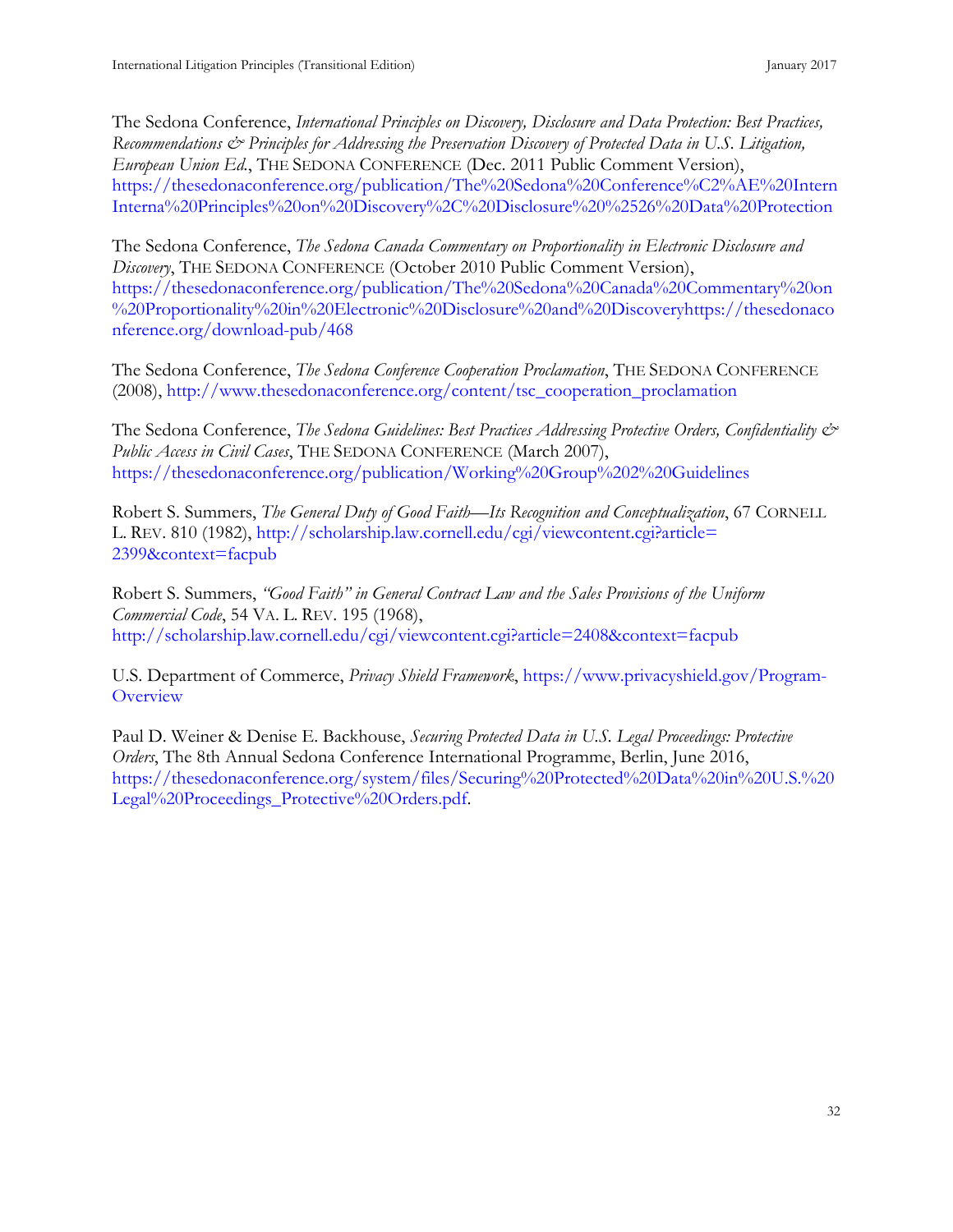The Sedona Conference, *International Principles on Discovery, Disclosure and Data Protection: Best Practices, Recommendations & Principles for Addressing the Preservation Discovery of Protected Data in U.S. Litigation, European Union Ed.*, THE SEDONA CONFERENCE (Dec. 2011 Public Comment Version), [https://thesedonaconference.org/publication/The%20Sedona%20Conference%C2%AE%20Intern](https://thesedonaconference.org/publication/The%20Sedona%20Conference%C2%AE%20InternInterna%20Principles%20on%20Discovery%2C%20Disclosure%20%2526%20Data%20Protection) [Interna%20Principles%20on%20Discovery%2C%20Disclosure%20%2526%20Data%20Protection](https://thesedonaconference.org/publication/The%20Sedona%20Conference%C2%AE%20InternInterna%20Principles%20on%20Discovery%2C%20Disclosure%20%2526%20Data%20Protection)

The Sedona Conference, *The Sedona Canada Commentary on Proportionality in Electronic Disclosure and Discovery*, THE SEDONA CONFERENCE (October 2010 Public Comment Version), [https://thesedonaconference.org/publication/The%20Sedona%20Canada%20Commentary%20on](https://thesedonaconference.org/publication/The%20Sedona%20Canada%20Commentary%20on%20Proportionality%20in%20Electronic%20Disclosure%20and%20Discovery) [%20Proportionality%20in%20Electronic%20Disclosure%20and%20Discovery](https://thesedonaconference.org/publication/The%20Sedona%20Canada%20Commentary%20on%20Proportionality%20in%20Electronic%20Disclosure%20and%20Discovery)[https://thesedonaco](https://thesedonaconference.org/download-pub/468) [nference.org/download-pub/468](https://thesedonaconference.org/download-pub/468)

The Sedona Conference, *The Sedona Conference Cooperation Proclamation*, THE SEDONA CONFERENCE (2008), [http://www.thesedonaconference.org/content/tsc\\_cooperation\\_proclamation](http://www.thesedonaconference.org/content/tsc_cooperation_proclamation)

The Sedona Conference, *The Sedona Guidelines: Best Practices Addressing Protective Orders, Confidentiality & Public Access in Civil Cases*, THE SEDONA CONFERENCE (March 2007), <https://thesedonaconference.org/publication/Working%20Group%202%20Guidelines>

Robert S. Summers, *The General Duty of Good Faith*—*Its Recognition and Conceptualization*, 67 CORNELL L. REV. 810 (1982), [http://scholarship.law.cornell.edu/cgi/viewcontent.cgi?article=](http://scholarship.law.cornell.edu/cgi/viewcontent.cgi?article=%E2%80%8C2399&context=facpub) [2399&context=facpub](http://scholarship.law.cornell.edu/cgi/viewcontent.cgi?article=%E2%80%8C2399&context=facpub)

Robert S. Summers, *"Good Faith" in General Contract Law and the Sales Provisions of the Uniform Commercial Code*, 54 VA. L. REV. 195 (1968), <http://scholarship.law.cornell.edu/cgi/viewcontent.cgi?article=2408&context=facpub>

U.S. Department of Commerce, *Privacy Shield Framework*, [https://www.privacyshield.gov/Program-](https://www.privacyshield.gov/Program-Overview)**[Overview](https://www.privacyshield.gov/Program-Overview)** 

Paul D. Weiner & Denise E. Backhouse, *Securing Protected Data in U.S. Legal Proceedings: Protective Orders*, The 8th Annual Sedona Conference International Programme, Berlin, June 2016, [https://thesedonaconference.org/system/files/Securing%20Protected%20Data%20in%20U.S.%20](https://thesedonaconference.org/system/files/Securing%20Protected%20Data%20in%20U.S.%20Legal%20Proceedings_Protective%20Orders.pdf) [Legal%20Proceedings\\_Protective%20Orders.pdf.](https://thesedonaconference.org/system/files/Securing%20Protected%20Data%20in%20U.S.%20Legal%20Proceedings_Protective%20Orders.pdf)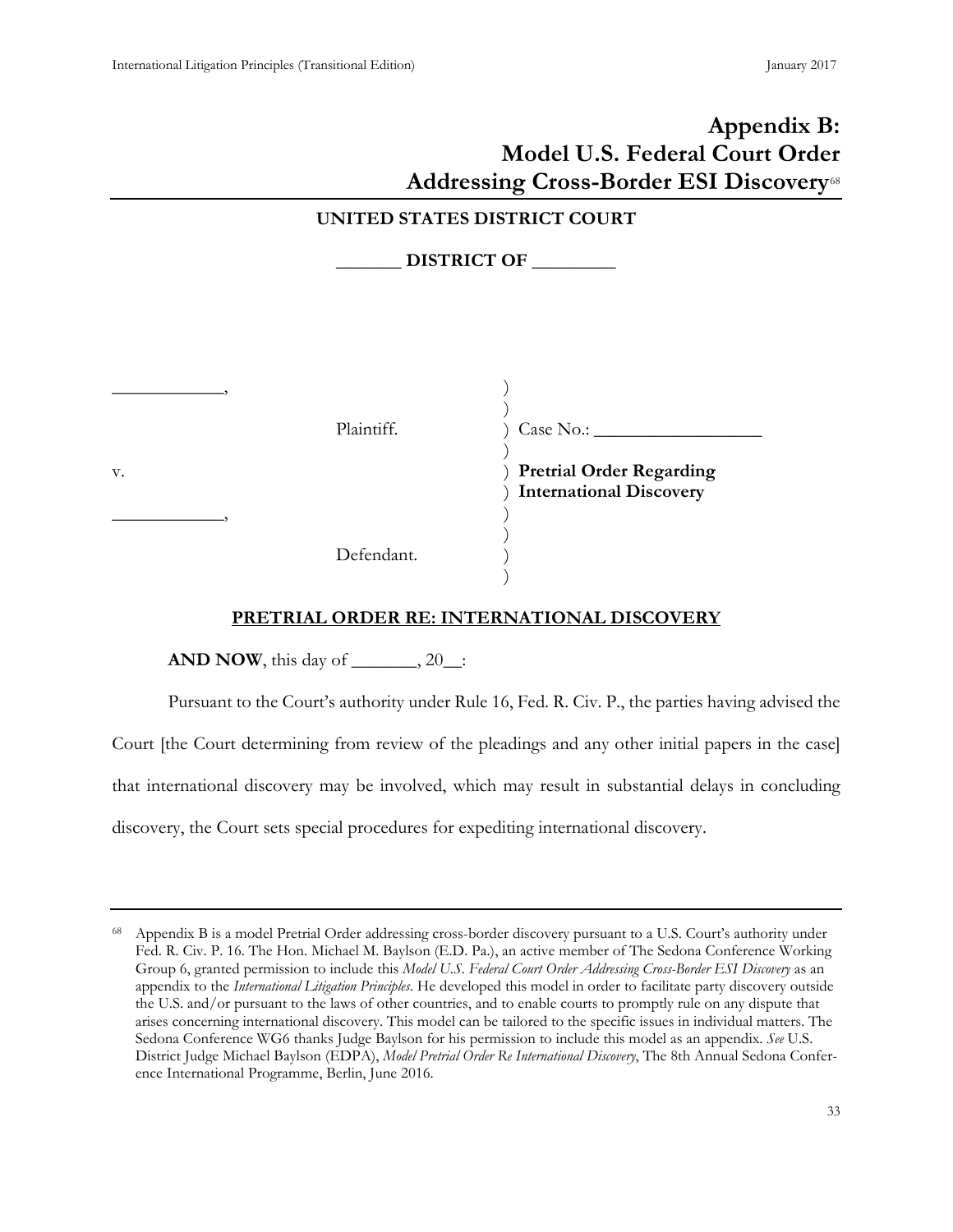|    |                                     | Appendix B:<br><b>Model U.S. Federal Court Order</b><br><b>Addressing Cross-Border ESI Discovery</b> <sup>68</sup> |
|----|-------------------------------------|--------------------------------------------------------------------------------------------------------------------|
|    | <b>UNITED STATES DISTRICT COURT</b> | DISTRICT OF                                                                                                        |
| v. | Plaintiff.                          | Case No.:<br><b>Pretrial Order Regarding</b><br><b>International Discovery</b>                                     |
|    | Defendant.                          |                                                                                                                    |

#### **PRETRIAL ORDER RE: INTERNATIONAL DISCOVERY**

**AND NOW**, this day of \_\_\_\_\_\_\_, 20\_\_:

Pursuant to the Court's authority under Rule 16, Fed. R. Civ. P., the parties having advised the Court [the Court determining from review of the pleadings and any other initial papers in the case] that international discovery may be involved, which may result in substantial delays in concluding

discovery, the Court sets special procedures for expediting international discovery.

<span id="page-41-0"></span>Appendix B is a model Pretrial Order addressing cross-border discovery pursuant to a U.S. Court's authority under Fed. R. Civ. P. 16. The Hon. Michael M. Baylson (E.D. Pa.), an active member of The Sedona Conference Working Group 6, granted permission to include this *Model U.S. Federal Court Order Addressing Cross-Border ESI Discovery* as an appendix to the *International Litigation Principles*. He developed this model in order to facilitate party discovery outside the U.S. and/or pursuant to the laws of other countries, and to enable courts to promptly rule on any dispute that arises concerning international discovery. This model can be tailored to the specific issues in individual matters. The Sedona Conference WG6 thanks Judge Baylson for his permission to include this model as an appendix. *See* U.S. District Judge Michael Baylson (EDPA), *Model Pretrial Order Re International Discovery*, The 8th Annual Sedona Conference International Programme, Berlin, June 2016.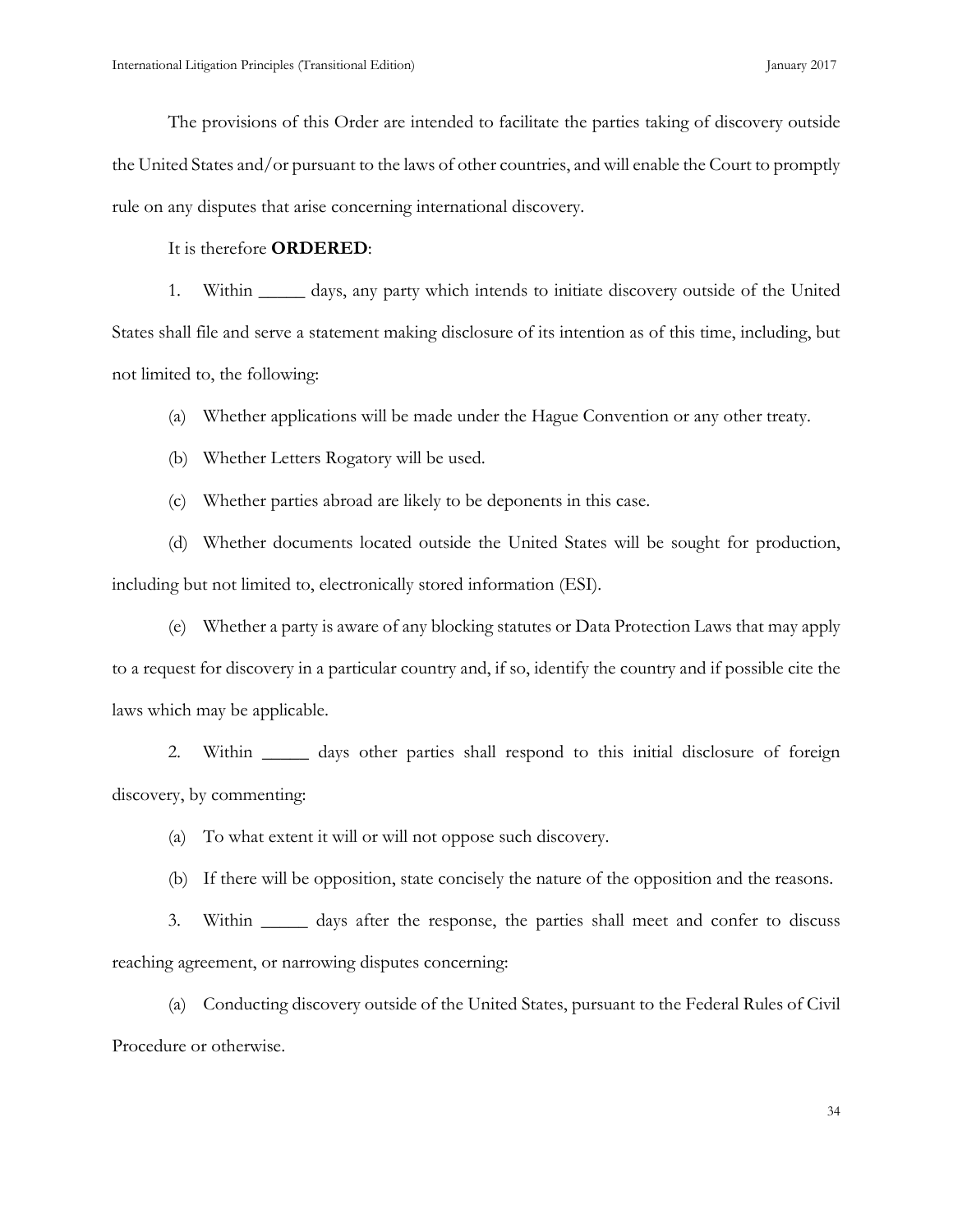The provisions of this Order are intended to facilitate the parties taking of discovery outside the United States and/or pursuant to the laws of other countries, and will enable the Court to promptly rule on any disputes that arise concerning international discovery.

#### It is therefore **ORDERED**:

1. Within \_\_\_\_\_ days, any party which intends to initiate discovery outside of the United States shall file and serve a statement making disclosure of its intention as of this time, including, but not limited to, the following:

(a) Whether applications will be made under the Hague Convention or any other treaty.

(b) Whether Letters Rogatory will be used.

(c) Whether parties abroad are likely to be deponents in this case.

(d) Whether documents located outside the United States will be sought for production, including but not limited to, electronically stored information (ESI).

(e) Whether a party is aware of any blocking statutes or Data Protection Laws that may apply to a request for discovery in a particular country and, if so, identify the country and if possible cite the laws which may be applicable.

2. Within \_\_\_\_\_ days other parties shall respond to this initial disclosure of foreign discovery, by commenting:

(a) To what extent it will or will not oppose such discovery.

(b) If there will be opposition, state concisely the nature of the opposition and the reasons.

3. Within \_\_\_\_\_ days after the response, the parties shall meet and confer to discuss reaching agreement, or narrowing disputes concerning:

(a) Conducting discovery outside of the United States, pursuant to the Federal Rules of Civil Procedure or otherwise.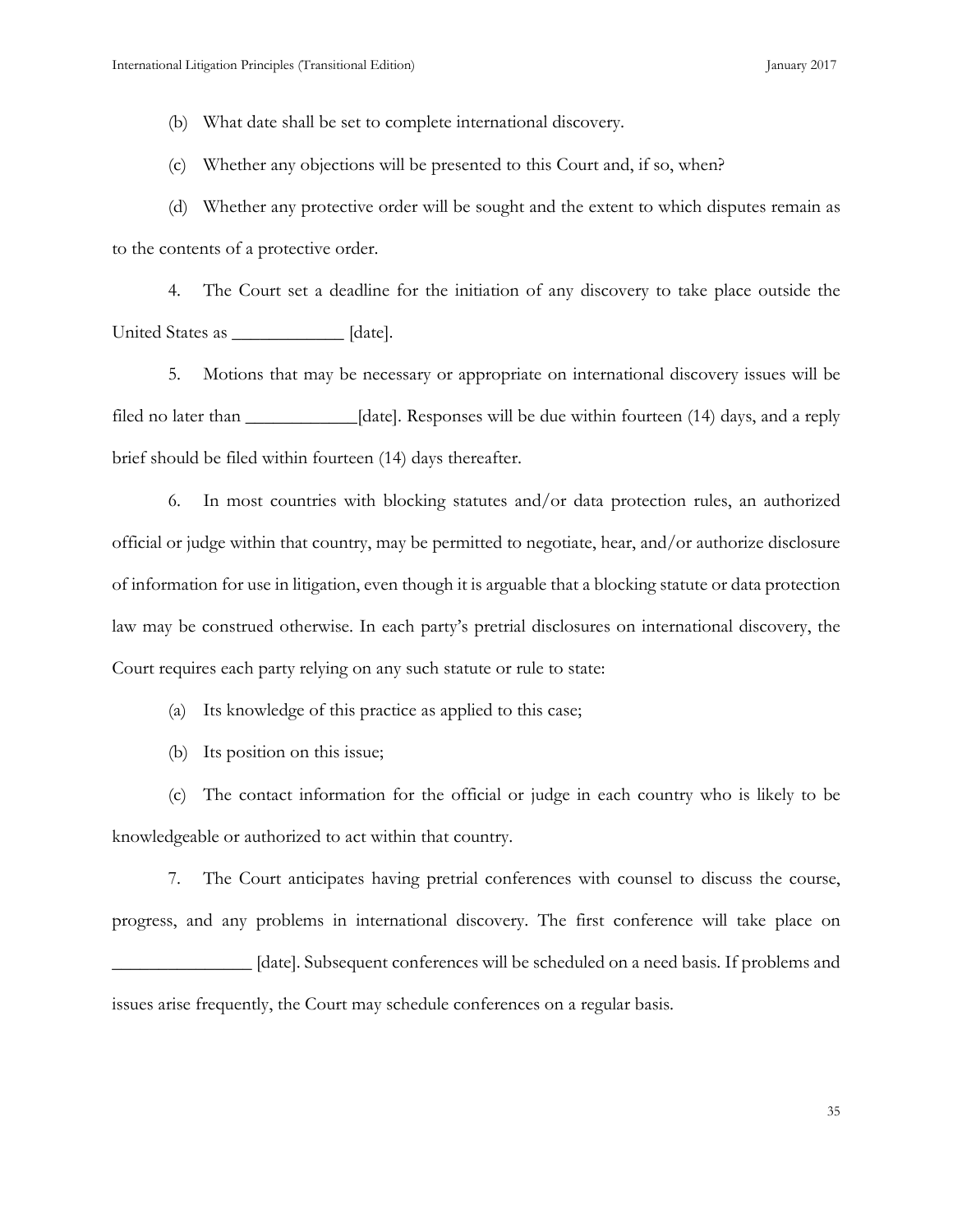(b) What date shall be set to complete international discovery.

(c) Whether any objections will be presented to this Court and, if so, when?

(d) Whether any protective order will be sought and the extent to which disputes remain as to the contents of a protective order.

4. The Court set a deadline for the initiation of any discovery to take place outside the United States as \_\_\_\_\_\_\_\_\_\_\_\_ [date].

5. Motions that may be necessary or appropriate on international discovery issues will be filed no later than \_\_\_\_\_\_\_\_\_\_\_\_[date]. Responses will be due within fourteen (14) days, and a reply brief should be filed within fourteen (14) days thereafter.

6. In most countries with blocking statutes and/or data protection rules, an authorized official or judge within that country, may be permitted to negotiate, hear, and/or authorize disclosure of information for use in litigation, even though it is arguable that a blocking statute or data protection law may be construed otherwise. In each party's pretrial disclosures on international discovery, the Court requires each party relying on any such statute or rule to state:

(a) Its knowledge of this practice as applied to this case;

(b) Its position on this issue;

(c) The contact information for the official or judge in each country who is likely to be knowledgeable or authorized to act within that country.

7. The Court anticipates having pretrial conferences with counsel to discuss the course, progress, and any problems in international discovery. The first conference will take place on \_\_\_\_\_\_\_\_\_\_\_\_\_\_\_ [date]. Subsequent conferences will be scheduled on a need basis. If problems and issues arise frequently, the Court may schedule conferences on a regular basis.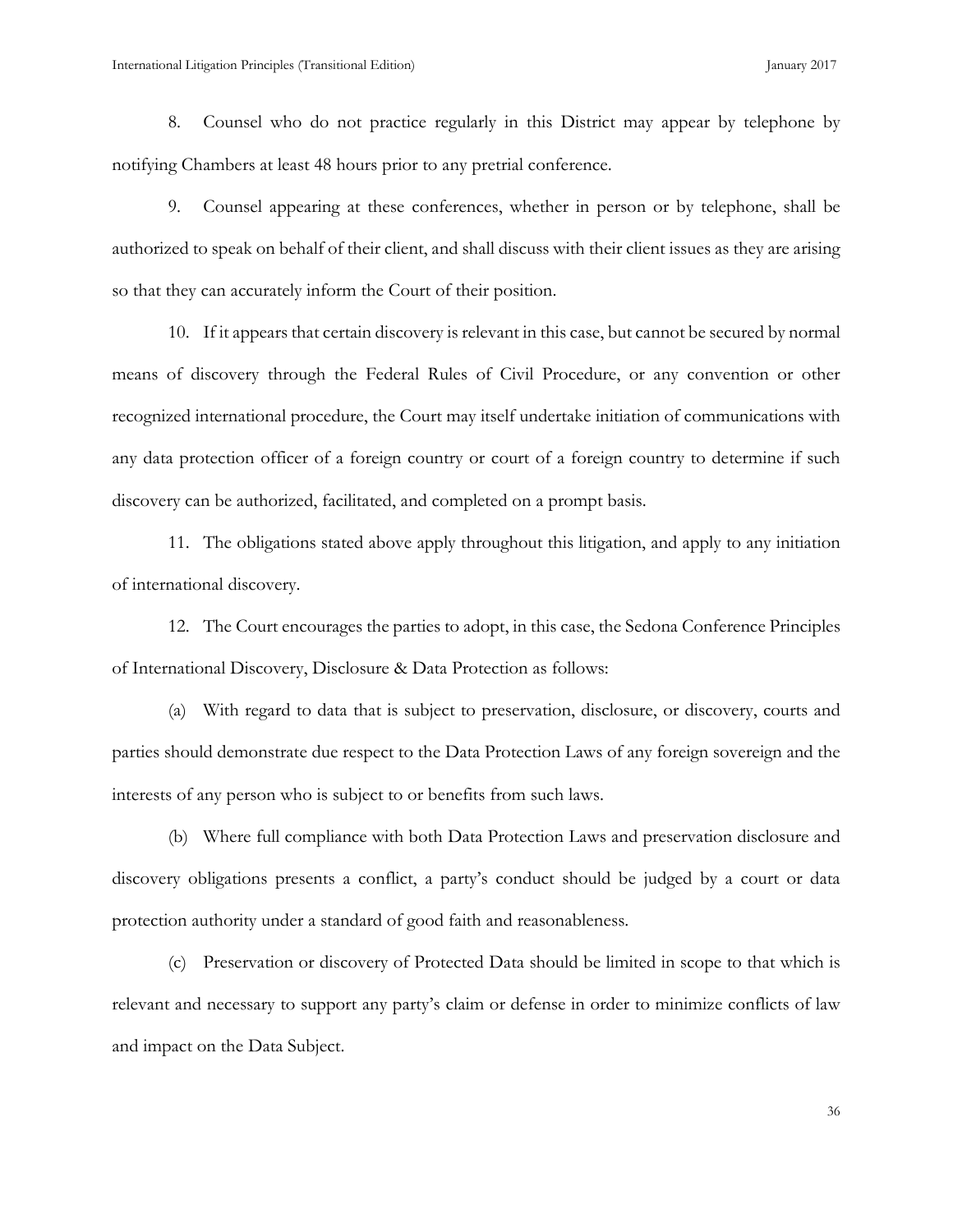8. Counsel who do not practice regularly in this District may appear by telephone by notifying Chambers at least 48 hours prior to any pretrial conference.

9. Counsel appearing at these conferences, whether in person or by telephone, shall be authorized to speak on behalf of their client, and shall discuss with their client issues as they are arising so that they can accurately inform the Court of their position.

10. If it appears that certain discovery is relevant in this case, but cannot be secured by normal means of discovery through the Federal Rules of Civil Procedure, or any convention or other recognized international procedure, the Court may itself undertake initiation of communications with any data protection officer of a foreign country or court of a foreign country to determine if such discovery can be authorized, facilitated, and completed on a prompt basis.

11. The obligations stated above apply throughout this litigation, and apply to any initiation of international discovery.

12. The Court encourages the parties to adopt, in this case, the Sedona Conference Principles of International Discovery, Disclosure & Data Protection as follows:

(a) With regard to data that is subject to preservation, disclosure, or discovery, courts and parties should demonstrate due respect to the Data Protection Laws of any foreign sovereign and the interests of any person who is subject to or benefits from such laws.

(b) Where full compliance with both Data Protection Laws and preservation disclosure and discovery obligations presents a conflict, a party's conduct should be judged by a court or data protection authority under a standard of good faith and reasonableness.

(c) Preservation or discovery of Protected Data should be limited in scope to that which is relevant and necessary to support any party's claim or defense in order to minimize conflicts of law and impact on the Data Subject.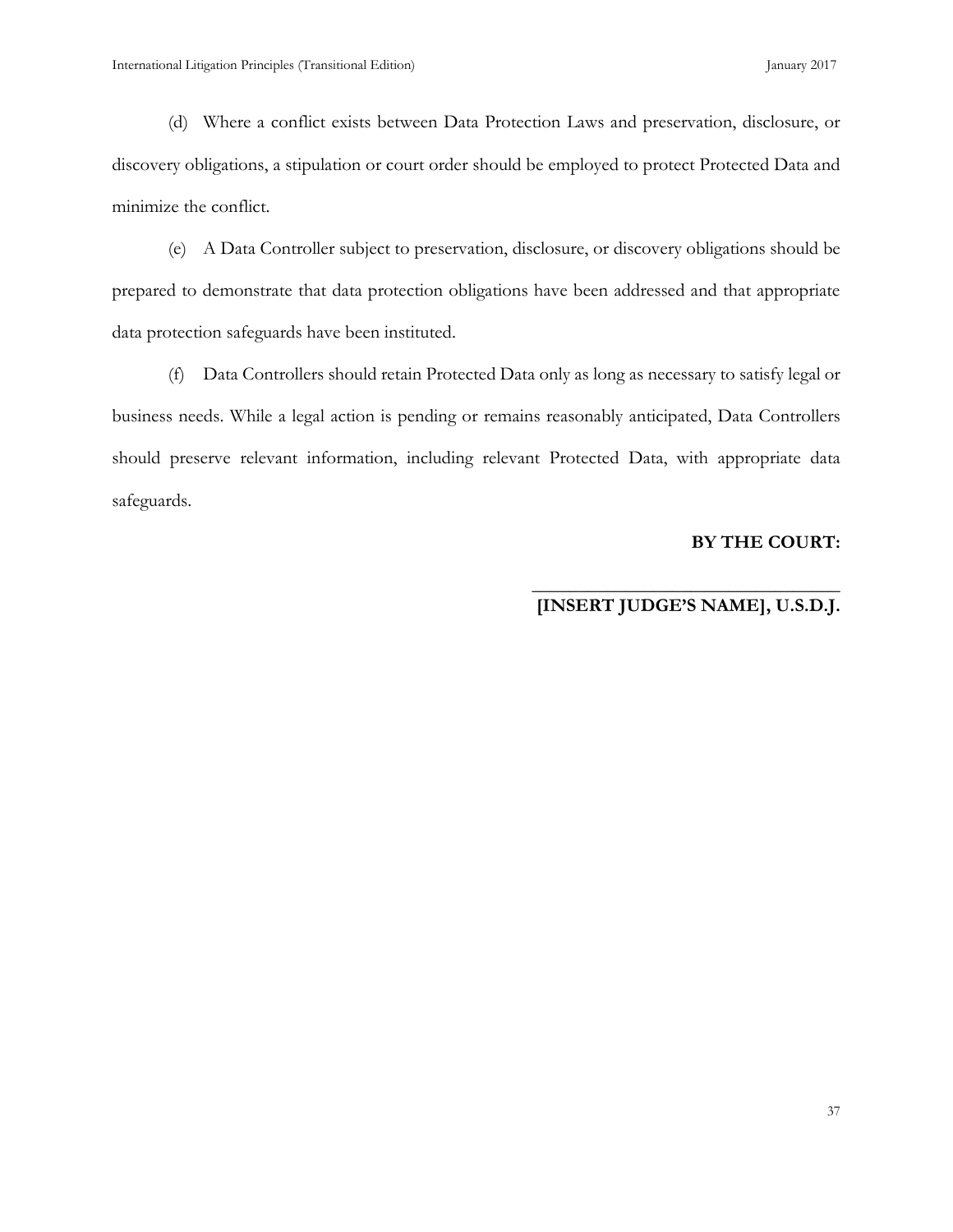(d) Where a conflict exists between Data Protection Laws and preservation, disclosure, or discovery obligations, a stipulation or court order should be employed to protect Protected Data and minimize the conflict.

(e) A Data Controller subject to preservation, disclosure, or discovery obligations should be prepared to demonstrate that data protection obligations have been addressed and that appropriate data protection safeguards have been instituted.

(f) Data Controllers should retain Protected Data only as long as necessary to satisfy legal or business needs. While a legal action is pending or remains reasonably anticipated, Data Controllers should preserve relevant information, including relevant Protected Data, with appropriate data safeguards.

#### **BY THE COURT:**

#### **\_\_\_\_\_\_\_\_\_\_\_\_\_\_\_\_\_\_\_\_\_\_\_\_\_\_\_\_\_\_\_\_\_ [INSERT JUDGE'S NAME], U.S.D.J.**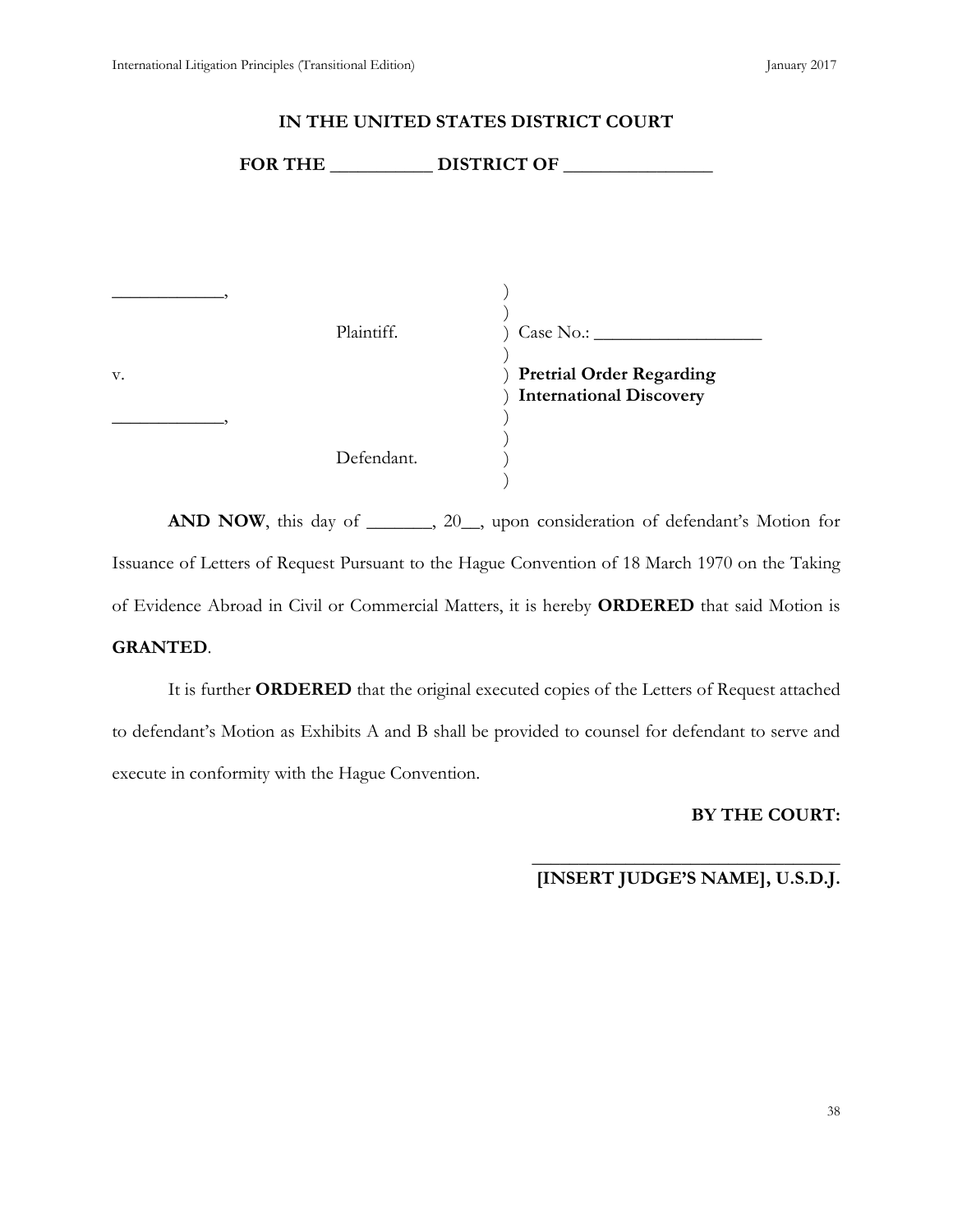|    |            | FOR THE DISTRICT OF                                               |
|----|------------|-------------------------------------------------------------------|
|    |            |                                                                   |
|    | Plaintiff. | Case No.:                                                         |
| V. |            | <b>Pretrial Order Regarding</b><br><b>International Discovery</b> |
|    | Defendant. |                                                                   |

**IN THE UNITED STATES DISTRICT COURT**

AND NOW, this day of \_\_\_\_\_, 20\_, upon consideration of defendant's Motion for Issuance of Letters of Request Pursuant to the Hague Convention of 18 March 1970 on the Taking of Evidence Abroad in Civil or Commercial Matters, it is hereby **ORDERED** that said Motion is **GRANTED**.

It is further **ORDERED** that the original executed copies of the Letters of Request attached to defendant's Motion as Exhibits A and B shall be provided to counsel for defendant to serve and execute in conformity with the Hague Convention.

# **BY THE COURT:**

#### **\_\_\_\_\_\_\_\_\_\_\_\_\_\_\_\_\_\_\_\_\_\_\_\_\_\_\_\_\_\_\_\_\_ [INSERT JUDGE'S NAME], U.S.D.J.**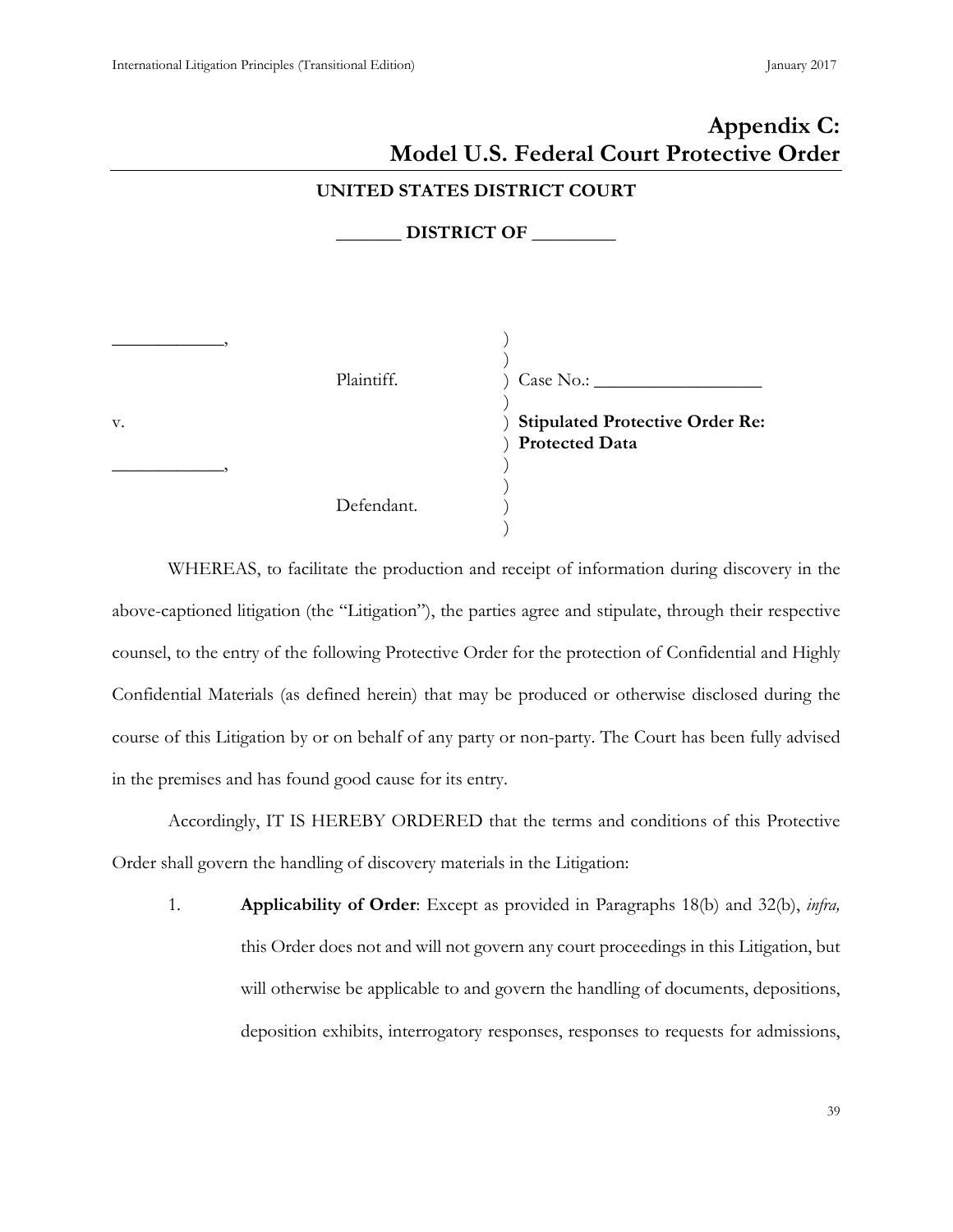# <span id="page-47-0"></span>**Appendix C: Model U.S. Federal Court Protective Order UNITED STATES DISTRICT COURT \_\_\_\_\_\_\_ DISTRICT OF \_\_\_\_\_\_\_\_\_**  $\overline{\phantom{a}}$ Plaintiff. v.  $\overline{\phantom{a}}$ Defendant. ) ) ) Case No.: \_\_\_\_\_\_\_\_\_\_\_\_\_\_\_\_\_\_ ) ) **Stipulated Protective Order Re:** ) **Protected Data** ) ) ) )

WHEREAS, to facilitate the production and receipt of information during discovery in the above-captioned litigation (the "Litigation"), the parties agree and stipulate, through their respective counsel, to the entry of the following Protective Order for the protection of Confidential and Highly Confidential Materials (as defined herein) that may be produced or otherwise disclosed during the course of this Litigation by or on behalf of any party or non-party. The Court has been fully advised in the premises and has found good cause for its entry.

Accordingly, IT IS HEREBY ORDERED that the terms and conditions of this Protective Order shall govern the handling of discovery materials in the Litigation:

1. **Applicability of Order**: Except as provided in Paragraphs 18(b) and 32(b), *infra,* this Order does not and will not govern any court proceedings in this Litigation, but will otherwise be applicable to and govern the handling of documents, depositions, deposition exhibits, interrogatory responses, responses to requests for admissions,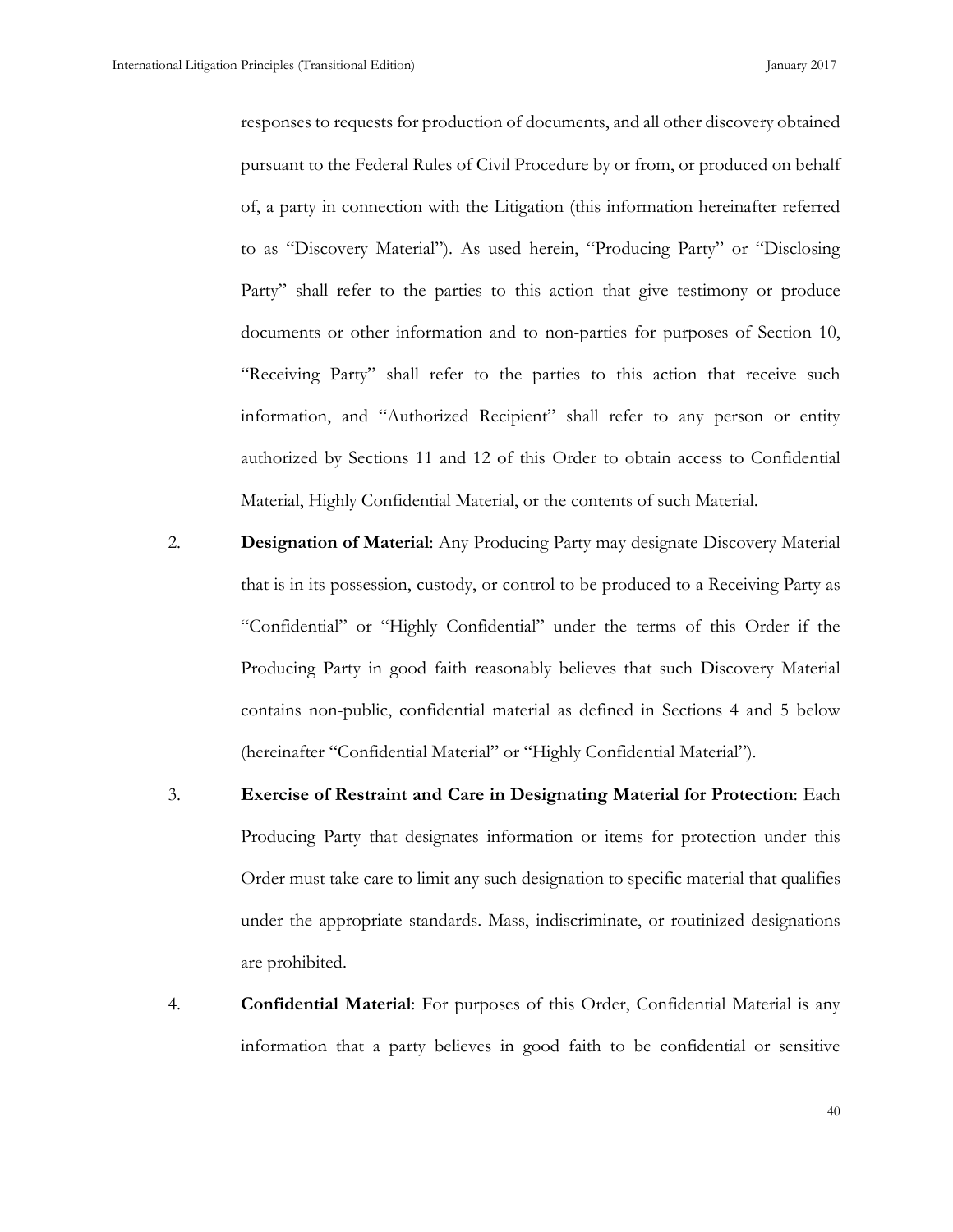responses to requests for production of documents, and all other discovery obtained pursuant to the Federal Rules of Civil Procedure by or from, or produced on behalf of, a party in connection with the Litigation (this information hereinafter referred to as "Discovery Material"). As used herein, "Producing Party" or "Disclosing Party" shall refer to the parties to this action that give testimony or produce documents or other information and to non-parties for purposes of Section 10, "Receiving Party" shall refer to the parties to this action that receive such information, and "Authorized Recipient" shall refer to any person or entity authorized by Sections 11 and 12 of this Order to obtain access to Confidential Material, Highly Confidential Material, or the contents of such Material.

- 2. **Designation of Material**: Any Producing Party may designate Discovery Material that is in its possession, custody, or control to be produced to a Receiving Party as "Confidential" or "Highly Confidential" under the terms of this Order if the Producing Party in good faith reasonably believes that such Discovery Material contains non-public, confidential material as defined in Sections 4 and 5 below (hereinafter "Confidential Material" or "Highly Confidential Material").
- 3. **Exercise of Restraint and Care in Designating Material for Protection**: Each Producing Party that designates information or items for protection under this Order must take care to limit any such designation to specific material that qualifies under the appropriate standards. Mass, indiscriminate, or routinized designations are prohibited.
- 4. **Confidential Material**: For purposes of this Order, Confidential Material is any information that a party believes in good faith to be confidential or sensitive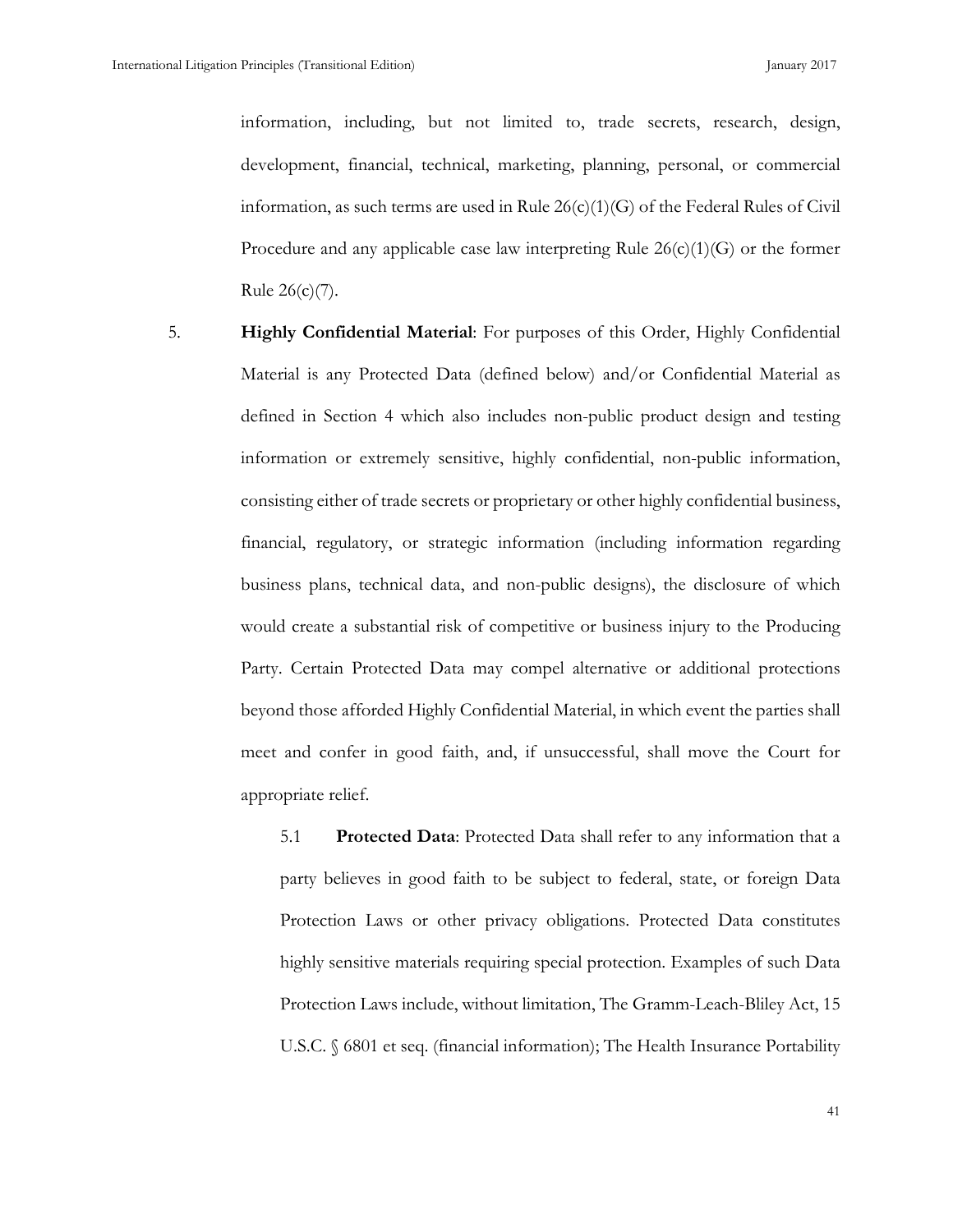information, including, but not limited to, trade secrets, research, design, development, financial, technical, marketing, planning, personal, or commercial information, as such terms are used in Rule  $26(c)(1)(G)$  of the Federal Rules of Civil Procedure and any applicable case law interpreting Rule  $26(c)(1)(G)$  or the former Rule 26(c)(7).

5. **Highly Confidential Material**: For purposes of this Order, Highly Confidential Material is any Protected Data (defined below) and/or Confidential Material as defined in Section 4 which also includes non-public product design and testing information or extremely sensitive, highly confidential, non-public information, consisting either of trade secrets or proprietary or other highly confidential business, financial, regulatory, or strategic information (including information regarding business plans, technical data, and non-public designs), the disclosure of which would create a substantial risk of competitive or business injury to the Producing Party. Certain Protected Data may compel alternative or additional protections beyond those afforded Highly Confidential Material, in which event the parties shall meet and confer in good faith, and, if unsuccessful, shall move the Court for appropriate relief.

> 5.1 **Protected Data**: Protected Data shall refer to any information that a party believes in good faith to be subject to federal, state, or foreign Data Protection Laws or other privacy obligations. Protected Data constitutes highly sensitive materials requiring special protection. Examples of such Data Protection Laws include, without limitation, The Gramm-Leach-Bliley Act, 15 U.S.C. § 6801 et seq. (financial information); The Health Insurance Portability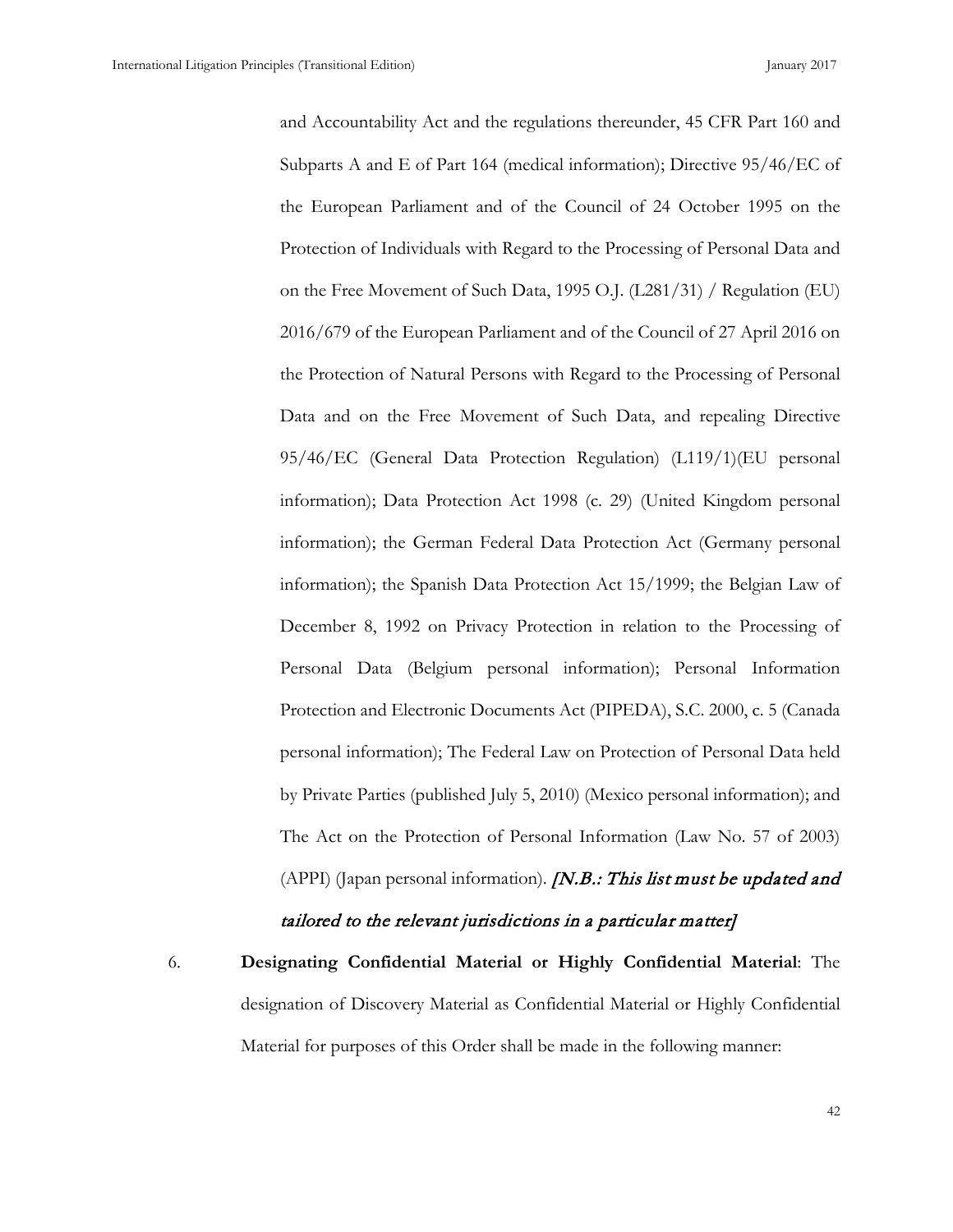and Accountability Act and the regulations thereunder, 45 CFR Part 160 and Subparts A and E of Part 164 (medical information); Directive 95/46/EC of the European Parliament and of the Council of 24 October 1995 on the Protection of Individuals with Regard to the Processing of Personal Data and on the Free Movement of Such Data, 1995 O.J. (L281/31) / Regulation (EU) 2016/679 of the European Parliament and of the Council of 27 April 2016 on the Protection of Natural Persons with Regard to the Processing of Personal Data and on the Free Movement of Such Data, and repealing Directive 95/46/EC (General Data Protection Regulation) (L119/1)(EU personal information); Data Protection Act 1998 (c. 29) (United Kingdom personal information); the German Federal Data Protection Act (Germany personal information); the Spanish Data Protection Act 15/1999; the Belgian Law of December 8, 1992 on Privacy Protection in relation to the Processing of Personal Data (Belgium personal information); Personal Information Protection and Electronic Documents Act (PIPEDA), S.C. 2000, c. 5 (Canada personal information); The Federal Law on Protection of Personal Data held by Private Parties (published July 5, 2010) (Mexico personal information); and The Act on the Protection of Personal Information (Law No. 57 of 2003) (APPI) (Japan personal information). *[N.B.: This list must be updated and* tailored to the relevant jurisdictions in a particular matter]

6. **Designating Confidential Material or Highly Confidential Material**: The designation of Discovery Material as Confidential Material or Highly Confidential Material for purposes of this Order shall be made in the following manner: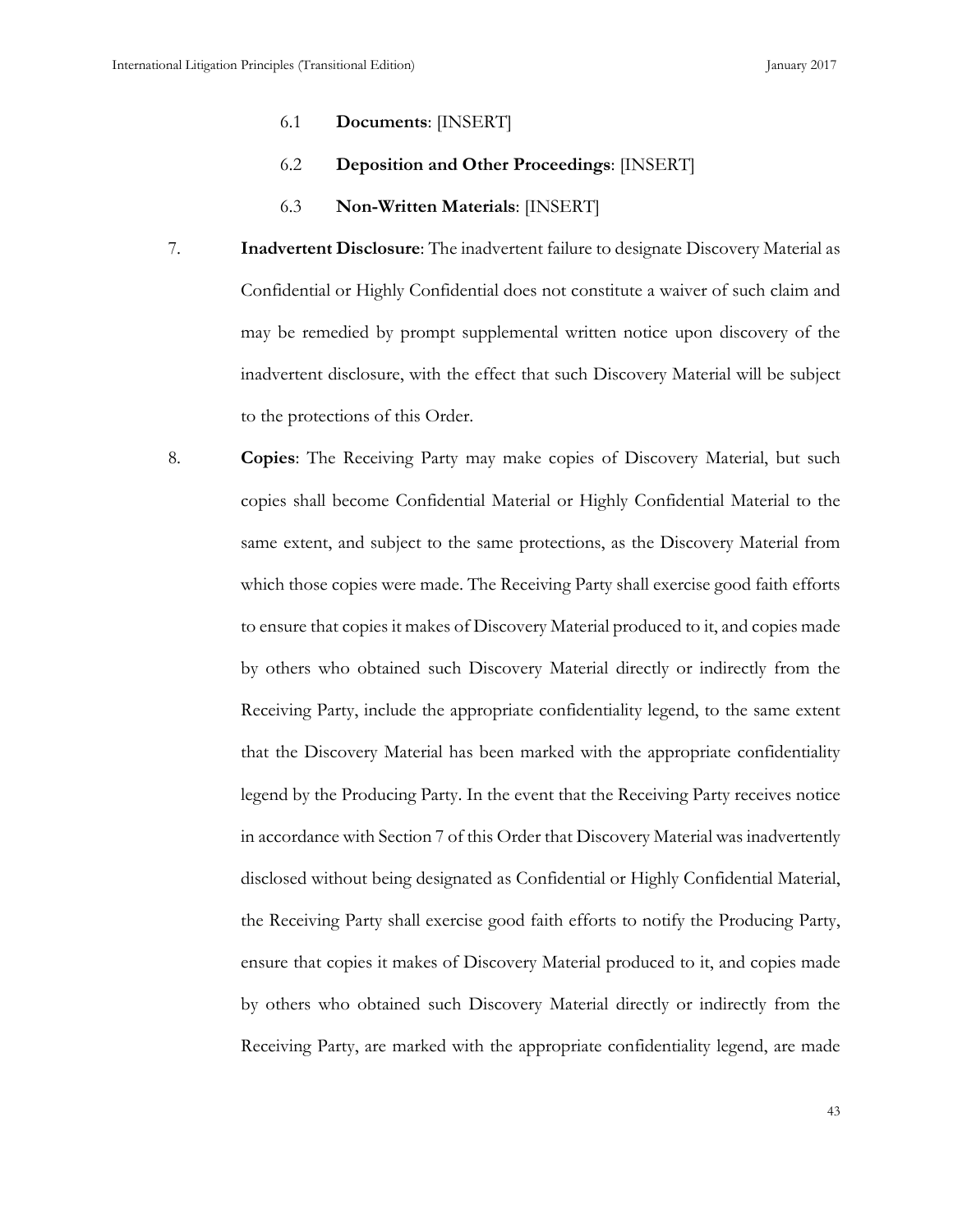- 6.1 **Documents**: [INSERT]
- 6.2 **Deposition and Other Proceedings**: [INSERT]
- 6.3 **Non-Written Materials**: [INSERT]
- 7. **Inadvertent Disclosure**: The inadvertent failure to designate Discovery Material as Confidential or Highly Confidential does not constitute a waiver of such claim and may be remedied by prompt supplemental written notice upon discovery of the inadvertent disclosure, with the effect that such Discovery Material will be subject to the protections of this Order.
- 8. **Copies**: The Receiving Party may make copies of Discovery Material, but such copies shall become Confidential Material or Highly Confidential Material to the same extent, and subject to the same protections, as the Discovery Material from which those copies were made. The Receiving Party shall exercise good faith efforts to ensure that copies it makes of Discovery Material produced to it, and copies made by others who obtained such Discovery Material directly or indirectly from the Receiving Party, include the appropriate confidentiality legend, to the same extent that the Discovery Material has been marked with the appropriate confidentiality legend by the Producing Party. In the event that the Receiving Party receives notice in accordance with Section 7 of this Order that Discovery Material was inadvertently disclosed without being designated as Confidential or Highly Confidential Material, the Receiving Party shall exercise good faith efforts to notify the Producing Party, ensure that copies it makes of Discovery Material produced to it, and copies made by others who obtained such Discovery Material directly or indirectly from the Receiving Party, are marked with the appropriate confidentiality legend, are made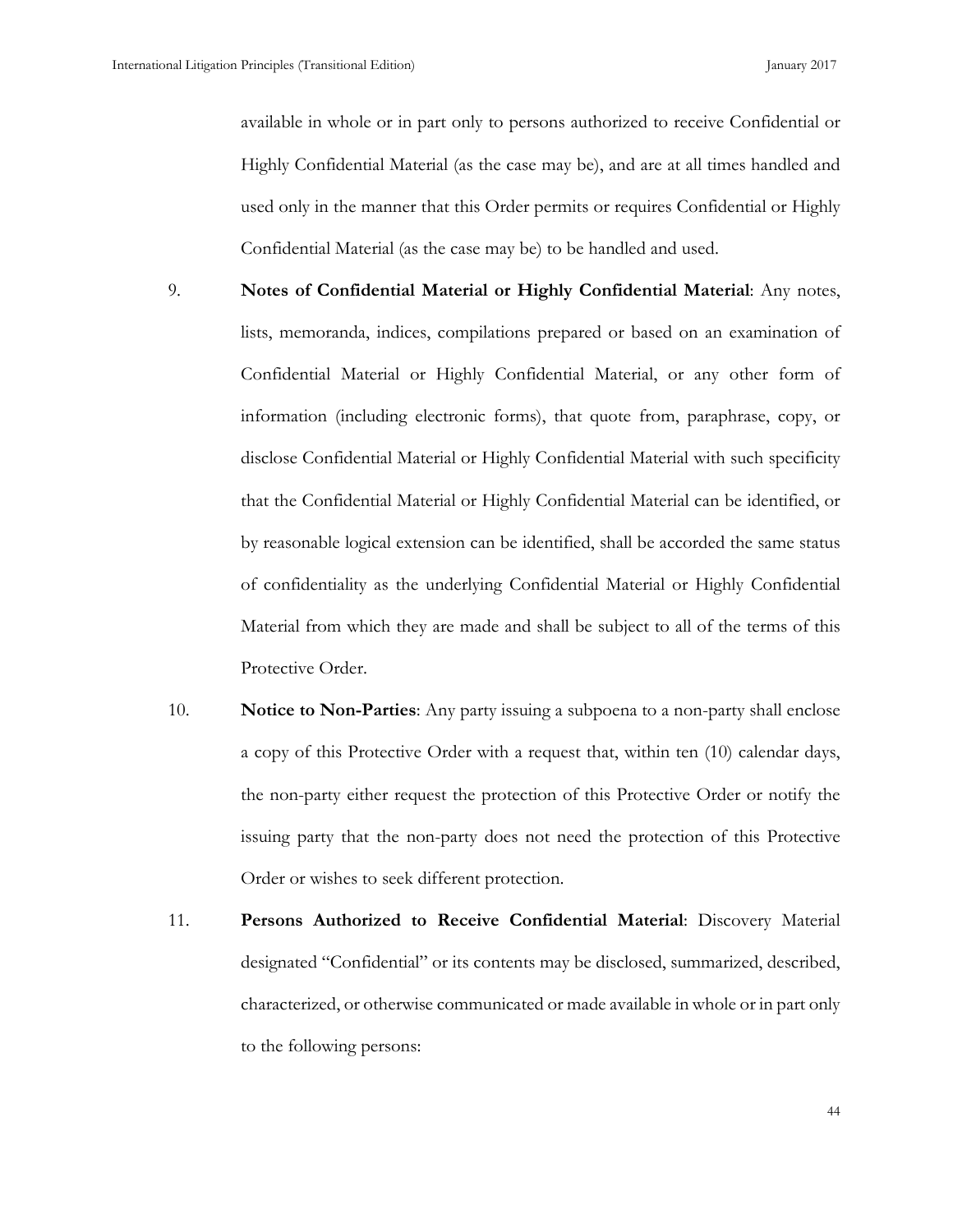available in whole or in part only to persons authorized to receive Confidential or Highly Confidential Material (as the case may be), and are at all times handled and used only in the manner that this Order permits or requires Confidential or Highly Confidential Material (as the case may be) to be handled and used.

- 9. **Notes of Confidential Material or Highly Confidential Material**: Any notes, lists, memoranda, indices, compilations prepared or based on an examination of Confidential Material or Highly Confidential Material, or any other form of information (including electronic forms), that quote from, paraphrase, copy, or disclose Confidential Material or Highly Confidential Material with such specificity that the Confidential Material or Highly Confidential Material can be identified, or by reasonable logical extension can be identified, shall be accorded the same status of confidentiality as the underlying Confidential Material or Highly Confidential Material from which they are made and shall be subject to all of the terms of this Protective Order.
- 10. **Notice to Non-Parties**: Any party issuing a subpoena to a non-party shall enclose a copy of this Protective Order with a request that, within ten (10) calendar days, the non-party either request the protection of this Protective Order or notify the issuing party that the non-party does not need the protection of this Protective Order or wishes to seek different protection.
- 11. **Persons Authorized to Receive Confidential Material**: Discovery Material designated "Confidential" or its contents may be disclosed, summarized, described, characterized, or otherwise communicated or made available in whole or in part only to the following persons: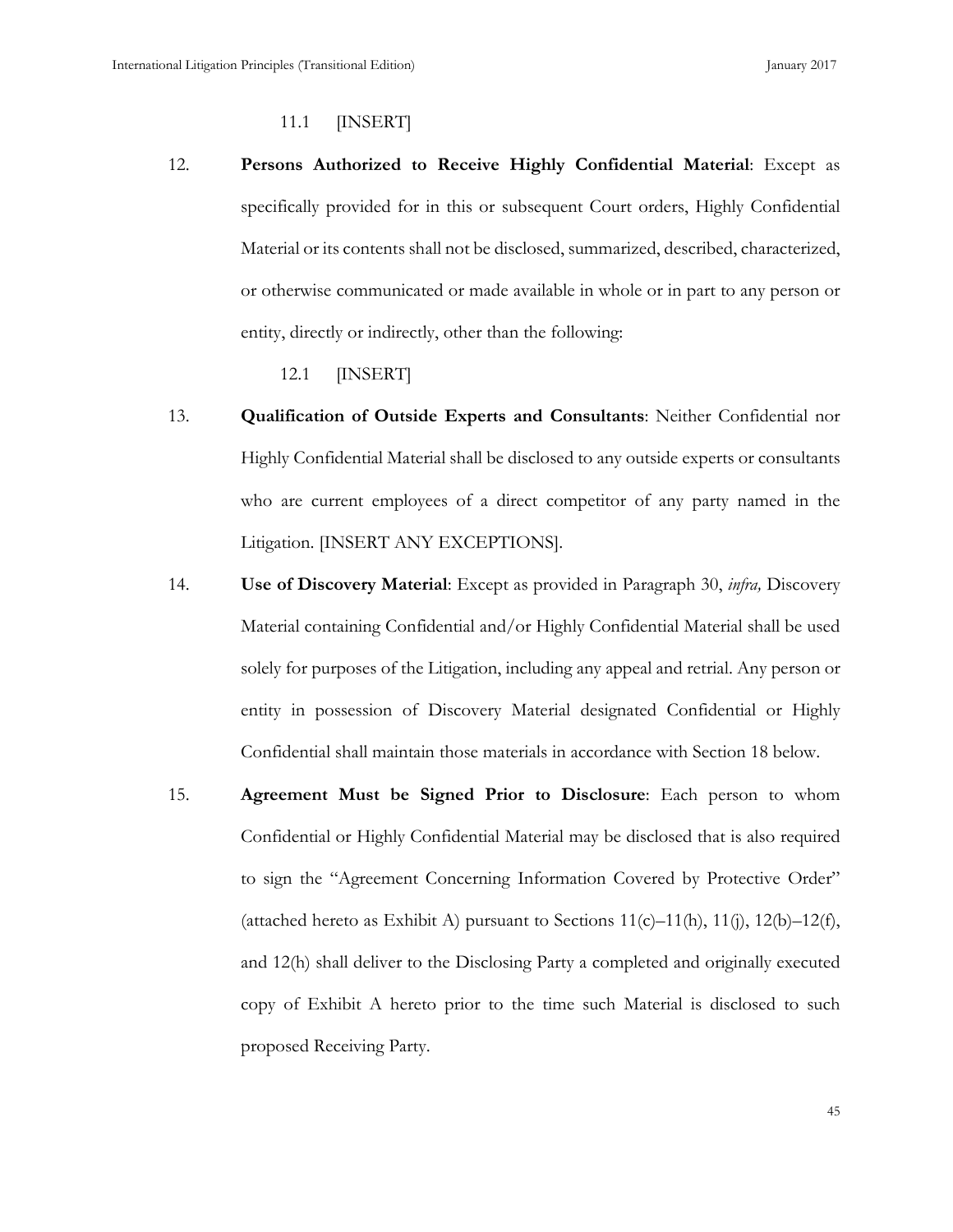11.1 [INSERT]

12. **Persons Authorized to Receive Highly Confidential Material**: Except as specifically provided for in this or subsequent Court orders, Highly Confidential Material or its contents shall not be disclosed, summarized, described, characterized, or otherwise communicated or made available in whole or in part to any person or entity, directly or indirectly, other than the following:

12.1 [INSERT]

- 13. **Qualification of Outside Experts and Consultants**: Neither Confidential nor Highly Confidential Material shall be disclosed to any outside experts or consultants who are current employees of a direct competitor of any party named in the Litigation. [INSERT ANY EXCEPTIONS].
- 14. **Use of Discovery Material**: Except as provided in Paragraph 30, *infra,* Discovery Material containing Confidential and/or Highly Confidential Material shall be used solely for purposes of the Litigation, including any appeal and retrial. Any person or entity in possession of Discovery Material designated Confidential or Highly Confidential shall maintain those materials in accordance with Section 18 below.
- 15. **Agreement Must be Signed Prior to Disclosure**: Each person to whom Confidential or Highly Confidential Material may be disclosed that is also required to sign the "Agreement Concerning Information Covered by Protective Order" (attached hereto as Exhibit A) pursuant to Sections  $11(c) - 11(h)$ ,  $11(i)$ ,  $12(b) - 12(f)$ , and 12(h) shall deliver to the Disclosing Party a completed and originally executed copy of Exhibit A hereto prior to the time such Material is disclosed to such proposed Receiving Party.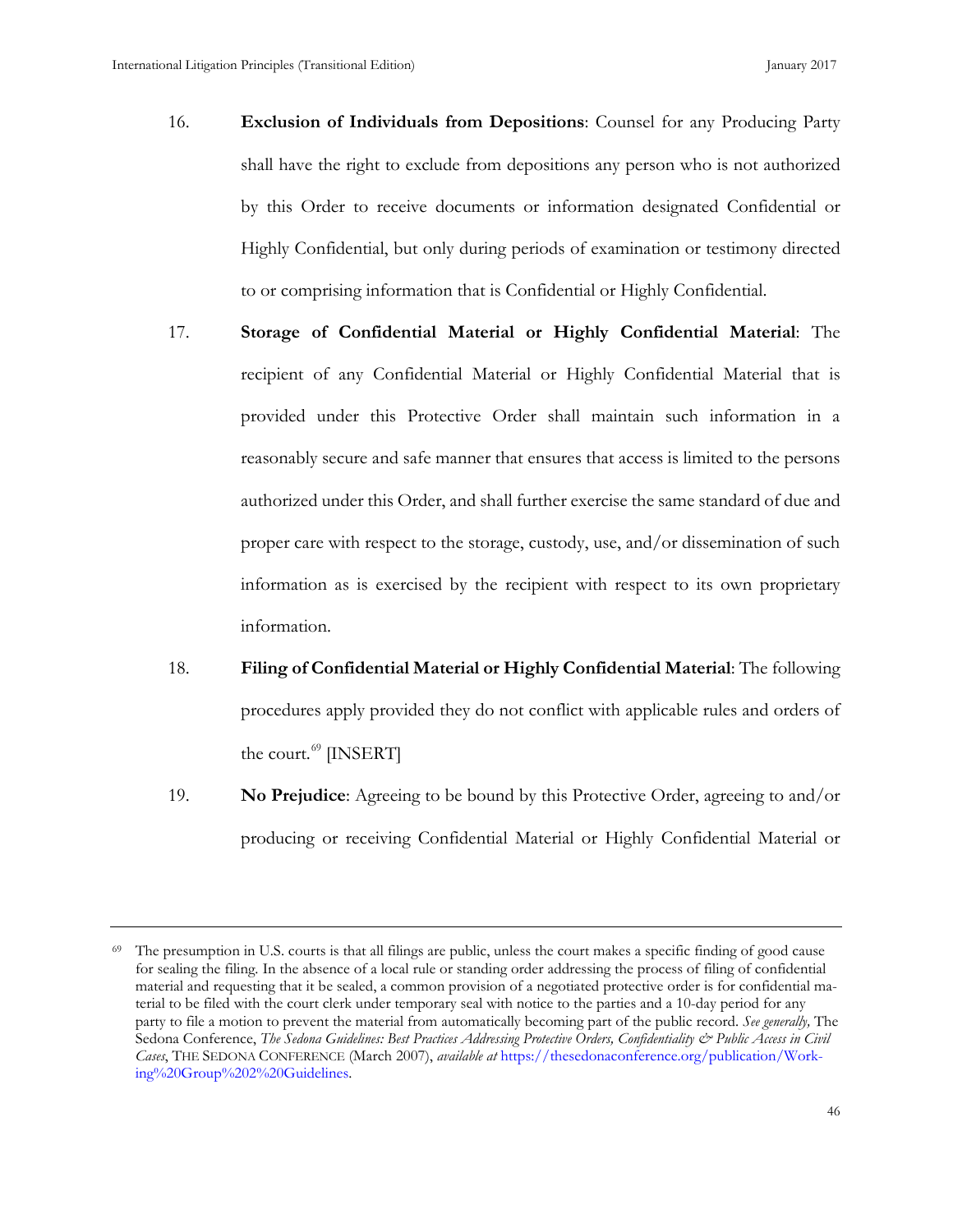- 16. **Exclusion of Individuals from Depositions**: Counsel for any Producing Party shall have the right to exclude from depositions any person who is not authorized by this Order to receive documents or information designated Confidential or Highly Confidential, but only during periods of examination or testimony directed to or comprising information that is Confidential or Highly Confidential.
- 17. **Storage of Confidential Material or Highly Confidential Material**: The recipient of any Confidential Material or Highly Confidential Material that is provided under this Protective Order shall maintain such information in a reasonably secure and safe manner that ensures that access is limited to the persons authorized under this Order, and shall further exercise the same standard of due and proper care with respect to the storage, custody, use, and/or dissemination of such information as is exercised by the recipient with respect to its own proprietary information.
- 18. **Filing of Confidential Material or Highly Confidential Material**: The following procedures apply provided they do not conflict with applicable rules and orders of the court. $^{69}$  $^{69}$  $^{69}$  [INSERT]
- 19. **No Prejudice**: Agreeing to be bound by this Protective Order, agreeing to and/or producing or receiving Confidential Material or Highly Confidential Material or

<span id="page-54-0"></span> $69$  The presumption in U.S. courts is that all filings are public, unless the court makes a specific finding of good cause for sealing the filing. In the absence of a local rule or standing order addressing the process of filing of confidential material and requesting that it be sealed, a common provision of a negotiated protective order is for confidential material to be filed with the court clerk under temporary seal with notice to the parties and a 10-day period for any party to file a motion to prevent the material from automatically becoming part of the public record. *See generally,* The Sedona Conference, *The Sedona Guidelines: Best Practices Addressing Protective Orders, Confidentiality & Public Access in Civil Cases*, THE SEDONA CONFERENCE (March 2007), *available at* [https://thesedonaconference.org/publication/Work](https://thesedonaconference.org/publication/Working%20Group%202%20Guidelines)[ing%20Group%202%20Guidelines.](https://thesedonaconference.org/publication/Working%20Group%202%20Guidelines)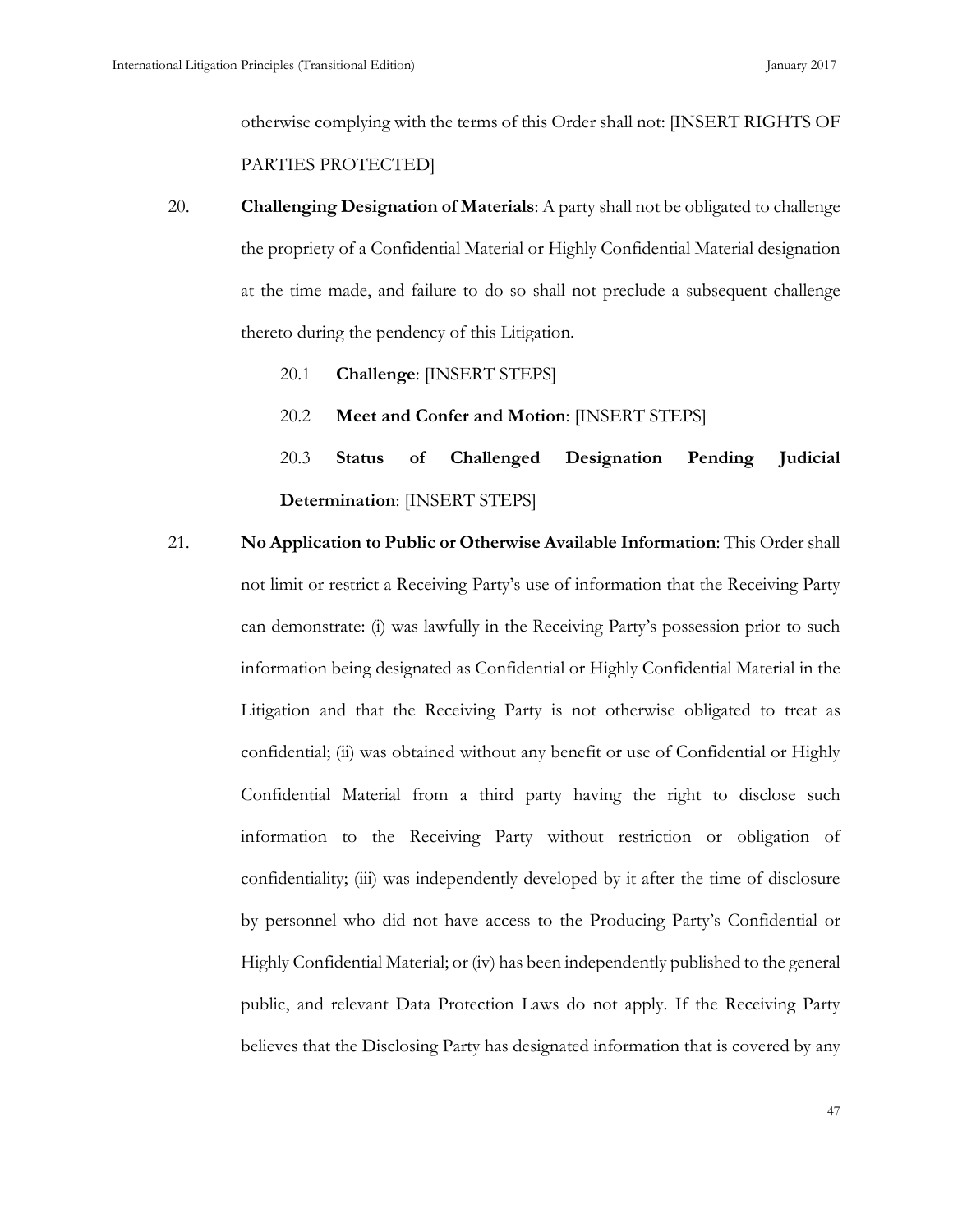otherwise complying with the terms of this Order shall not: [INSERT RIGHTS OF PARTIES PROTECTED]

- 20. **Challenging Designation of Materials**: A party shall not be obligated to challenge the propriety of a Confidential Material or Highly Confidential Material designation at the time made, and failure to do so shall not preclude a subsequent challenge thereto during the pendency of this Litigation.
	- 20.1 **Challenge**: [INSERT STEPS]
	- 20.2 **Meet and Confer and Motion**: [INSERT STEPS]

20.3 **Status of Challenged Designation Pending Judicial Determination**: [INSERT STEPS]

21. **No Application to Public or Otherwise Available Information**: This Order shall not limit or restrict a Receiving Party's use of information that the Receiving Party can demonstrate: (i) was lawfully in the Receiving Party's possession prior to such information being designated as Confidential or Highly Confidential Material in the Litigation and that the Receiving Party is not otherwise obligated to treat as confidential; (ii) was obtained without any benefit or use of Confidential or Highly Confidential Material from a third party having the right to disclose such information to the Receiving Party without restriction or obligation of confidentiality; (iii) was independently developed by it after the time of disclosure by personnel who did not have access to the Producing Party's Confidential or Highly Confidential Material; or (iv) has been independently published to the general public, and relevant Data Protection Laws do not apply. If the Receiving Party believes that the Disclosing Party has designated information that is covered by any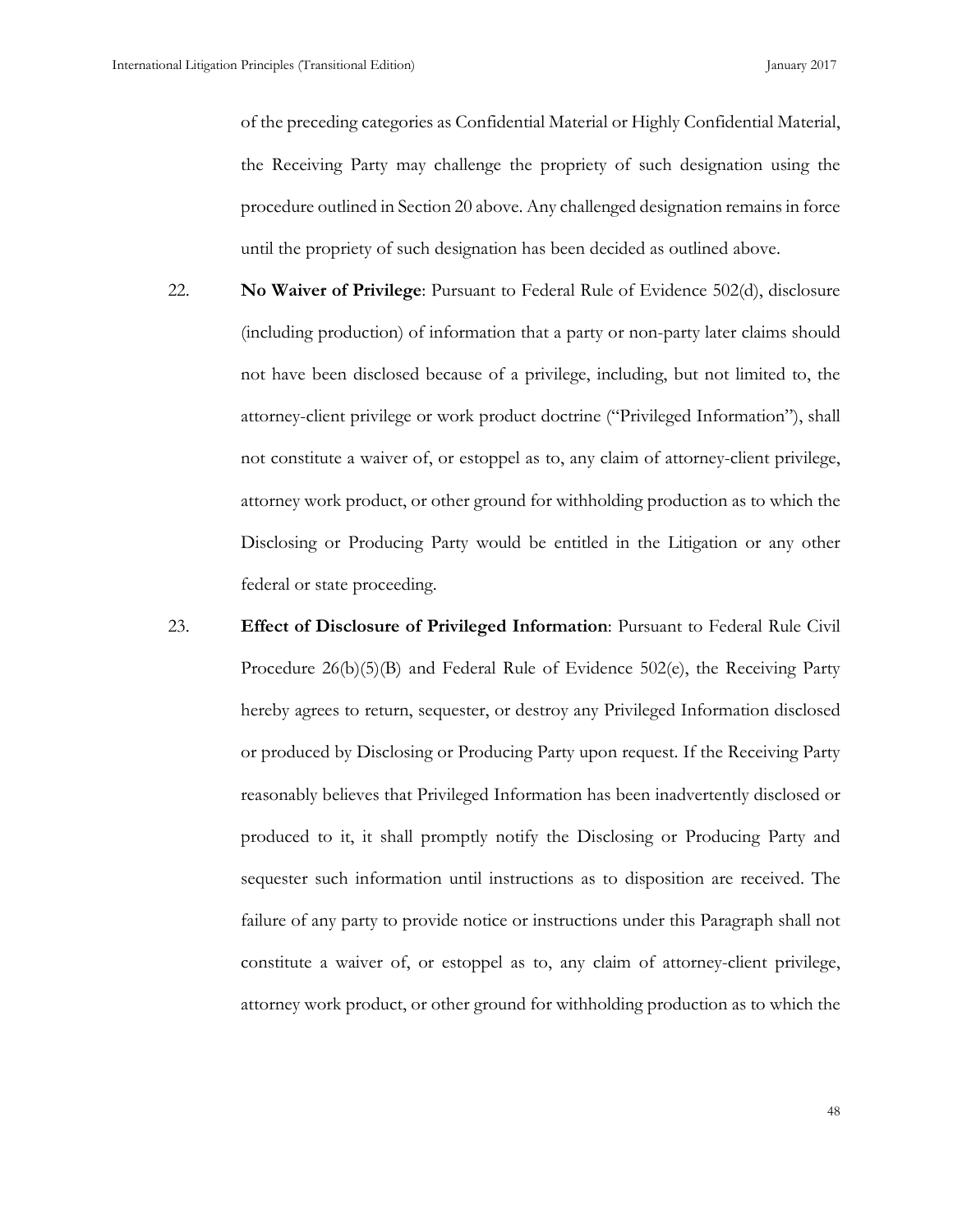of the preceding categories as Confidential Material or Highly Confidential Material, the Receiving Party may challenge the propriety of such designation using the procedure outlined in Section 20 above. Any challenged designation remains in force until the propriety of such designation has been decided as outlined above.

- 22. **No Waiver of Privilege**: Pursuant to Federal Rule of Evidence 502(d), disclosure (including production) of information that a party or non-party later claims should not have been disclosed because of a privilege, including, but not limited to, the attorney-client privilege or work product doctrine ("Privileged Information"), shall not constitute a waiver of, or estoppel as to, any claim of attorney-client privilege, attorney work product, or other ground for withholding production as to which the Disclosing or Producing Party would be entitled in the Litigation or any other federal or state proceeding.
- 23. **Effect of Disclosure of Privileged Information**: Pursuant to Federal Rule Civil Procedure 26(b)(5)(B) and Federal Rule of Evidence 502(e), the Receiving Party hereby agrees to return, sequester, or destroy any Privileged Information disclosed or produced by Disclosing or Producing Party upon request. If the Receiving Party reasonably believes that Privileged Information has been inadvertently disclosed or produced to it, it shall promptly notify the Disclosing or Producing Party and sequester such information until instructions as to disposition are received. The failure of any party to provide notice or instructions under this Paragraph shall not constitute a waiver of, or estoppel as to, any claim of attorney-client privilege, attorney work product, or other ground for withholding production as to which the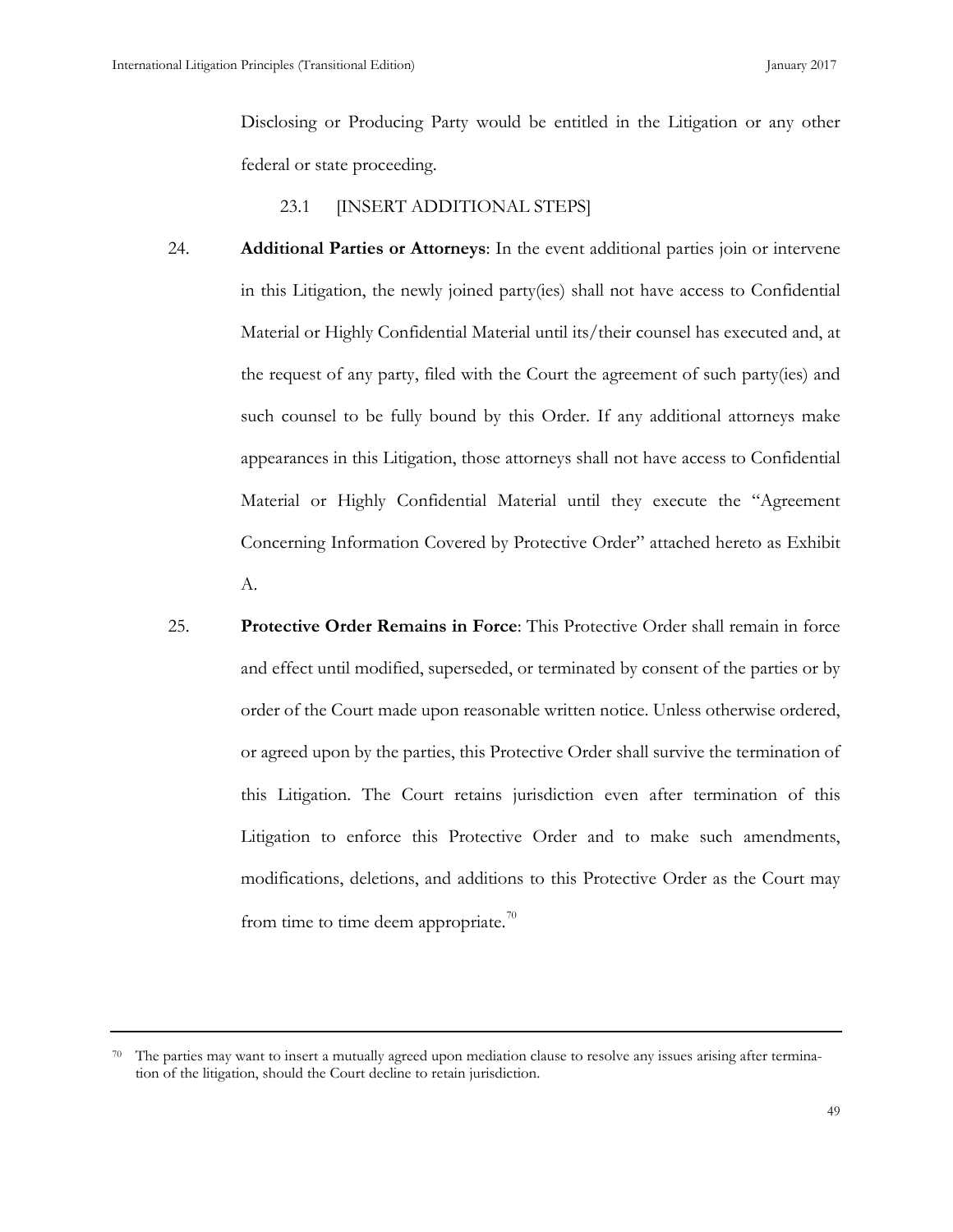Disclosing or Producing Party would be entitled in the Litigation or any other federal or state proceeding.

23.1 [INSERT ADDITIONAL STEPS]

- 24. **Additional Parties or Attorneys**: In the event additional parties join or intervene in this Litigation, the newly joined party(ies) shall not have access to Confidential Material or Highly Confidential Material until its/their counsel has executed and, at the request of any party, filed with the Court the agreement of such party(ies) and such counsel to be fully bound by this Order. If any additional attorneys make appearances in this Litigation, those attorneys shall not have access to Confidential Material or Highly Confidential Material until they execute the "Agreement Concerning Information Covered by Protective Order" attached hereto as Exhibit A.
- 25. **Protective Order Remains in Force**: This Protective Order shall remain in force and effect until modified, superseded, or terminated by consent of the parties or by order of the Court made upon reasonable written notice. Unless otherwise ordered, or agreed upon by the parties, this Protective Order shall survive the termination of this Litigation. The Court retains jurisdiction even after termination of this Litigation to enforce this Protective Order and to make such amendments, modifications, deletions, and additions to this Protective Order as the Court may from time to time deem appropriate.<sup>[70](#page-57-0)</sup>

<span id="page-57-0"></span> $70$  The parties may want to insert a mutually agreed upon mediation clause to resolve any issues arising after termination of the litigation, should the Court decline to retain jurisdiction.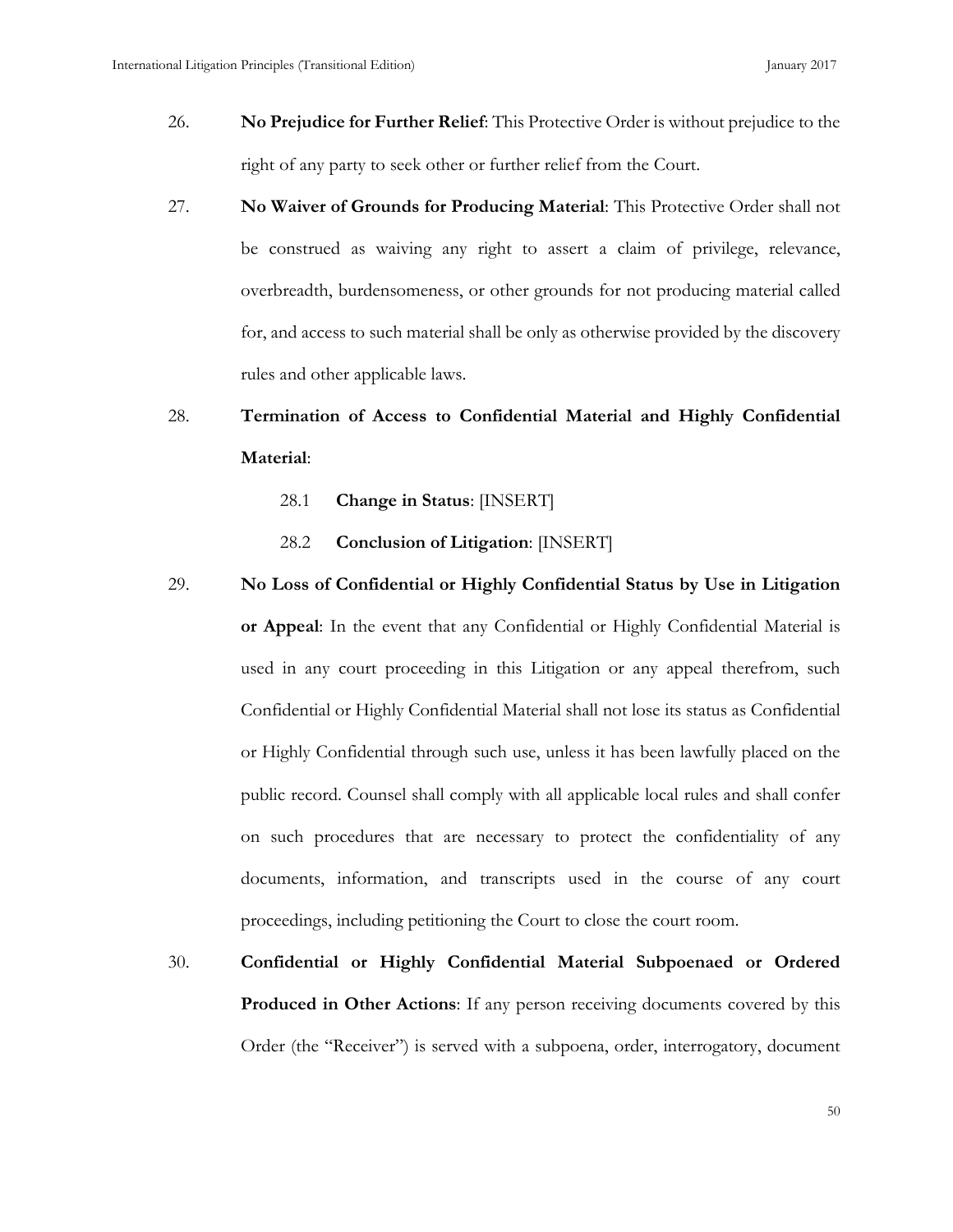- 26. **No Prejudice for Further Relief**: This Protective Order is without prejudice to the right of any party to seek other or further relief from the Court.
- 27. **No Waiver of Grounds for Producing Material**: This Protective Order shall not be construed as waiving any right to assert a claim of privilege, relevance, overbreadth, burdensomeness, or other grounds for not producing material called for, and access to such material shall be only as otherwise provided by the discovery rules and other applicable laws.

# 28. **Termination of Access to Confidential Material and Highly Confidential Material**:

- 28.1 **Change in Status**: [INSERT]
- 28.2 **Conclusion of Litigation**: [INSERT]

## 29. **No Loss of Confidential or Highly Confidential Status by Use in Litigation**

**or Appeal**: In the event that any Confidential or Highly Confidential Material is used in any court proceeding in this Litigation or any appeal therefrom, such Confidential or Highly Confidential Material shall not lose its status as Confidential or Highly Confidential through such use, unless it has been lawfully placed on the public record. Counsel shall comply with all applicable local rules and shall confer on such procedures that are necessary to protect the confidentiality of any documents, information, and transcripts used in the course of any court proceedings, including petitioning the Court to close the court room.

30. **Confidential or Highly Confidential Material Subpoenaed or Ordered Produced in Other Actions**: If any person receiving documents covered by this Order (the "Receiver") is served with a subpoena, order, interrogatory, document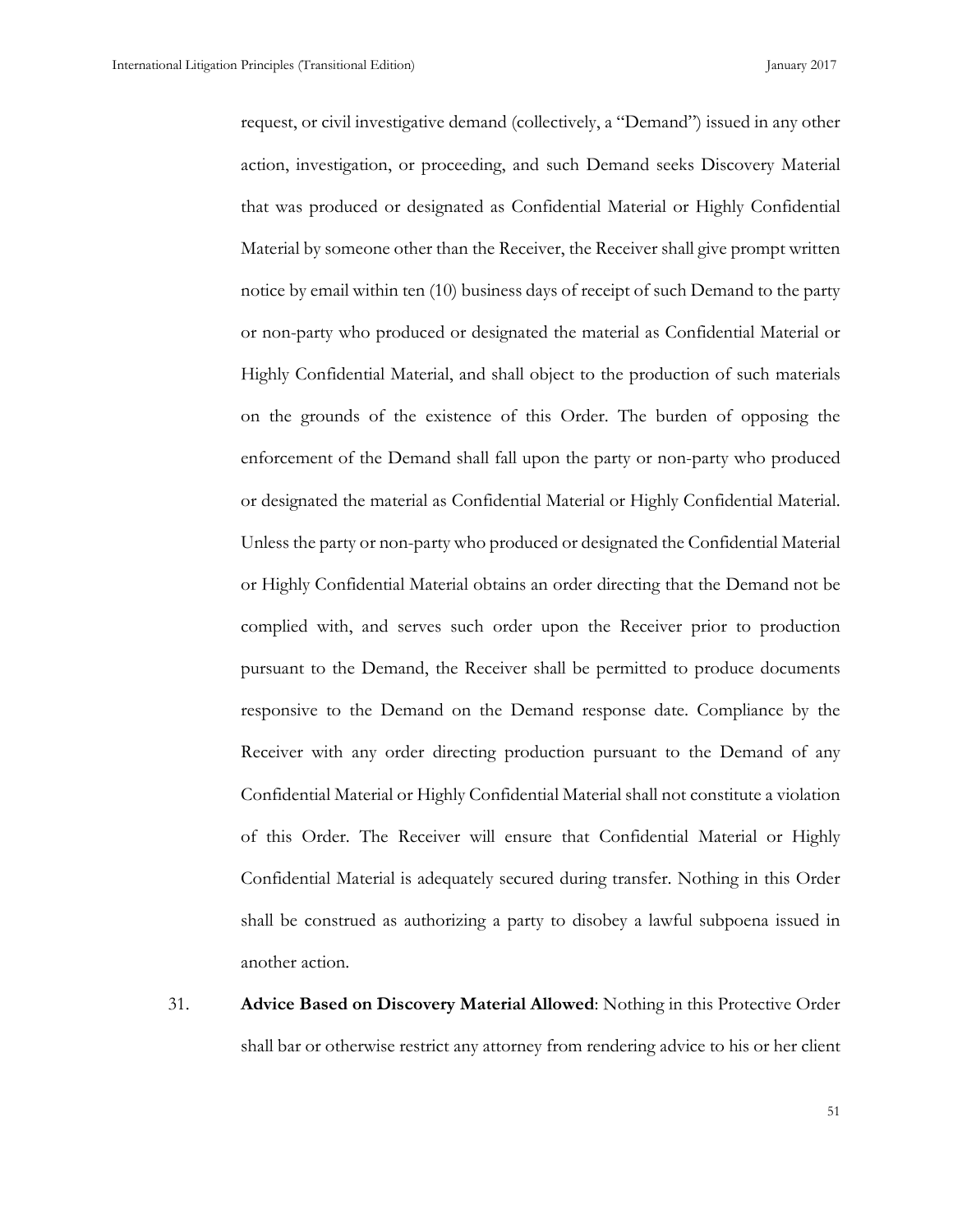request, or civil investigative demand (collectively, a "Demand") issued in any other action, investigation, or proceeding, and such Demand seeks Discovery Material that was produced or designated as Confidential Material or Highly Confidential Material by someone other than the Receiver, the Receiver shall give prompt written notice by email within ten (10) business days of receipt of such Demand to the party or non-party who produced or designated the material as Confidential Material or Highly Confidential Material, and shall object to the production of such materials on the grounds of the existence of this Order. The burden of opposing the enforcement of the Demand shall fall upon the party or non-party who produced or designated the material as Confidential Material or Highly Confidential Material. Unless the party or non-party who produced or designated the Confidential Material or Highly Confidential Material obtains an order directing that the Demand not be complied with, and serves such order upon the Receiver prior to production pursuant to the Demand, the Receiver shall be permitted to produce documents responsive to the Demand on the Demand response date. Compliance by the Receiver with any order directing production pursuant to the Demand of any Confidential Material or Highly Confidential Material shall not constitute a violation of this Order. The Receiver will ensure that Confidential Material or Highly Confidential Material is adequately secured during transfer. Nothing in this Order shall be construed as authorizing a party to disobey a lawful subpoena issued in another action.

31. **Advice Based on Discovery Material Allowed**: Nothing in this Protective Order shall bar or otherwise restrict any attorney from rendering advice to his or her client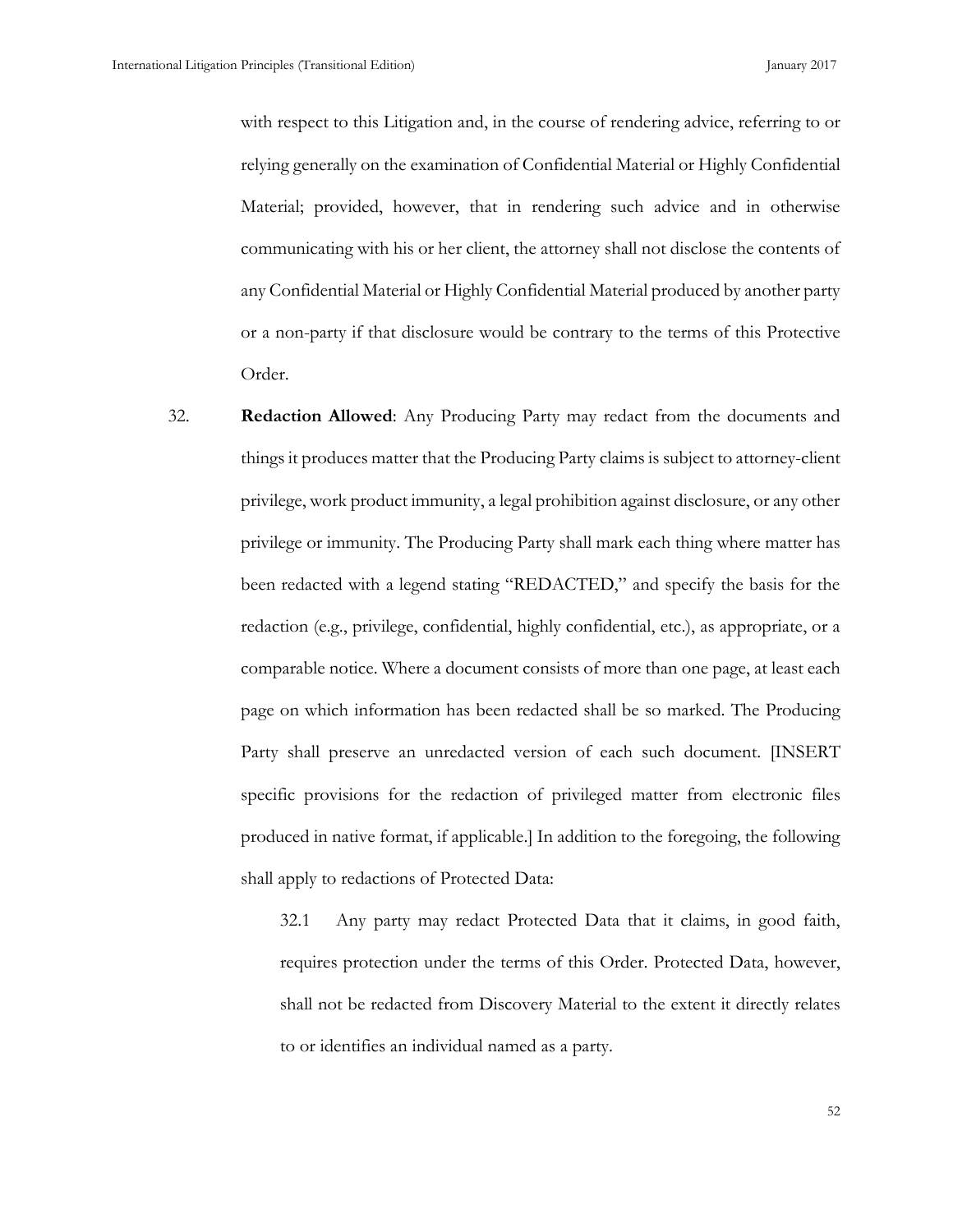with respect to this Litigation and, in the course of rendering advice, referring to or relying generally on the examination of Confidential Material or Highly Confidential Material; provided, however, that in rendering such advice and in otherwise communicating with his or her client, the attorney shall not disclose the contents of any Confidential Material or Highly Confidential Material produced by another party or a non-party if that disclosure would be contrary to the terms of this Protective Order.

32. **Redaction Allowed**: Any Producing Party may redact from the documents and things it produces matter that the Producing Party claims is subject to attorney-client privilege, work product immunity, a legal prohibition against disclosure, or any other privilege or immunity. The Producing Party shall mark each thing where matter has been redacted with a legend stating "REDACTED," and specify the basis for the redaction (e.g., privilege, confidential, highly confidential, etc.), as appropriate, or a comparable notice. Where a document consists of more than one page, at least each page on which information has been redacted shall be so marked. The Producing Party shall preserve an unredacted version of each such document. [INSERT specific provisions for the redaction of privileged matter from electronic files produced in native format, if applicable.] In addition to the foregoing, the following shall apply to redactions of Protected Data:

> 32.1 Any party may redact Protected Data that it claims, in good faith, requires protection under the terms of this Order. Protected Data, however, shall not be redacted from Discovery Material to the extent it directly relates to or identifies an individual named as a party.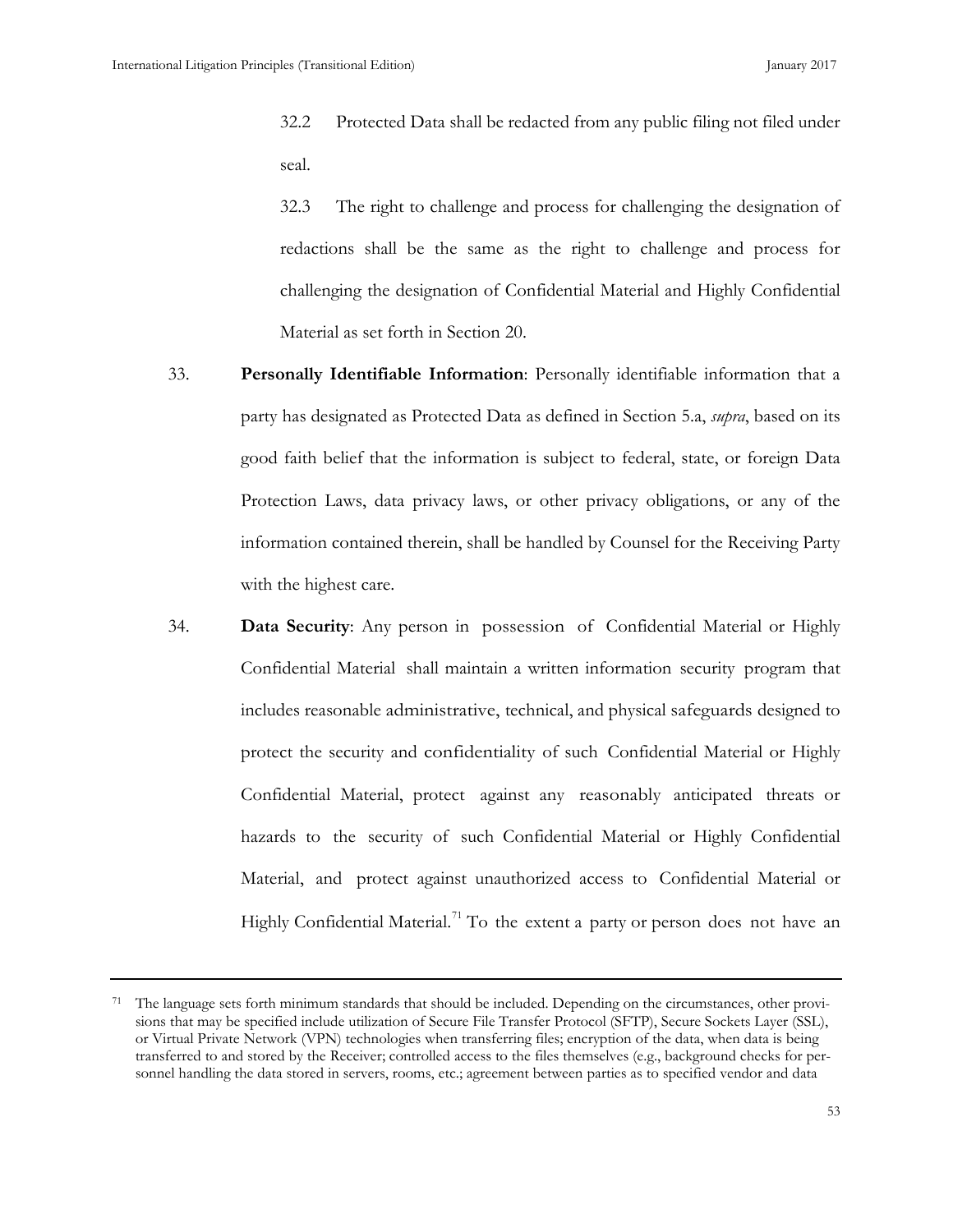32.2 Protected Data shall be redacted from any public filing not filed under seal.

32.3 The right to challenge and process for challenging the designation of redactions shall be the same as the right to challenge and process for challenging the designation of Confidential Material and Highly Confidential Material as set forth in Section 20.

- 33. **Personally Identifiable Information**: Personally identifiable information that a party has designated as Protected Data as defined in Section 5.a, *supra*, based on its good faith belief that the information is subject to federal, state, or foreign Data Protection Laws, data privacy laws, or other privacy obligations, or any of the information contained therein, shall be handled by Counsel for the Receiving Party with the highest care.
- 34. **Data Security**: Any person in possession of Confidential Material or Highly Confidential Material shall maintain a written information security program that includes reasonable administrative, technical, and physical safeguards designed to protect the security and confidentiality of such Confidential Material or Highly Confidential Material, protect against any reasonably anticipated threats or hazards to the security of such Confidential Material or Highly Confidential Material, and protect against unauthorized access to Confidential Material or Highly Confidential Material.<sup>[71](#page-61-0)</sup> To the extent a party or person does not have an

<span id="page-61-0"></span><sup>71</sup> The language sets forth minimum standards that should be included. Depending on the circumstances, other provisions that may be specified include utilization of Secure File Transfer Protocol (SFTP), Secure Sockets Layer (SSL), or Virtual Private Network (VPN) technologies when transferring files; encryption of the data, when data is being transferred to and stored by the Receiver; controlled access to the files themselves (e.g., background checks for personnel handling the data stored in servers, rooms, etc.; agreement between parties as to specified vendor and data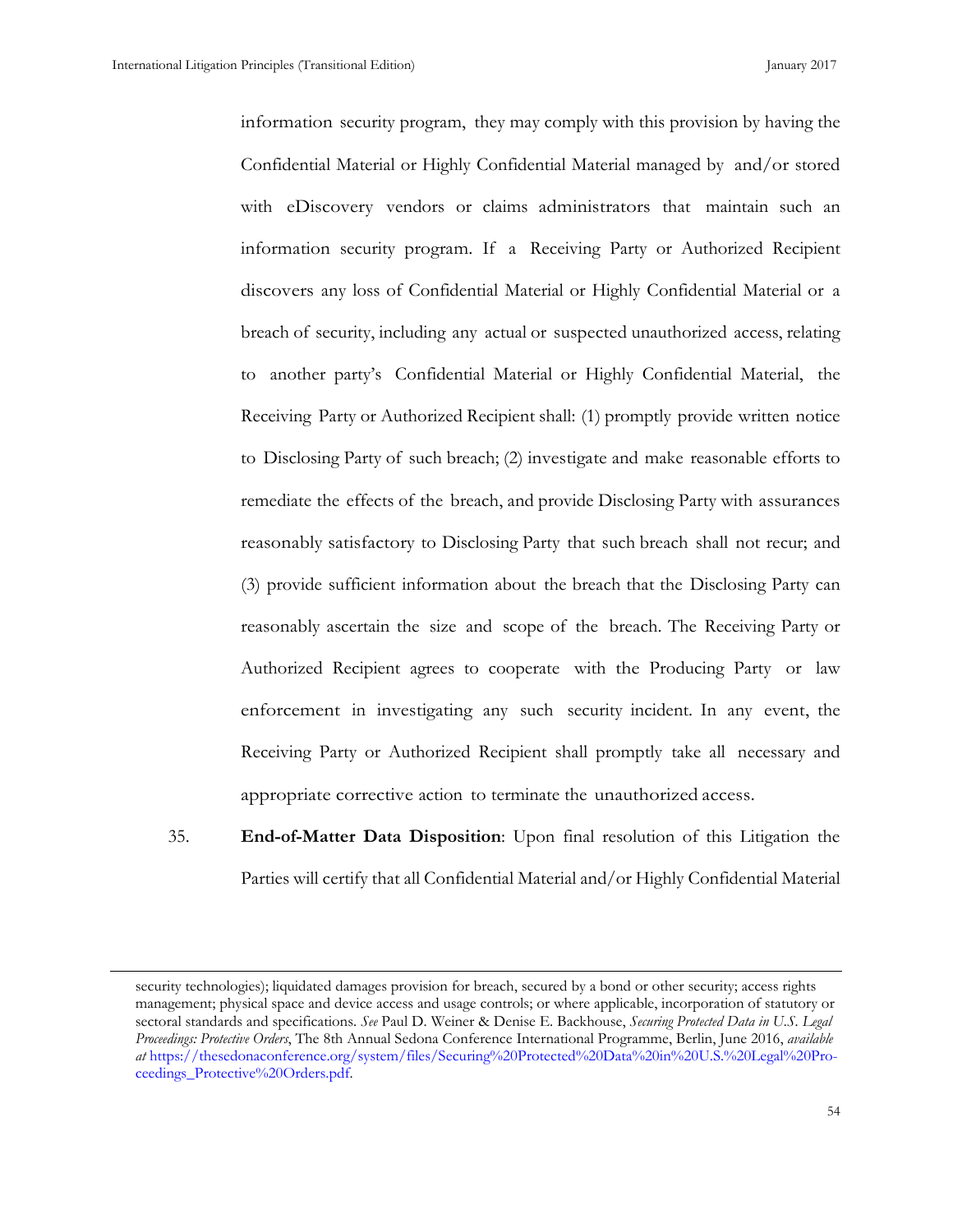information security program, they may comply with this provision by having the Confidential Material or Highly Confidential Material managed by and/or stored with eDiscovery vendors or claims administrators that maintain such an information security program. If a Receiving Party or Authorized Recipient discovers any loss of Confidential Material or Highly Confidential Material or a breach of security, including any actual or suspected unauthorized access, relating to another party's Confidential Material or Highly Confidential Material, the Receiving Party or Authorized Recipient shall: (1) promptly provide written notice to Disclosing Party of such breach; (2) investigate and make reasonable efforts to remediate the effects of the breach, and provide Disclosing Party with assurances reasonably satisfactory to Disclosing Party that such breach shall not recur; and (3) provide sufficient information about the breach that the Disclosing Party can reasonably ascertain the size and scope of the breach. The Receiving Party or Authorized Recipient agrees to cooperate with the Producing Party or law enforcement in investigating any such security incident. In any event, the Receiving Party or Authorized Recipient shall promptly take all necessary and appropriate corrective action to terminate the unauthorized access.

35. **End-of-Matter Data Disposition**: Upon final resolution of this Litigation the Parties will certify that all Confidential Material and/or Highly Confidential Material

security technologies); liquidated damages provision for breach, secured by a bond or other security; access rights management; physical space and device access and usage controls; or where applicable, incorporation of statutory or sectoral standards and specifications. *See* Paul D. Weiner & Denise E. Backhouse, *Securing Protected Data in U.S. Legal Proceedings: Protective Orders*, The 8th Annual Sedona Conference International Programme, Berlin, June 2016, *available at* [https://thesedonaconference.org/system/files/Securing%20Protected%20Data%20in%20U.S.%20Legal%20Pro](https://thesedonaconference.org/system/files/Securing%20Protected%20Data%20in%20U.S.%20Legal%20Proceedings_Protective%20Orders.pdf)[ceedings\\_Protective%20Orders.pdf.](https://thesedonaconference.org/system/files/Securing%20Protected%20Data%20in%20U.S.%20Legal%20Proceedings_Protective%20Orders.pdf)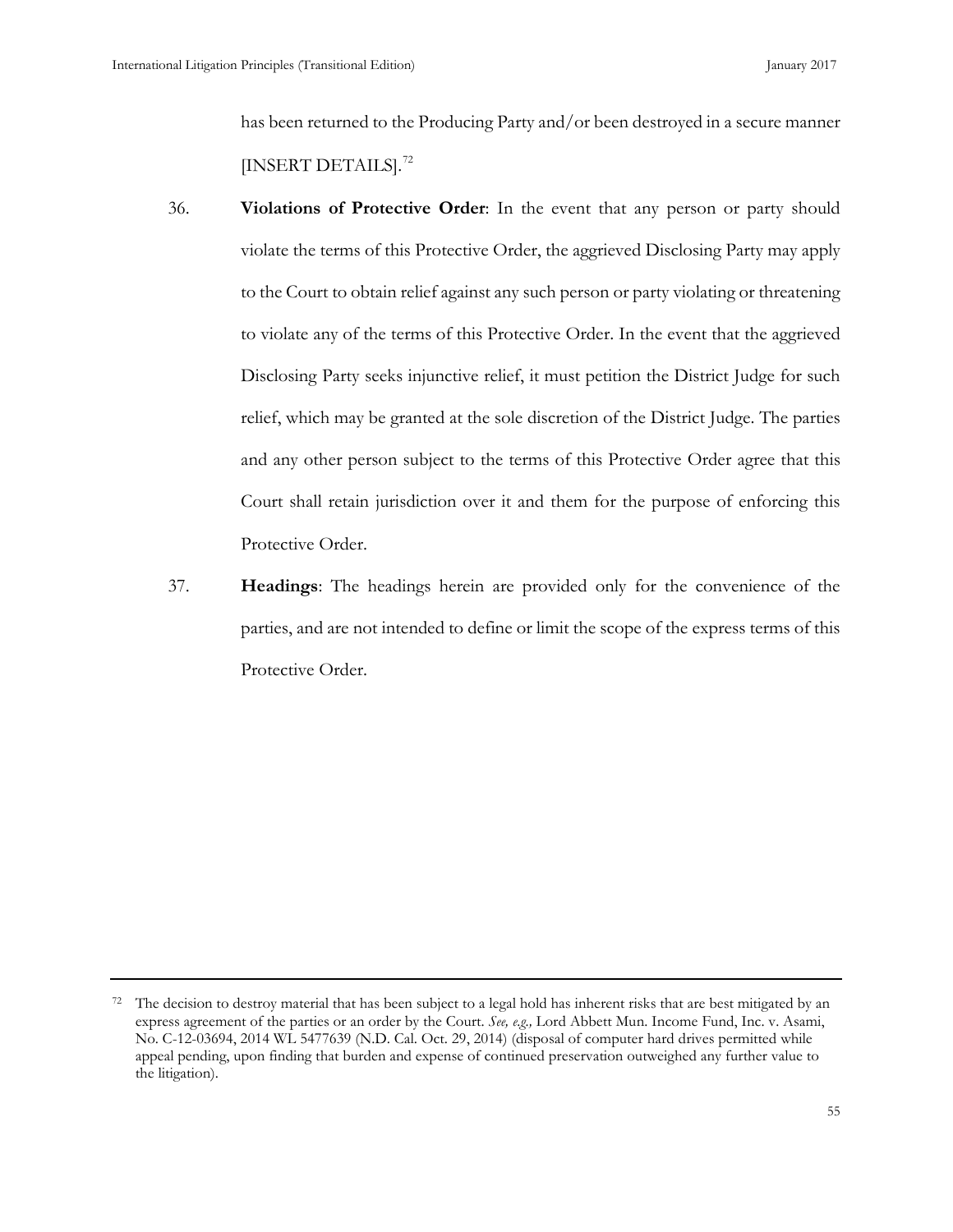has been returned to the Producing Party and/or been destroyed in a secure manner [INSERT DETAILS].<sup>[72](#page-63-0)</sup>

- 36. **Violations of Protective Order**: In the event that any person or party should violate the terms of this Protective Order, the aggrieved Disclosing Party may apply to the Court to obtain relief against any such person or party violating or threatening to violate any of the terms of this Protective Order. In the event that the aggrieved Disclosing Party seeks injunctive relief, it must petition the District Judge for such relief, which may be granted at the sole discretion of the District Judge. The parties and any other person subject to the terms of this Protective Order agree that this Court shall retain jurisdiction over it and them for the purpose of enforcing this Protective Order.
- 37. **Headings**: The headings herein are provided only for the convenience of the parties, and are not intended to define or limit the scope of the express terms of this Protective Order.

<span id="page-63-0"></span> $72$  The decision to destroy material that has been subject to a legal hold has inherent risks that are best mitigated by an express agreement of the parties or an order by the Court. *See, e.g.,* Lord Abbett Mun. Income Fund, Inc. v. Asami, No. C-12-03694, 2014 WL 5477639 (N.D. Cal. Oct. 29, 2014) (disposal of computer hard drives permitted while appeal pending, upon finding that burden and expense of continued preservation outweighed any further value to the litigation).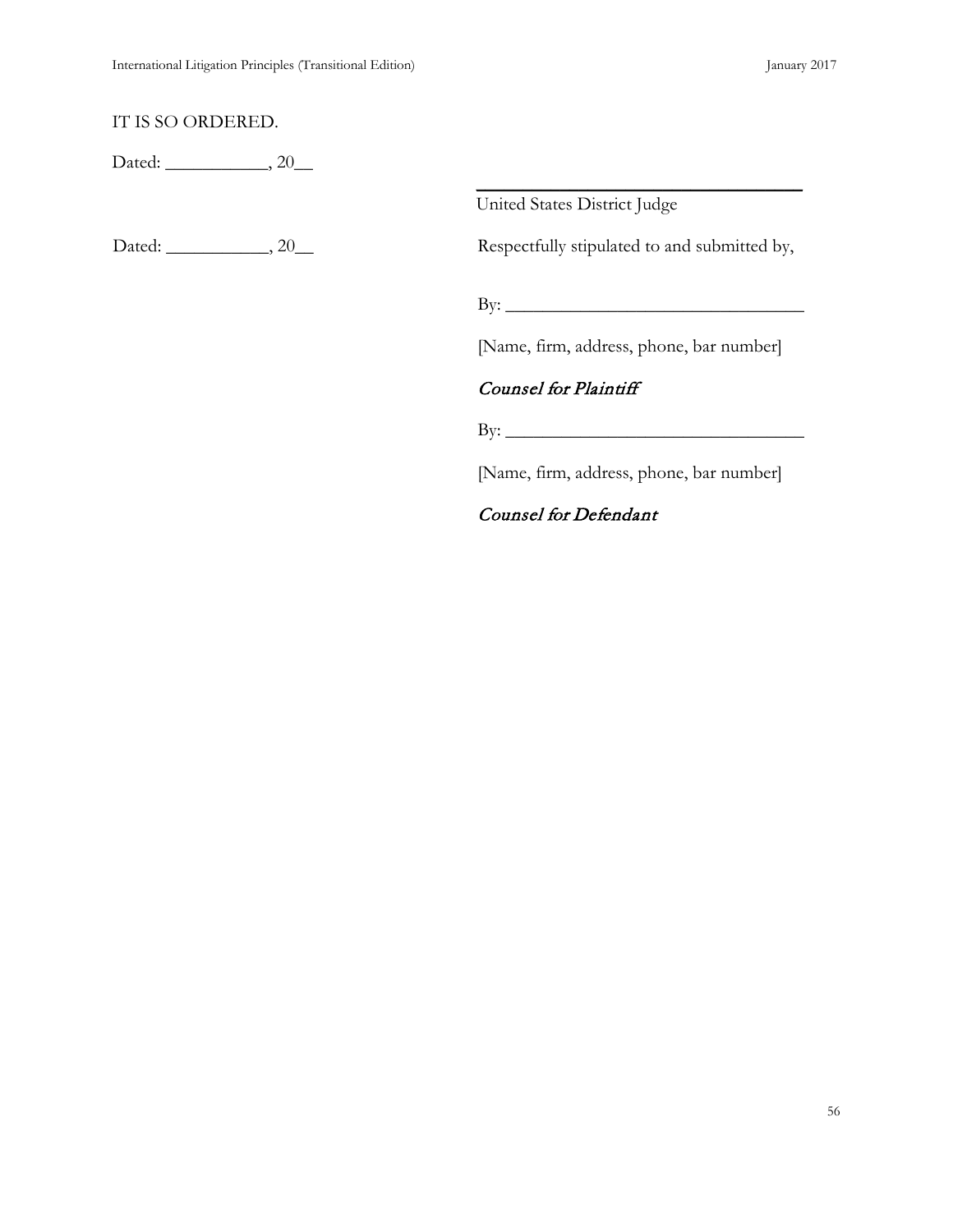#### IT IS SO ORDERED.

Dated: \_\_\_\_\_\_\_\_\_\_\_, 20\_\_\_

United States District Judge

Dated: \_\_\_\_\_\_\_\_\_\_\_, 20\_\_ Respectfully stipulated to and submitted by,

 $\overline{\phantom{a}}$  , and the contract of the contract of the contract of the contract of the contract of the contract of the contract of the contract of the contract of the contract of the contract of the contract of the contrac

By:  $\_\_$ 

[Name, firm, address, phone, bar number]

### Counsel for Plaintiff

 $\rm\,By:\,$ 

[Name, firm, address, phone, bar number]

Counsel for Defendant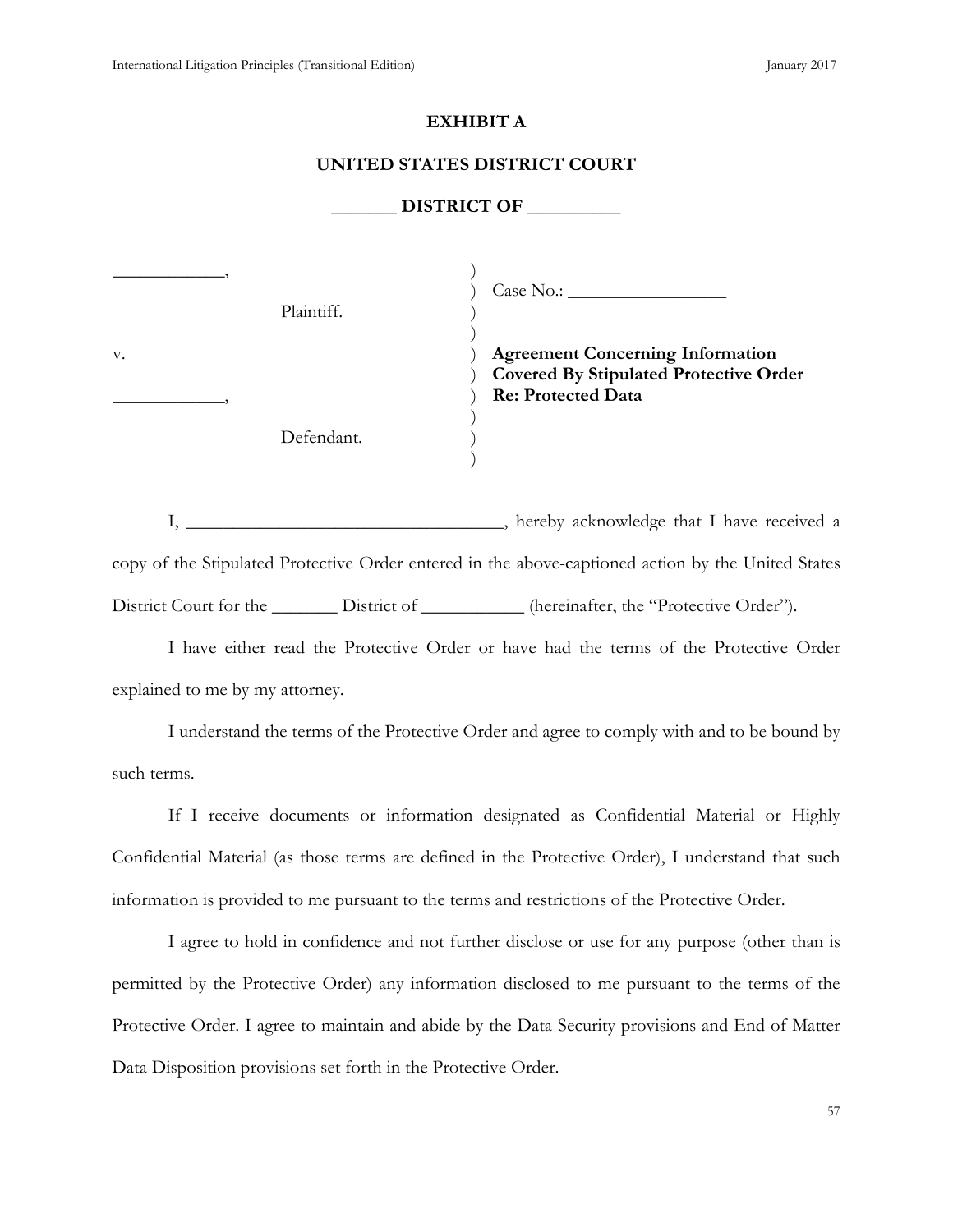#### **EXHIBIT A**

#### **UNITED STATES DISTRICT COURT**

#### **\_\_\_\_\_\_\_ DISTRICT OF \_\_\_\_\_\_\_\_\_\_**

|    | Plaintiff. | Case No. :                                                                                                            |
|----|------------|-----------------------------------------------------------------------------------------------------------------------|
| v. |            | <b>Agreement Concerning Information</b><br><b>Covered By Stipulated Protective Order</b><br><b>Re: Protected Data</b> |
|    | Defendant. |                                                                                                                       |

I, \_\_\_\_\_\_\_\_\_\_\_\_\_\_\_\_\_\_\_\_\_\_\_\_\_, hereby acknowledge that I have received a copy of the Stipulated Protective Order entered in the above-captioned action by the United States District Court for the District of \_\_\_\_\_\_\_\_\_\_ (hereinafter, the "Protective Order").

I have either read the Protective Order or have had the terms of the Protective Order explained to me by my attorney.

I understand the terms of the Protective Order and agree to comply with and to be bound by such terms.

If I receive documents or information designated as Confidential Material or Highly Confidential Material (as those terms are defined in the Protective Order), I understand that such information is provided to me pursuant to the terms and restrictions of the Protective Order.

I agree to hold in confidence and not further disclose or use for any purpose (other than is permitted by the Protective Order) any information disclosed to me pursuant to the terms of the Protective Order. I agree to maintain and abide by the Data Security provisions and End-of-Matter Data Disposition provisions set forth in the Protective Order.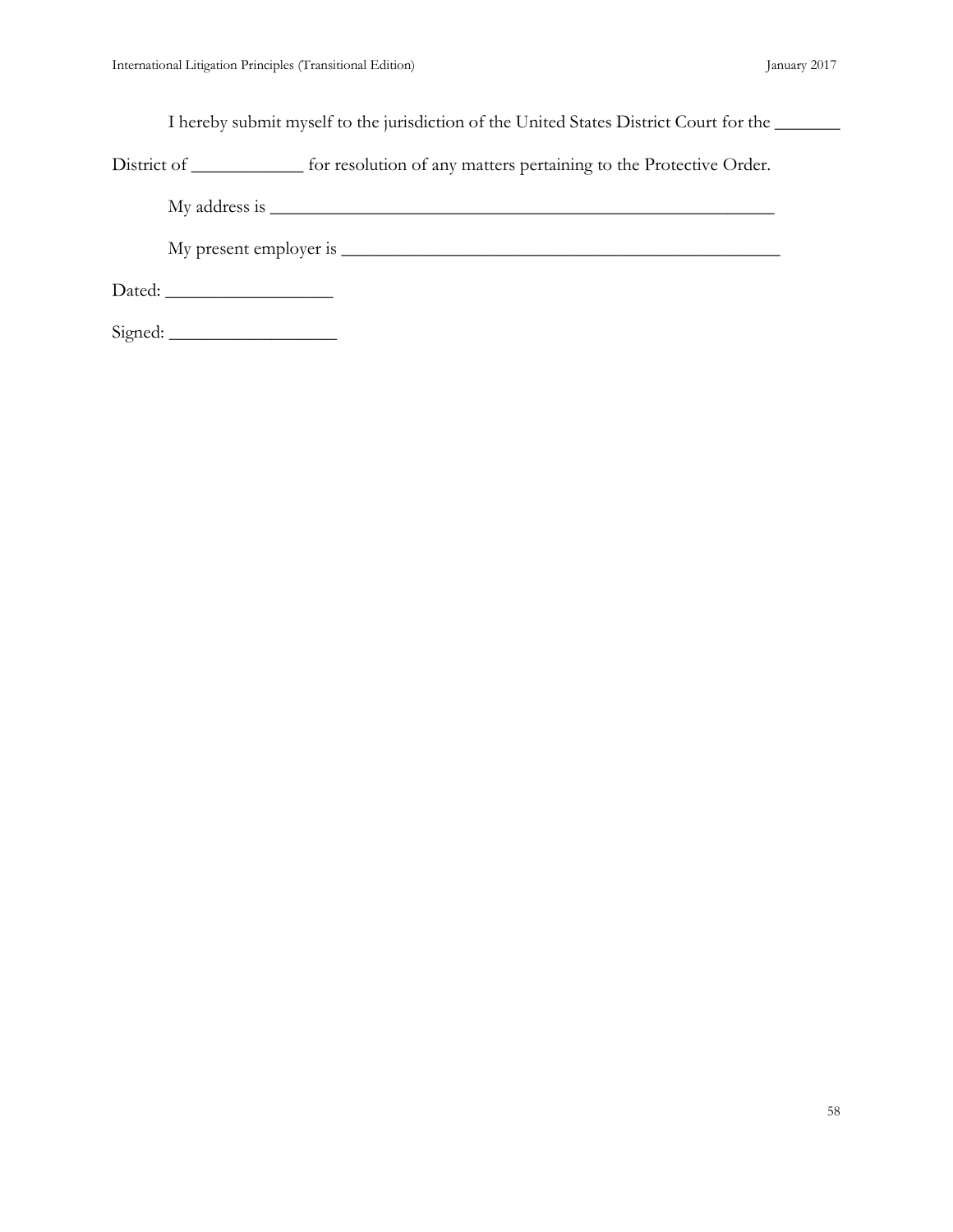I hereby submit myself to the jurisdiction of the United States District Court for the \_\_\_\_\_\_\_

District of \_\_\_\_\_\_\_\_\_\_\_\_ for resolution of any matters pertaining to the Protective Order.

My address is \_\_\_\_\_\_\_\_\_\_\_\_\_\_\_\_\_\_\_\_\_\_\_\_\_\_\_\_\_\_\_\_\_\_\_\_\_\_\_\_\_\_\_\_\_\_\_\_\_\_\_\_\_\_

My present employer is \_\_\_\_\_\_\_\_\_\_\_\_\_\_\_\_\_\_\_\_\_\_\_\_\_\_\_\_\_\_\_\_\_\_\_\_\_\_\_\_\_\_\_\_\_\_\_

Dated: \_\_\_\_\_\_\_\_\_\_\_\_\_\_\_\_\_\_

Signed: \_\_\_\_\_\_\_\_\_\_\_\_\_\_\_\_\_\_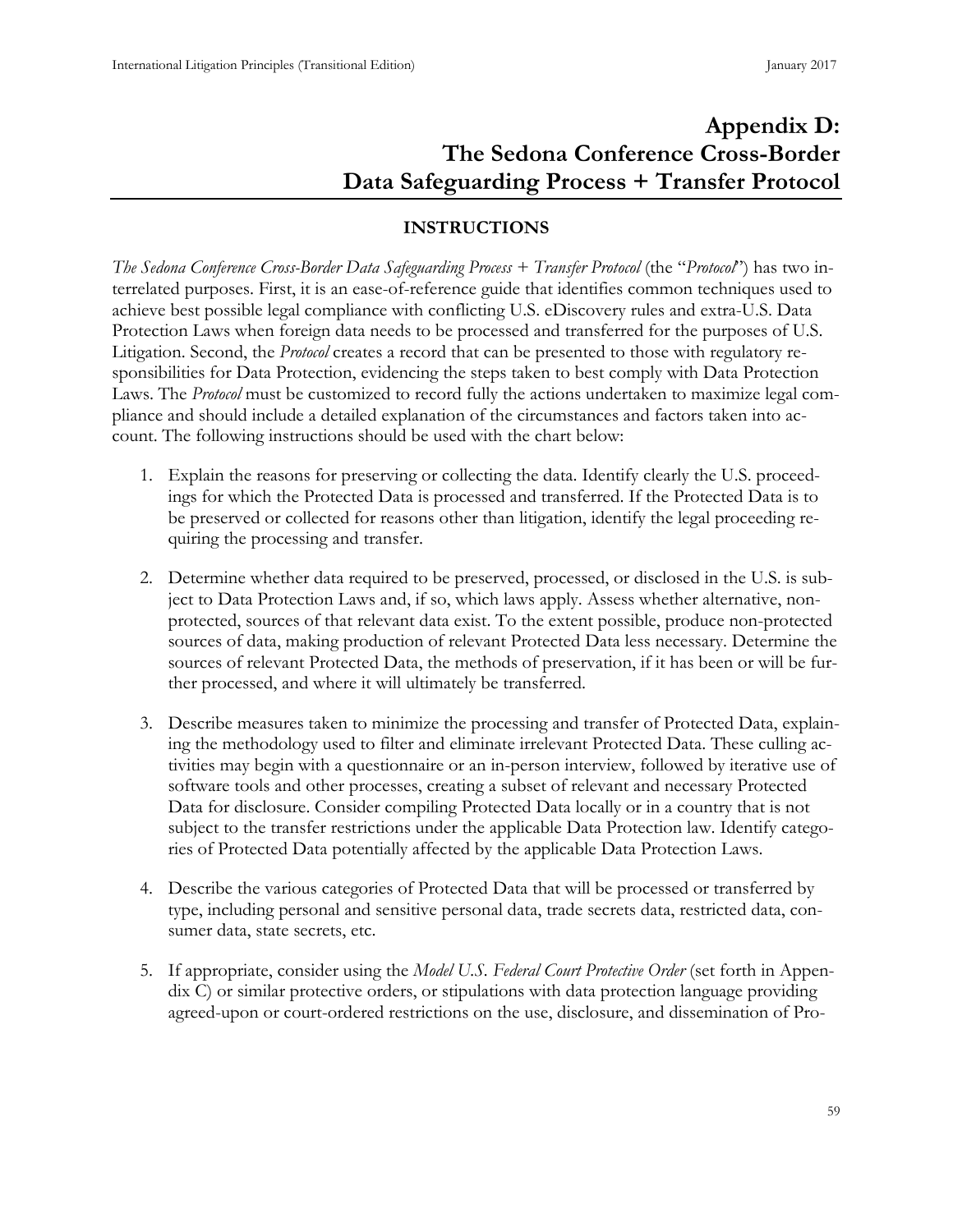# **Appendix D: The Sedona Conference Cross-Border Data Safeguarding Process + Transfer Protocol**

# **INSTRUCTIONS**

<span id="page-67-0"></span>*The Sedona Conference Cross-Border Data Safeguarding Process + Transfer Protocol* (the "*Protocol*") has two interrelated purposes. First, it is an ease-of-reference guide that identifies common techniques used to achieve best possible legal compliance with conflicting U.S. eDiscovery rules and extra-U.S. Data Protection Laws when foreign data needs to be processed and transferred for the purposes of U.S. Litigation. Second, the *Protocol* creates a record that can be presented to those with regulatory responsibilities for Data Protection, evidencing the steps taken to best comply with Data Protection Laws. The *Protocol* must be customized to record fully the actions undertaken to maximize legal compliance and should include a detailed explanation of the circumstances and factors taken into account. The following instructions should be used with the chart below:

- 1. Explain the reasons for preserving or collecting the data. Identify clearly the U.S. proceedings for which the Protected Data is processed and transferred. If the Protected Data is to be preserved or collected for reasons other than litigation, identify the legal proceeding requiring the processing and transfer.
- 2. Determine whether data required to be preserved, processed, or disclosed in the U.S. is subject to Data Protection Laws and, if so, which laws apply. Assess whether alternative, nonprotected, sources of that relevant data exist. To the extent possible, produce non-protected sources of data, making production of relevant Protected Data less necessary. Determine the sources of relevant Protected Data, the methods of preservation, if it has been or will be further processed, and where it will ultimately be transferred.
- 3. Describe measures taken to minimize the processing and transfer of Protected Data, explaining the methodology used to filter and eliminate irrelevant Protected Data. These culling activities may begin with a questionnaire or an in-person interview, followed by iterative use of software tools and other processes, creating a subset of relevant and necessary Protected Data for disclosure. Consider compiling Protected Data locally or in a country that is not subject to the transfer restrictions under the applicable Data Protection law. Identify categories of Protected Data potentially affected by the applicable Data Protection Laws.
- 4. Describe the various categories of Protected Data that will be processed or transferred by type, including personal and sensitive personal data, trade secrets data, restricted data, consumer data, state secrets, etc.
- 5. If appropriate, consider using the *Model U.S. Federal Court Protective Order* (set forth in Appendix C) or similar protective orders, or stipulations with data protection language providing agreed-upon or court-ordered restrictions on the use, disclosure, and dissemination of Pro-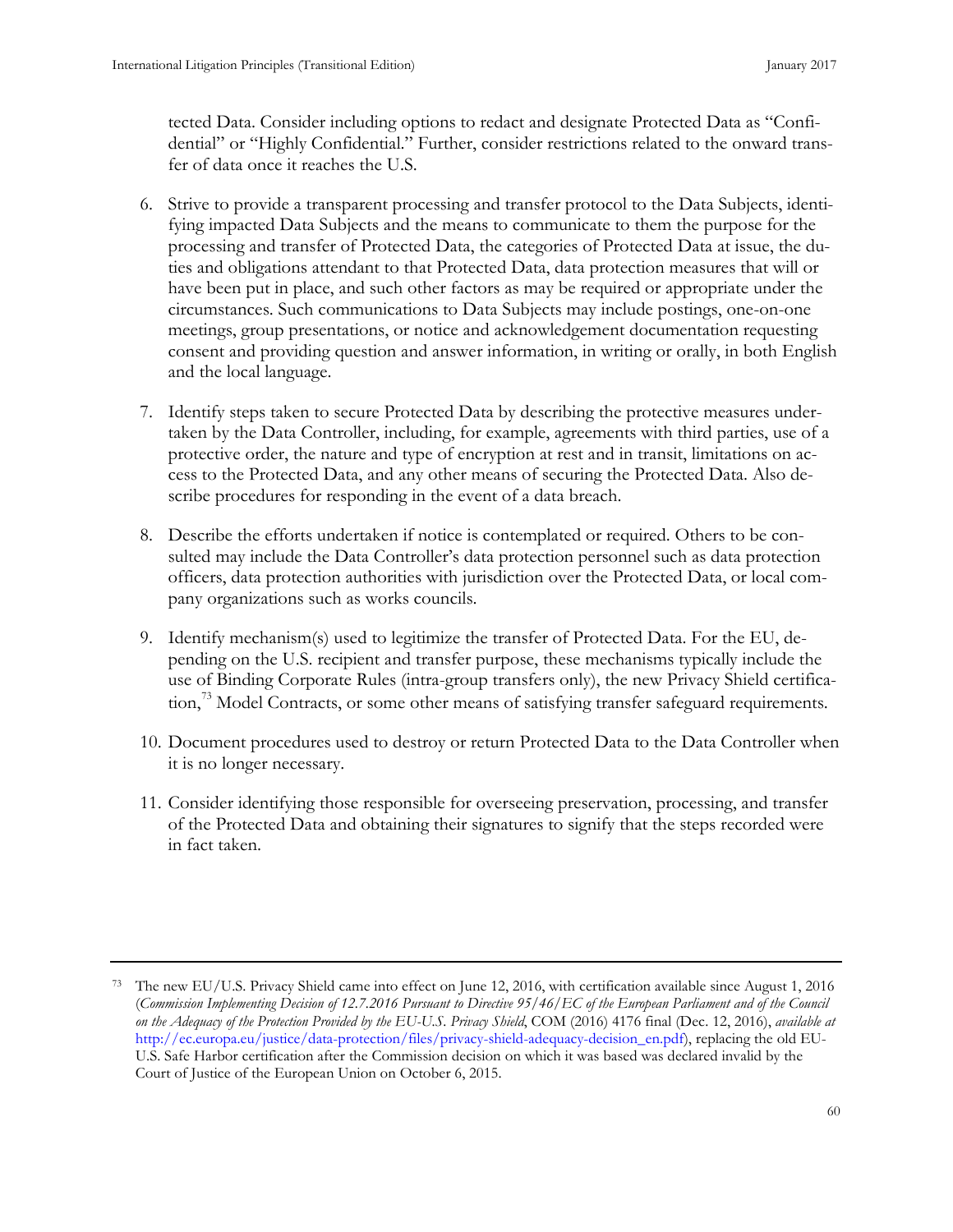tected Data. Consider including options to redact and designate Protected Data as "Confidential" or "Highly Confidential." Further, consider restrictions related to the onward transfer of data once it reaches the U.S.

- 6. Strive to provide a transparent processing and transfer protocol to the Data Subjects, identifying impacted Data Subjects and the means to communicate to them the purpose for the processing and transfer of Protected Data, the categories of Protected Data at issue, the duties and obligations attendant to that Protected Data, data protection measures that will or have been put in place, and such other factors as may be required or appropriate under the circumstances. Such communications to Data Subjects may include postings, one-on-one meetings, group presentations, or notice and acknowledgement documentation requesting consent and providing question and answer information, in writing or orally, in both English and the local language.
- 7. Identify steps taken to secure Protected Data by describing the protective measures undertaken by the Data Controller, including, for example, agreements with third parties, use of a protective order, the nature and type of encryption at rest and in transit, limitations on access to the Protected Data, and any other means of securing the Protected Data. Also describe procedures for responding in the event of a data breach.
- 8. Describe the efforts undertaken if notice is contemplated or required. Others to be consulted may include the Data Controller's data protection personnel such as data protection officers, data protection authorities with jurisdiction over the Protected Data, or local company organizations such as works councils.
- 9. Identify mechanism(s) used to legitimize the transfer of Protected Data. For the EU, depending on the U.S. recipient and transfer purpose, these mechanisms typically include the use of Binding Corporate Rules (intra-group transfers only), the new Privacy Shield certifica-tion,<sup>[73](#page-68-0)</sup> Model Contracts, or some other means of satisfying transfer safeguard requirements.
- 10. Document procedures used to destroy or return Protected Data to the Data Controller when it is no longer necessary.
- 11. Consider identifying those responsible for overseeing preservation, processing, and transfer of the Protected Data and obtaining their signatures to signify that the steps recorded were in fact taken.

<span id="page-68-0"></span><sup>73</sup> The new EU/U.S. Privacy Shield came into effect on June 12, 2016, with certification available since August 1, 2016 (*Commission Implementing Decision of 12.7.2016 Pursuant to Directive 95/46/EC of the European Parliament and of the Council on the Adequacy of the Protection Provided by the EU-U.S. Privacy Shield*, COM (2016) 4176 final (Dec. 12, 2016), *available at* [http://ec.europa.eu/justice/data-protection/files/privacy-shield-adequacy-decision\\_en.pdf\)](http://ec.europa.eu/justice/data-protection/files/privacy-shield-adequacy-decision_en.pdf), replacing the old EU-U.S. Safe Harbor certification after the Commission decision on which it was based was declared invalid by the Court of Justice of the European Union on October 6, 2015.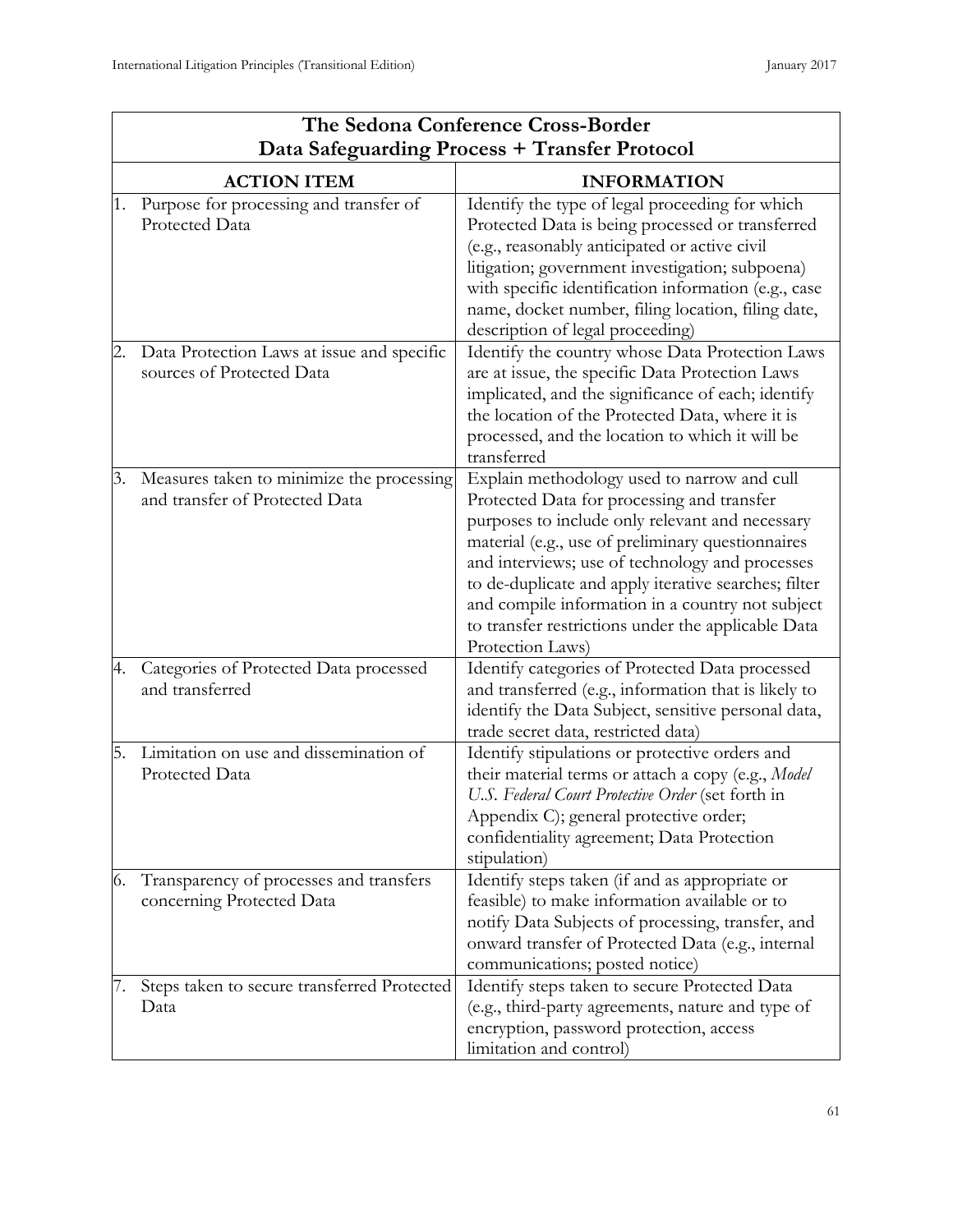|    | The Sedona Conference Cross-Border                                          |                                                                                                                                                                                                                                                                                                                                                                                                                                            |  |
|----|-----------------------------------------------------------------------------|--------------------------------------------------------------------------------------------------------------------------------------------------------------------------------------------------------------------------------------------------------------------------------------------------------------------------------------------------------------------------------------------------------------------------------------------|--|
|    | Data Safeguarding Process + Transfer Protocol                               |                                                                                                                                                                                                                                                                                                                                                                                                                                            |  |
|    | <b>ACTION ITEM</b>                                                          | <b>INFORMATION</b>                                                                                                                                                                                                                                                                                                                                                                                                                         |  |
| 1. | Purpose for processing and transfer of<br>Protected Data                    | Identify the type of legal proceeding for which<br>Protected Data is being processed or transferred<br>(e.g., reasonably anticipated or active civil<br>litigation; government investigation; subpoena)<br>with specific identification information (e.g., case<br>name, docket number, filing location, filing date,<br>description of legal proceeding)                                                                                  |  |
|    | Data Protection Laws at issue and specific<br>sources of Protected Data     | Identify the country whose Data Protection Laws<br>are at issue, the specific Data Protection Laws<br>implicated, and the significance of each; identify<br>the location of the Protected Data, where it is<br>processed, and the location to which it will be<br>transferred                                                                                                                                                              |  |
| 3. | Measures taken to minimize the processing<br>and transfer of Protected Data | Explain methodology used to narrow and cull<br>Protected Data for processing and transfer<br>purposes to include only relevant and necessary<br>material (e.g., use of preliminary questionnaires<br>and interviews; use of technology and processes<br>to de-duplicate and apply iterative searches; filter<br>and compile information in a country not subject<br>to transfer restrictions under the applicable Data<br>Protection Laws) |  |
| 4. | Categories of Protected Data processed<br>and transferred                   | Identify categories of Protected Data processed<br>and transferred (e.g., information that is likely to<br>identify the Data Subject, sensitive personal data,<br>trade secret data, restricted data)                                                                                                                                                                                                                                      |  |
| 5. | Limitation on use and dissemination of<br>Protected Data                    | Identify stipulations or protective orders and<br>their material terms or attach a copy (e.g., Model<br>U.S. Federal Court Protective Order (set forth in<br>Appendix C); general protective order;<br>confidentiality agreement; Data Protection<br>stipulation)                                                                                                                                                                          |  |
| 6. | Transparency of processes and transfers<br>concerning Protected Data        | Identify steps taken (if and as appropriate or<br>feasible) to make information available or to<br>notify Data Subjects of processing, transfer, and<br>onward transfer of Protected Data (e.g., internal<br>communications; posted notice)                                                                                                                                                                                                |  |
|    | Steps taken to secure transferred Protected<br>Data                         | Identify steps taken to secure Protected Data<br>(e.g., third-party agreements, nature and type of<br>encryption, password protection, access<br>limitation and control)                                                                                                                                                                                                                                                                   |  |